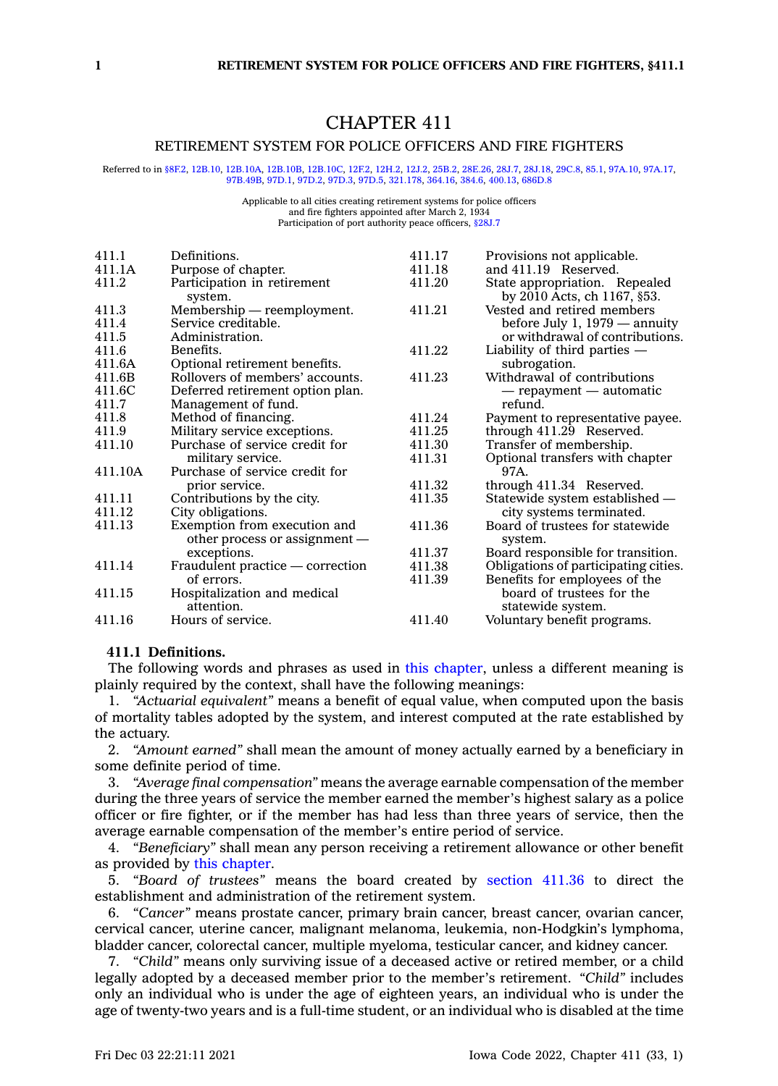# CHAPTER 411

### RETIREMENT SYSTEM FOR POLICE OFFICERS AND FIRE FIGHTERS

Referred to in [§8F.2](https://www.legis.iowa.gov/docs/code/8F.2.pdf), [12B.10](https://www.legis.iowa.gov/docs/code/12B.10.pdf), [12B.10A](https://www.legis.iowa.gov/docs/code/12B.10A.pdf), [12B.10B](https://www.legis.iowa.gov/docs/code/12B.10B.pdf), [12B.10C](https://www.legis.iowa.gov/docs/code/12B.10C.pdf), [12F.2](https://www.legis.iowa.gov/docs/code/12F.2.pdf), [12H.2](https://www.legis.iowa.gov/docs/code/12H.2.pdf), [12J.2](https://www.legis.iowa.gov/docs/code/12J.2.pdf), [25B.2](https://www.legis.iowa.gov/docs/code/25B.2.pdf), [28E.26](https://www.legis.iowa.gov/docs/code/28E.26.pdf), [28J.7](https://www.legis.iowa.gov/docs/code/28J.7.pdf), [28J.18](https://www.legis.iowa.gov/docs/code/28J.18.pdf), [29C.8](https://www.legis.iowa.gov/docs/code/29C.8.pdf), [85.1](https://www.legis.iowa.gov/docs/code/85.1.pdf), [97A.10](https://www.legis.iowa.gov/docs/code/97A.10.pdf), [97A.17](https://www.legis.iowa.gov/docs/code/97A.17.pdf), [97B.49B](https://www.legis.iowa.gov/docs/code/97B.49B.pdf), [97D.1](https://www.legis.iowa.gov/docs/code/97D.1.pdf), [97D.2,](https://www.legis.iowa.gov/docs/code/97D.2.pdf) [97D.3](https://www.legis.iowa.gov/docs/code/97D.3.pdf), [97D.5](https://www.legis.iowa.gov/docs/code/97D.5.pdf), [321.178](https://www.legis.iowa.gov/docs/code/321.178.pdf), [364.16](https://www.legis.iowa.gov/docs/code/364.16.pdf), [384.6](https://www.legis.iowa.gov/docs/code/384.6.pdf), [400.13](https://www.legis.iowa.gov/docs/code/400.13.pdf), [686D.8](https://www.legis.iowa.gov/docs/code/686D.8.pdf)

#### Applicable to all cities creating retirement systems for police officers and fire fighters appointed after March 2, 1934 Participation of port authority peace officers, [§28J.7](https://www.legis.iowa.gov/docs/code/28J.7.pdf)

| 411.1   | Definitions.                                                  | 411.17 | Provisions not applicable.                                   |
|---------|---------------------------------------------------------------|--------|--------------------------------------------------------------|
| 411.1A  | Purpose of chapter.                                           | 411.18 | and 411.19 Reserved.                                         |
| 411.2   | Participation in retirement<br>system.                        | 411.20 | State appropriation. Repealed<br>by 2010 Acts, ch 1167, §53. |
| 411.3   | Membership — reemployment.                                    | 411.21 | Vested and retired members                                   |
| 411.4   | Service creditable.                                           |        | before July 1, 1979 — annuity                                |
| 411.5   | Administration.                                               |        | or withdrawal of contributions.                              |
| 411.6   | Benefits.                                                     | 411.22 | Liability of third parties -                                 |
| 411.6A  | Optional retirement benefits.                                 |        | subrogation.                                                 |
| 411.6B  | Rollovers of members' accounts.                               | 411.23 | Withdrawal of contributions                                  |
| 411.6C  | Deferred retirement option plan.                              |        | — repayment — automatic                                      |
| 411.7   | Management of fund.                                           |        | refund.                                                      |
| 411.8   | Method of financing.                                          | 411.24 | Payment to representative payee.                             |
| 411.9   | Military service exceptions.                                  | 411.25 | through 411.29 Reserved.                                     |
| 411.10  | Purchase of service credit for                                | 411.30 | Transfer of membership.                                      |
|         | military service.                                             | 411.31 | Optional transfers with chapter                              |
| 411.10A | Purchase of service credit for                                |        | 97A.                                                         |
|         | prior service.                                                | 411.32 | through 411.34 Reserved.                                     |
| 411.11  | Contributions by the city.                                    | 411.35 | Statewide system established —                               |
| 411.12  | City obligations.                                             |        | city systems terminated.                                     |
| 411.13  | Exemption from execution and<br>other process or assignment — | 411.36 | Board of trustees for statewide<br>system.                   |
|         | exceptions.                                                   | 411.37 | Board responsible for transition.                            |
| 411.14  | Fraudulent practice — correction                              | 411.38 | Obligations of participating cities.                         |
|         | of errors.                                                    | 411.39 | Benefits for employees of the                                |
| 411.15  | Hospitalization and medical                                   |        | board of trustees for the                                    |
|         | attention.                                                    |        | statewide system.                                            |
| 411.16  | Hours of service.                                             | 411.40 | Voluntary benefit programs.                                  |

#### **411.1 Definitions.**

The following words and phrases as used in this [chapter](https://www.legis.iowa.gov/docs/code//411.pdf), unless <sup>a</sup> different meaning is plainly required by the context, shall have the following meanings:

1. *"Actuarial equivalent"* means <sup>a</sup> benefit of equal value, when computed upon the basis of mortality tables adopted by the system, and interest computed at the rate established by the actuary.

2. *"Amount earned"* shall mean the amount of money actually earned by <sup>a</sup> beneficiary in some definite period of time.

3. *"Average final compensation"* means the average earnable compensation of the member during the three years of service the member earned the member's highest salary as <sup>a</sup> police officer or fire fighter, or if the member has had less than three years of service, then the average earnable compensation of the member's entire period of service.

4. *"Beneficiary"* shall mean any person receiving <sup>a</sup> retirement allowance or other benefit as provided by this [chapter](https://www.legis.iowa.gov/docs/code//411.pdf).

5. *"Board of trustees"* means the board created by [section](https://www.legis.iowa.gov/docs/code/411.36.pdf) 411.36 to direct the establishment and administration of the retirement system.

6. *"Cancer"* means prostate cancer, primary brain cancer, breast cancer, ovarian cancer, cervical cancer, uterine cancer, malignant melanoma, leukemia, non-Hodgkin's lymphoma, bladder cancer, colorectal cancer, multiple myeloma, testicular cancer, and kidney cancer.

7. *"Child"* means only surviving issue of <sup>a</sup> deceased active or retired member, or <sup>a</sup> child legally adopted by <sup>a</sup> deceased member prior to the member's retirement. *"Child"* includes only an individual who is under the age of eighteen years, an individual who is under the age of twenty-two years and is <sup>a</sup> full-time student, or an individual who is disabled at the time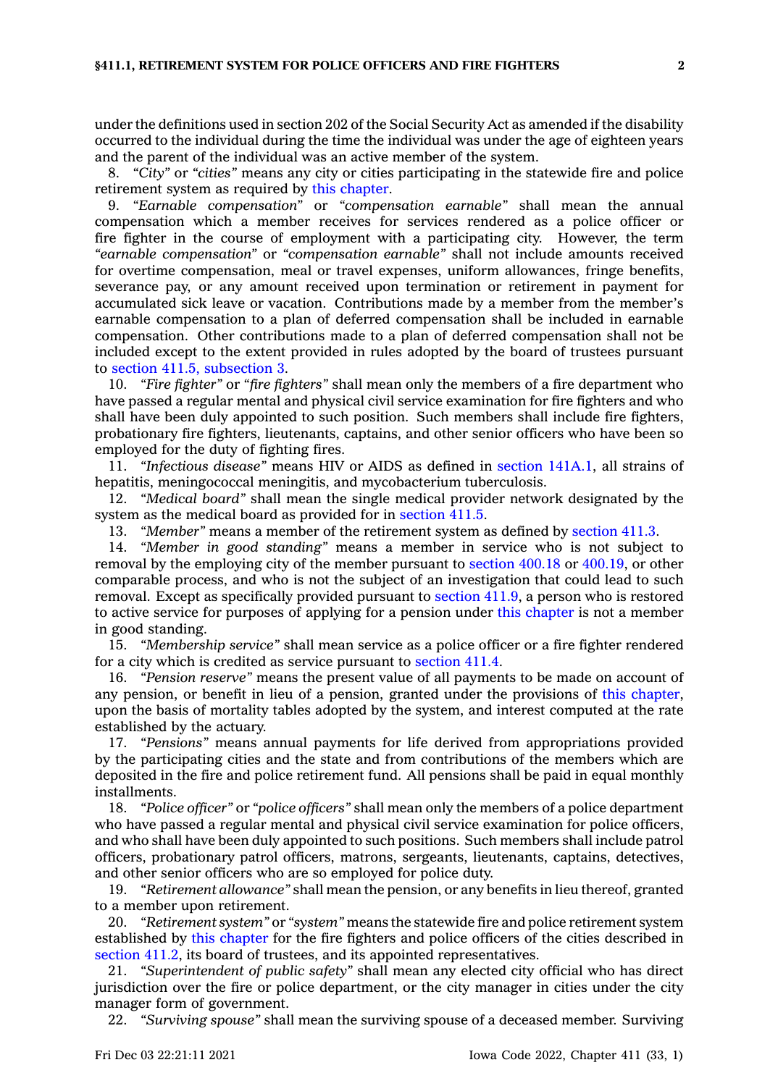under the definitions used in section 202 of the Social Security Act as amended if the disability occurred to the individual during the time the individual was under the age of eighteen years and the parent of the individual was an active member of the system.

8. *"City"* or *"cities"* means any city or cities participating in the statewide fire and police retirement system as required by this [chapter](https://www.legis.iowa.gov/docs/code//411.pdf).

9. *"Earnable compensation"* or *"compensation earnable"* shall mean the annual compensation which <sup>a</sup> member receives for services rendered as <sup>a</sup> police officer or fire fighter in the course of employment with <sup>a</sup> participating city. However, the term *"earnable compensation"* or *"compensation earnable"* shall not include amounts received for overtime compensation, meal or travel expenses, uniform allowances, fringe benefits, severance pay, or any amount received upon termination or retirement in payment for accumulated sick leave or vacation. Contributions made by <sup>a</sup> member from the member's earnable compensation to <sup>a</sup> plan of deferred compensation shall be included in earnable compensation. Other contributions made to <sup>a</sup> plan of deferred compensation shall not be included except to the extent provided in rules adopted by the board of trustees pursuant to section 411.5, [subsection](https://www.legis.iowa.gov/docs/code/411.5.pdf) 3.

10. *"Fire fighter"* or *"fire fighters"* shall mean only the members of <sup>a</sup> fire department who have passed <sup>a</sup> regular mental and physical civil service examination for fire fighters and who shall have been duly appointed to such position. Such members shall include fire fighters, probationary fire fighters, lieutenants, captains, and other senior officers who have been so employed for the duty of fighting fires.

11. *"Infectious disease"* means HIV or AIDS as defined in section [141A.1](https://www.legis.iowa.gov/docs/code/141A.1.pdf), all strains of hepatitis, meningococcal meningitis, and mycobacterium tuberculosis.

12. *"Medical board"* shall mean the single medical provider network designated by the system as the medical board as provided for in [section](https://www.legis.iowa.gov/docs/code/411.5.pdf) 411.5.

13. *"Member"* means <sup>a</sup> member of the retirement system as defined by [section](https://www.legis.iowa.gov/docs/code/411.3.pdf) 411.3.

14. *"Member in good standing"* means <sup>a</sup> member in service who is not subject to removal by the employing city of the member pursuant to [section](https://www.legis.iowa.gov/docs/code/400.18.pdf) 400.18 or [400.19](https://www.legis.iowa.gov/docs/code/400.19.pdf), or other comparable process, and who is not the subject of an investigation that could lead to such removal. Except as specifically provided pursuant to [section](https://www.legis.iowa.gov/docs/code/411.9.pdf) 411.9, <sup>a</sup> person who is restored to active service for purposes of applying for <sup>a</sup> pension under this [chapter](https://www.legis.iowa.gov/docs/code//411.pdf) is not <sup>a</sup> member in good standing.

15. *"Membership service"* shall mean service as <sup>a</sup> police officer or <sup>a</sup> fire fighter rendered for <sup>a</sup> city which is credited as service pursuant to [section](https://www.legis.iowa.gov/docs/code/411.4.pdf) 411.4.

16. *"Pension reserve"* means the present value of all payments to be made on account of any pension, or benefit in lieu of <sup>a</sup> pension, granted under the provisions of this [chapter](https://www.legis.iowa.gov/docs/code//411.pdf), upon the basis of mortality tables adopted by the system, and interest computed at the rate established by the actuary.

17. *"Pensions"* means annual payments for life derived from appropriations provided by the participating cities and the state and from contributions of the members which are deposited in the fire and police retirement fund. All pensions shall be paid in equal monthly installments.

18. *"Police officer"* or *"police officers"* shall mean only the members of <sup>a</sup> police department who have passed <sup>a</sup> regular mental and physical civil service examination for police officers, and who shall have been duly appointed to such positions. Such members shall include patrol officers, probationary patrol officers, matrons, sergeants, lieutenants, captains, detectives, and other senior officers who are so employed for police duty.

19. *"Retirement allowance"* shall mean the pension, or any benefits in lieu thereof, granted to <sup>a</sup> member upon retirement.

20. *"Retirement system"* or *"system"* means the statewide fire and police retirement system established by this [chapter](https://www.legis.iowa.gov/docs/code//411.pdf) for the fire fighters and police officers of the cities described in [section](https://www.legis.iowa.gov/docs/code/411.2.pdf) 411.2, its board of trustees, and its appointed representatives.

21. *"Superintendent of public safety"* shall mean any elected city official who has direct jurisdiction over the fire or police department, or the city manager in cities under the city manager form of government.

22. *"Surviving spouse"* shall mean the surviving spouse of <sup>a</sup> deceased member. Surviving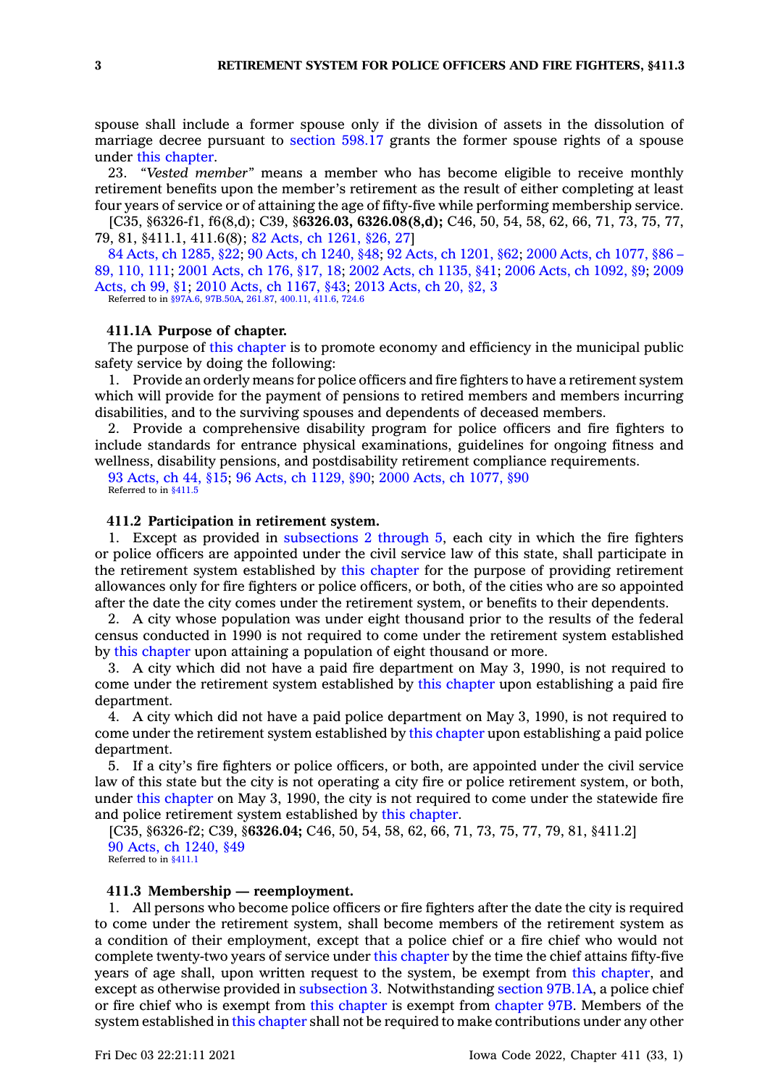spouse shall include <sup>a</sup> former spouse only if the division of assets in the dissolution of marriage decree pursuant to [section](https://www.legis.iowa.gov/docs/code/598.17.pdf) 598.17 grants the former spouse rights of <sup>a</sup> spouse under this [chapter](https://www.legis.iowa.gov/docs/code//411.pdf).

23. *"Vested member"* means <sup>a</sup> member who has become eligible to receive monthly retirement benefits upon the member's retirement as the result of either completing at least four years of service or of attaining the age of fifty-five while performing membership service.

[C35, §6326-f1, f6(8,d); C39, §**6326.03, 6326.08(8,d);** C46, 50, 54, 58, 62, 66, 71, 73, 75, 77, 79, 81, §411.1, 411.6(8); 82 Acts, ch [1261,](https://www.legis.iowa.gov/docs/acts/1982/CH1261.pdf) §26, 27]

84 Acts, ch [1285,](https://www.legis.iowa.gov/docs/acts/1984/CH1285.pdf) §22; 90 Acts, ch [1240,](https://www.legis.iowa.gov/docs/acts/90/CH1240.pdf) §48; 92 Acts, ch [1201,](https://www.legis.iowa.gov/docs/acts/92/CH1201.pdf) §62; 2000 Acts, ch [1077,](https://www.legis.iowa.gov/docs/acts/2000/CH1077.pdf) §86 – 89, [110,](https://www.legis.iowa.gov/docs/acts/2000/CH1077.pdf) 111; 2001 [Acts,](https://www.legis.iowa.gov/docs/acts/2001/CH0176.pdf) ch 176, §17, 18; 2002 Acts, ch [1135,](https://www.legis.iowa.gov/docs/acts/2002/CH1135.pdf) §41; 2006 Acts, ch [1092,](https://www.legis.iowa.gov/docs/acts/2006/CH1092.pdf) §9; [2009](https://www.legis.iowa.gov/docs/acts/2009/CH0099.pdf) [Acts,](https://www.legis.iowa.gov/docs/acts/2009/CH0099.pdf) ch 99, §1; 2010 Acts, ch [1167,](https://www.legis.iowa.gov/docs/acts/2010/CH1167.pdf) §43; 2013 [Acts,](https://www.legis.iowa.gov/docs/acts/2013/CH0020.pdf) ch 20, §2, 3 Referred to in [§97A.6](https://www.legis.iowa.gov/docs/code/97A.6.pdf), [97B.50A](https://www.legis.iowa.gov/docs/code/97B.50A.pdf), [261.87](https://www.legis.iowa.gov/docs/code/261.87.pdf), [400.11](https://www.legis.iowa.gov/docs/code/400.11.pdf), [411.6](https://www.legis.iowa.gov/docs/code/411.6.pdf), [724.6](https://www.legis.iowa.gov/docs/code/724.6.pdf)

#### **411.1A Purpose of chapter.**

The purpose of this [chapter](https://www.legis.iowa.gov/docs/code//411.pdf) is to promote economy and efficiency in the municipal public safety service by doing the following:

1. Provide an orderly means for police officers and fire fighters to have <sup>a</sup> retirement system which will provide for the payment of pensions to retired members and members incurring disabilities, and to the surviving spouses and dependents of deceased members.

2. Provide <sup>a</sup> comprehensive disability program for police officers and fire fighters to include standards for entrance physical examinations, guidelines for ongoing fitness and wellness, disability pensions, and postdisability retirement compliance requirements.

93 [Acts,](https://www.legis.iowa.gov/docs/acts/1993/CH0044.pdf) ch 44, §15; 96 Acts, ch [1129,](https://www.legis.iowa.gov/docs/acts/1996/CH1129.pdf) §90; 2000 Acts, ch [1077,](https://www.legis.iowa.gov/docs/acts/2000/CH1077.pdf) §90 Referred to in \$411.5

### **411.2 Participation in retirement system.**

1. Except as provided in [subsections](https://www.legis.iowa.gov/docs/code/411.2.pdf) 2 through 5, each city in which the fire fighters or police officers are appointed under the civil service law of this state, shall participate in the retirement system established by this [chapter](https://www.legis.iowa.gov/docs/code//411.pdf) for the purpose of providing retirement allowances only for fire fighters or police officers, or both, of the cities who are so appointed after the date the city comes under the retirement system, or benefits to their dependents.

2. A city whose population was under eight thousand prior to the results of the federal census conducted in 1990 is not required to come under the retirement system established by this [chapter](https://www.legis.iowa.gov/docs/code//411.pdf) upon attaining <sup>a</sup> population of eight thousand or more.

3. A city which did not have <sup>a</sup> paid fire department on May 3, 1990, is not required to come under the retirement system established by this [chapter](https://www.legis.iowa.gov/docs/code//411.pdf) upon establishing <sup>a</sup> paid fire department.

4. A city which did not have <sup>a</sup> paid police department on May 3, 1990, is not required to come under the retirement system established by this [chapter](https://www.legis.iowa.gov/docs/code//411.pdf) upon establishing <sup>a</sup> paid police department.

5. If <sup>a</sup> city's fire fighters or police officers, or both, are appointed under the civil service law of this state but the city is not operating <sup>a</sup> city fire or police retirement system, or both, under this [chapter](https://www.legis.iowa.gov/docs/code//411.pdf) on May 3, 1990, the city is not required to come under the statewide fire and police retirement system established by this [chapter](https://www.legis.iowa.gov/docs/code//411.pdf).

[C35, §6326-f2; C39, §**6326.04;** C46, 50, 54, 58, 62, 66, 71, 73, 75, 77, 79, 81, §411.2] 90 Acts, ch [1240,](https://www.legis.iowa.gov/docs/acts/1990/CH1240.pdf) §49 Referred to in [§411.1](https://www.legis.iowa.gov/docs/code/411.1.pdf)

### **411.3 Membership — reemployment.**

1. All persons who become police officers or fire fighters after the date the city is required to come under the retirement system, shall become members of the retirement system as <sup>a</sup> condition of their employment, except that <sup>a</sup> police chief or <sup>a</sup> fire chief who would not complete twenty-two years of service under this [chapter](https://www.legis.iowa.gov/docs/code//411.pdf) by the time the chief attains fifty-five years of age shall, upon written request to the system, be exempt from this [chapter](https://www.legis.iowa.gov/docs/code//411.pdf), and except as otherwise provided in [subsection](https://www.legis.iowa.gov/docs/code/411.3.pdf) 3. Notwithstanding section [97B.1A](https://www.legis.iowa.gov/docs/code/97B.1A.pdf), <sup>a</sup> police chief or fire chief who is exempt from this [chapter](https://www.legis.iowa.gov/docs/code//411.pdf) is exempt from [chapter](https://www.legis.iowa.gov/docs/code//97B.pdf) 97B. Members of the system established in this [chapter](https://www.legis.iowa.gov/docs/code//411.pdf) shall not be required to make contributions under any other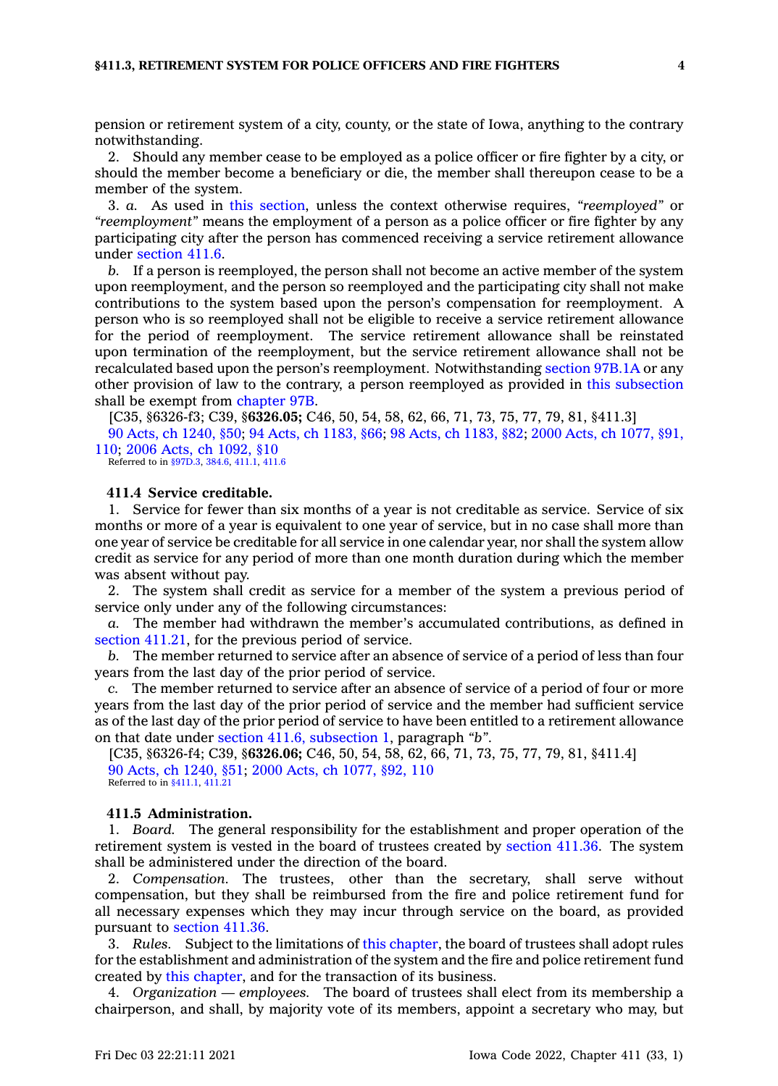pension or retirement system of <sup>a</sup> city, county, or the state of Iowa, anything to the contrary notwithstanding.

2. Should any member cease to be employed as <sup>a</sup> police officer or fire fighter by <sup>a</sup> city, or should the member become <sup>a</sup> beneficiary or die, the member shall thereupon cease to be <sup>a</sup> member of the system.

3. *a.* As used in this [section](https://www.legis.iowa.gov/docs/code/411.3.pdf), unless the context otherwise requires, *"reemployed"* or *"reemployment"* means the employment of <sup>a</sup> person as <sup>a</sup> police officer or fire fighter by any participating city after the person has commenced receiving <sup>a</sup> service retirement allowance under [section](https://www.legis.iowa.gov/docs/code/411.6.pdf) 411.6.

*b.* If <sup>a</sup> person is reemployed, the person shall not become an active member of the system upon reemployment, and the person so reemployed and the participating city shall not make contributions to the system based upon the person's compensation for reemployment. A person who is so reemployed shall not be eligible to receive <sup>a</sup> service retirement allowance for the period of reemployment. The service retirement allowance shall be reinstated upon termination of the reemployment, but the service retirement allowance shall not be recalculated based upon the person's reemployment. Notwithstanding section [97B.1A](https://www.legis.iowa.gov/docs/code/97B.1A.pdf) or any other provision of law to the contrary, <sup>a</sup> person reemployed as provided in this [subsection](https://www.legis.iowa.gov/docs/code/411.3.pdf) shall be exempt from [chapter](https://www.legis.iowa.gov/docs/code//97B.pdf) 97B.

[C35, §6326-f3; C39, §**6326.05;** C46, 50, 54, 58, 62, 66, 71, 73, 75, 77, 79, 81, §411.3]

90 Acts, ch [1240,](https://www.legis.iowa.gov/docs/acts/1990/CH1240.pdf) §50; 94 Acts, ch [1183,](https://www.legis.iowa.gov/docs/acts/1994/CH1183.pdf) §66; 98 Acts, ch [1183,](https://www.legis.iowa.gov/docs/acts/1998/CH1183.pdf) §82; 2000 Acts, ch [1077,](https://www.legis.iowa.gov/docs/acts/2000/CH1077.pdf) §91, [110](https://www.legis.iowa.gov/docs/acts/2000/CH1077.pdf); 2006 Acts, ch [1092,](https://www.legis.iowa.gov/docs/acts/2006/CH1092.pdf) §10

Referred to in [§97D.3](https://www.legis.iowa.gov/docs/code/97D.3.pdf), [384.6](https://www.legis.iowa.gov/docs/code/384.6.pdf), [411.1](https://www.legis.iowa.gov/docs/code/411.1.pdf), [411.6](https://www.legis.iowa.gov/docs/code/411.6.pdf)

### **411.4 Service creditable.**

1. Service for fewer than six months of <sup>a</sup> year is not creditable as service. Service of six months or more of <sup>a</sup> year is equivalent to one year of service, but in no case shall more than one year of service be creditable for all service in one calendar year, nor shall the system allow credit as service for any period of more than one month duration during which the member was absent without pay.

2. The system shall credit as service for <sup>a</sup> member of the system <sup>a</sup> previous period of service only under any of the following circumstances:

*a.* The member had withdrawn the member's accumulated contributions, as defined in section [411.21](https://www.legis.iowa.gov/docs/code/411.21.pdf), for the previous period of service.

*b.* The member returned to service after an absence of service of <sup>a</sup> period of less than four years from the last day of the prior period of service.

*c.* The member returned to service after an absence of service of <sup>a</sup> period of four or more years from the last day of the prior period of service and the member had sufficient service as of the last day of the prior period of service to have been entitled to <sup>a</sup> retirement allowance on that date under section 411.6, [subsection](https://www.legis.iowa.gov/docs/code/411.6.pdf) 1, paragraph *"b"*.

[C35, §6326-f4; C39, §**6326.06;** C46, 50, 54, 58, 62, 66, 71, 73, 75, 77, 79, 81, §411.4] 90 Acts, ch [1240,](https://www.legis.iowa.gov/docs/acts/1990/CH1240.pdf) §51; 2000 Acts, ch [1077,](https://www.legis.iowa.gov/docs/acts/2000/CH1077.pdf) §92, 110 Referred to in [§411.1](https://www.legis.iowa.gov/docs/code/411.1.pdf), [411.21](https://www.legis.iowa.gov/docs/code/411.21.pdf)

#### **411.5 Administration.**

1. *Board.* The general responsibility for the establishment and proper operation of the retirement system is vested in the board of trustees created by [section](https://www.legis.iowa.gov/docs/code/411.36.pdf) 411.36. The system shall be administered under the direction of the board.

2. *Compensation.* The trustees, other than the secretary, shall serve without compensation, but they shall be reimbursed from the fire and police retirement fund for all necessary expenses which they may incur through service on the board, as provided pursuant to [section](https://www.legis.iowa.gov/docs/code/411.36.pdf) 411.36.

3. *Rules.* Subject to the limitations of this [chapter](https://www.legis.iowa.gov/docs/code//411.pdf), the board of trustees shall adopt rules for the establishment and administration of the system and the fire and police retirement fund created by this [chapter](https://www.legis.iowa.gov/docs/code//411.pdf), and for the transaction of its business.

4. *Organization — employees.* The board of trustees shall elect from its membership <sup>a</sup> chairperson, and shall, by majority vote of its members, appoint <sup>a</sup> secretary who may, but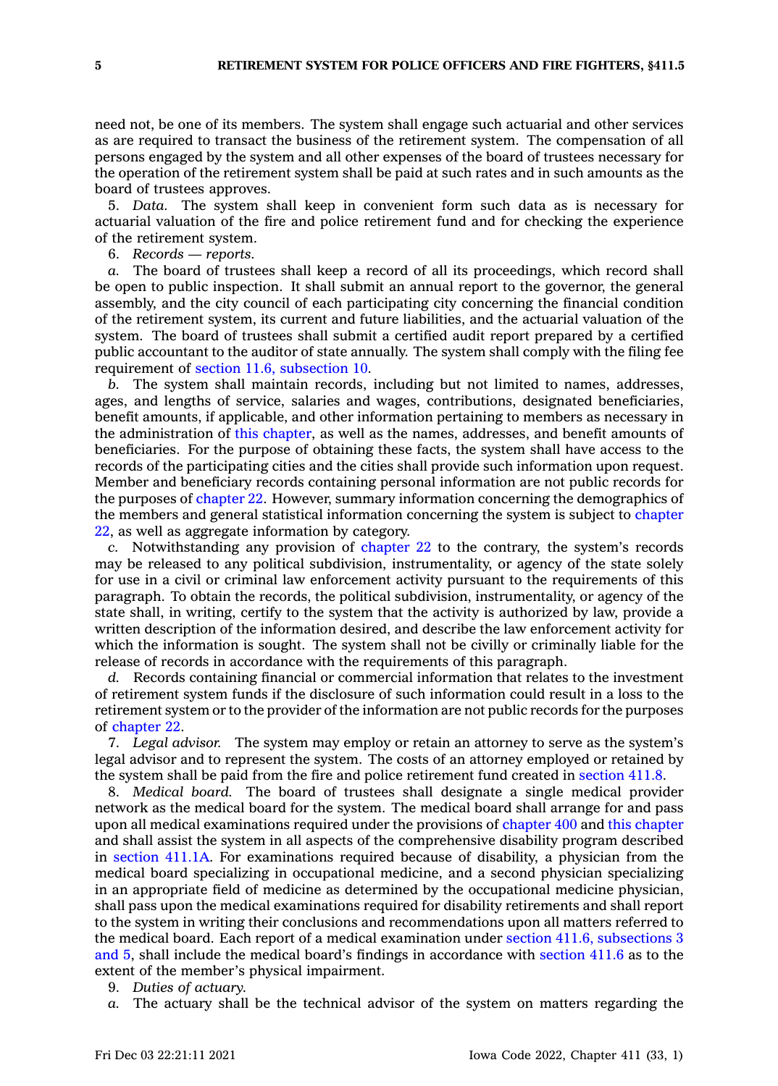need not, be one of its members. The system shall engage such actuarial and other services as are required to transact the business of the retirement system. The compensation of all persons engaged by the system and all other expenses of the board of trustees necessary for the operation of the retirement system shall be paid at such rates and in such amounts as the board of trustees approves.

5. *Data.* The system shall keep in convenient form such data as is necessary for actuarial valuation of the fire and police retirement fund and for checking the experience of the retirement system.

6. *Records — reports.*

*a.* The board of trustees shall keep <sup>a</sup> record of all its proceedings, which record shall be open to public inspection. It shall submit an annual report to the governor, the general assembly, and the city council of each participating city concerning the financial condition of the retirement system, its current and future liabilities, and the actuarial valuation of the system. The board of trustees shall submit <sup>a</sup> certified audit report prepared by <sup>a</sup> certified public accountant to the auditor of state annually. The system shall comply with the filing fee requirement of section 11.6, [subsection](https://www.legis.iowa.gov/docs/code/11.6.pdf) 10.

*b.* The system shall maintain records, including but not limited to names, addresses, ages, and lengths of service, salaries and wages, contributions, designated beneficiaries, benefit amounts, if applicable, and other information pertaining to members as necessary in the administration of this [chapter](https://www.legis.iowa.gov/docs/code//411.pdf), as well as the names, addresses, and benefit amounts of beneficiaries. For the purpose of obtaining these facts, the system shall have access to the records of the participating cities and the cities shall provide such information upon request. Member and beneficiary records containing personal information are not public records for the purposes of [chapter](https://www.legis.iowa.gov/docs/code//22.pdf) 22. However, summary information concerning the demographics of the members and general statistical information concerning the system is subject to [chapter](https://www.legis.iowa.gov/docs/code//22.pdf) [22](https://www.legis.iowa.gov/docs/code//22.pdf), as well as aggregate information by category.

*c.* Notwithstanding any provision of [chapter](https://www.legis.iowa.gov/docs/code//22.pdf) 22 to the contrary, the system's records may be released to any political subdivision, instrumentality, or agency of the state solely for use in <sup>a</sup> civil or criminal law enforcement activity pursuant to the requirements of this paragraph. To obtain the records, the political subdivision, instrumentality, or agency of the state shall, in writing, certify to the system that the activity is authorized by law, provide <sup>a</sup> written description of the information desired, and describe the law enforcement activity for which the information is sought. The system shall not be civilly or criminally liable for the release of records in accordance with the requirements of this paragraph.

*d.* Records containing financial or commercial information that relates to the investment of retirement system funds if the disclosure of such information could result in <sup>a</sup> loss to the retirement system or to the provider of the information are not public records for the purposes of [chapter](https://www.legis.iowa.gov/docs/code//22.pdf) 22.

7. *Legal advisor.* The system may employ or retain an attorney to serve as the system's legal advisor and to represent the system. The costs of an attorney employed or retained by the system shall be paid from the fire and police retirement fund created in [section](https://www.legis.iowa.gov/docs/code/411.8.pdf) 411.8.

8. *Medical board.* The board of trustees shall designate <sup>a</sup> single medical provider network as the medical board for the system. The medical board shall arrange for and pass upon all medical examinations required under the provisions of [chapter](https://www.legis.iowa.gov/docs/code//400.pdf) 400 and this [chapter](https://www.legis.iowa.gov/docs/code//411.pdf) and shall assist the system in all aspects of the comprehensive disability program described in [section](https://www.legis.iowa.gov/docs/code/411.1A.pdf) 411.1A. For examinations required because of disability, <sup>a</sup> physician from the medical board specializing in occupational medicine, and <sup>a</sup> second physician specializing in an appropriate field of medicine as determined by the occupational medicine physician, shall pass upon the medical examinations required for disability retirements and shall report to the system in writing their conclusions and recommendations upon all matters referred to the medical board. Each report of <sup>a</sup> medical examination under section 411.6, [subsections](https://www.legis.iowa.gov/docs/code/411.6.pdf) 3 [and](https://www.legis.iowa.gov/docs/code/411.6.pdf) 5, shall include the medical board's findings in accordance with [section](https://www.legis.iowa.gov/docs/code/411.6.pdf) 411.6 as to the extent of the member's physical impairment.

9. *Duties of actuary.*

*a.* The actuary shall be the technical advisor of the system on matters regarding the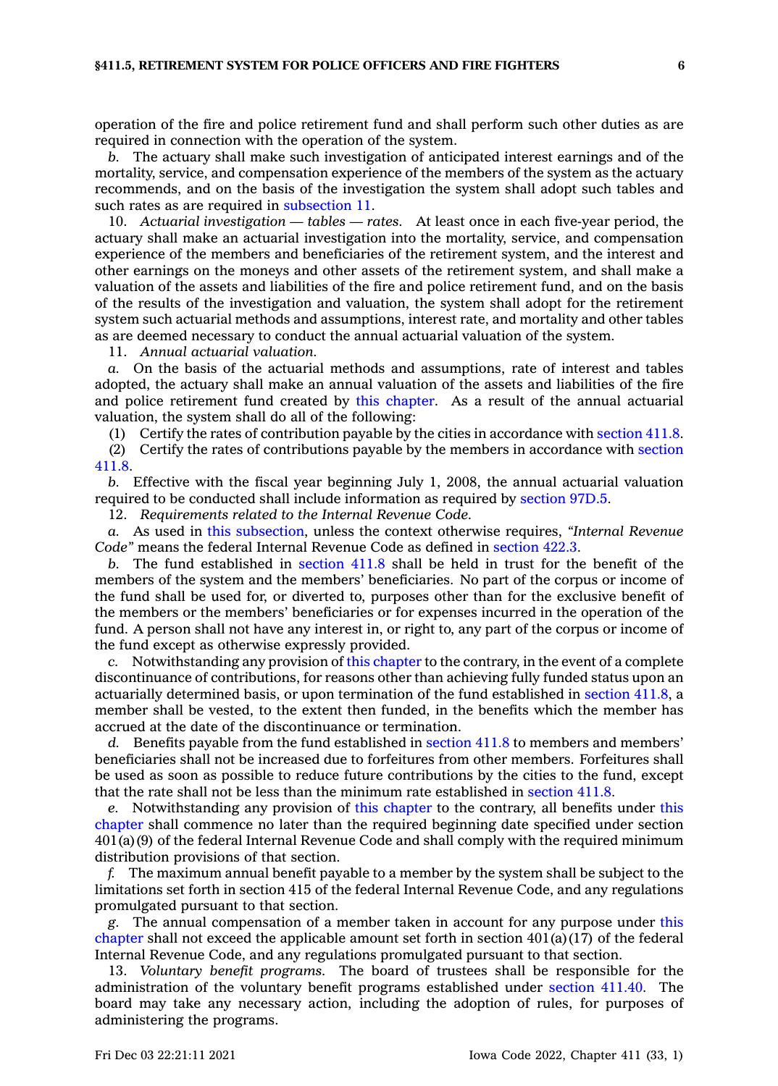operation of the fire and police retirement fund and shall perform such other duties as are required in connection with the operation of the system.

*b.* The actuary shall make such investigation of anticipated interest earnings and of the mortality, service, and compensation experience of the members of the system as the actuary recommends, and on the basis of the investigation the system shall adopt such tables and such rates as are required in [subsection](https://www.legis.iowa.gov/docs/code/411.5.pdf) 11.

10. *Actuarial investigation — tables — rates.* At least once in each five-year period, the actuary shall make an actuarial investigation into the mortality, service, and compensation experience of the members and beneficiaries of the retirement system, and the interest and other earnings on the moneys and other assets of the retirement system, and shall make <sup>a</sup> valuation of the assets and liabilities of the fire and police retirement fund, and on the basis of the results of the investigation and valuation, the system shall adopt for the retirement system such actuarial methods and assumptions, interest rate, and mortality and other tables as are deemed necessary to conduct the annual actuarial valuation of the system.

11. *Annual actuarial valuation.*

*a.* On the basis of the actuarial methods and assumptions, rate of interest and tables adopted, the actuary shall make an annual valuation of the assets and liabilities of the fire and police retirement fund created by this [chapter](https://www.legis.iowa.gov/docs/code//411.pdf). As <sup>a</sup> result of the annual actuarial valuation, the system shall do all of the following:

(1) Certify the rates of contribution payable by the cities in accordance with [section](https://www.legis.iowa.gov/docs/code/411.8.pdf) 411.8.

(2) Certify the rates of contributions payable by the members in accordance with [section](https://www.legis.iowa.gov/docs/code/411.8.pdf) [411.8](https://www.legis.iowa.gov/docs/code/411.8.pdf).

*b.* Effective with the fiscal year beginning July 1, 2008, the annual actuarial valuation required to be conducted shall include information as required by [section](https://www.legis.iowa.gov/docs/code/97D.5.pdf) 97D.5.

12. *Requirements related to the Internal Revenue Code.*

*a.* As used in this [subsection](https://www.legis.iowa.gov/docs/code/411.5.pdf), unless the context otherwise requires, *"Internal Revenue Code"* means the federal Internal Revenue Code as defined in [section](https://www.legis.iowa.gov/docs/code/422.3.pdf) 422.3.

*b.* The fund established in [section](https://www.legis.iowa.gov/docs/code/411.8.pdf) 411.8 shall be held in trust for the benefit of the members of the system and the members' beneficiaries. No part of the corpus or income of the fund shall be used for, or diverted to, purposes other than for the exclusive benefit of the members or the members' beneficiaries or for expenses incurred in the operation of the fund. A person shall not have any interest in, or right to, any part of the corpus or income of the fund except as otherwise expressly provided.

*c.* Notwithstanding any provision of this [chapter](https://www.legis.iowa.gov/docs/code//411.pdf) to the contrary, in the event of <sup>a</sup> complete discontinuance of contributions, for reasons other than achieving fully funded status upon an actuarially determined basis, or upon termination of the fund established in [section](https://www.legis.iowa.gov/docs/code/411.8.pdf) 411.8, <sup>a</sup> member shall be vested, to the extent then funded, in the benefits which the member has accrued at the date of the discontinuance or termination.

d. Benefits payable from the fund established in [section](https://www.legis.iowa.gov/docs/code/411.8.pdf) 411.8 to members and members' beneficiaries shall not be increased due to forfeitures from other members. Forfeitures shall be used as soon as possible to reduce future contributions by the cities to the fund, except that the rate shall not be less than the minimum rate established in [section](https://www.legis.iowa.gov/docs/code/411.8.pdf) 411.8.

*e.* Notwithstanding any provision of this [chapter](https://www.legis.iowa.gov/docs/code//411.pdf) to the contrary, all benefits under [this](https://www.legis.iowa.gov/docs/code//411.pdf) [chapter](https://www.legis.iowa.gov/docs/code//411.pdf) shall commence no later than the required beginning date specified under section 401(a)(9) of the federal Internal Revenue Code and shall comply with the required minimum distribution provisions of that section.

*f.* The maximum annual benefit payable to <sup>a</sup> member by the system shall be subject to the limitations set forth in section 415 of the federal Internal Revenue Code, and any regulations promulgated pursuant to that section.

*g.* The annual compensation of <sup>a</sup> member taken in account for any purpose under [this](https://www.legis.iowa.gov/docs/code//411.pdf) [chapter](https://www.legis.iowa.gov/docs/code//411.pdf) shall not exceed the applicable amount set forth in section  $401(a)(17)$  of the federal Internal Revenue Code, and any regulations promulgated pursuant to that section.

13. *Voluntary benefit programs.* The board of trustees shall be responsible for the administration of the voluntary benefit programs established under [section](https://www.legis.iowa.gov/docs/code/411.40.pdf) 411.40. The board may take any necessary action, including the adoption of rules, for purposes of administering the programs.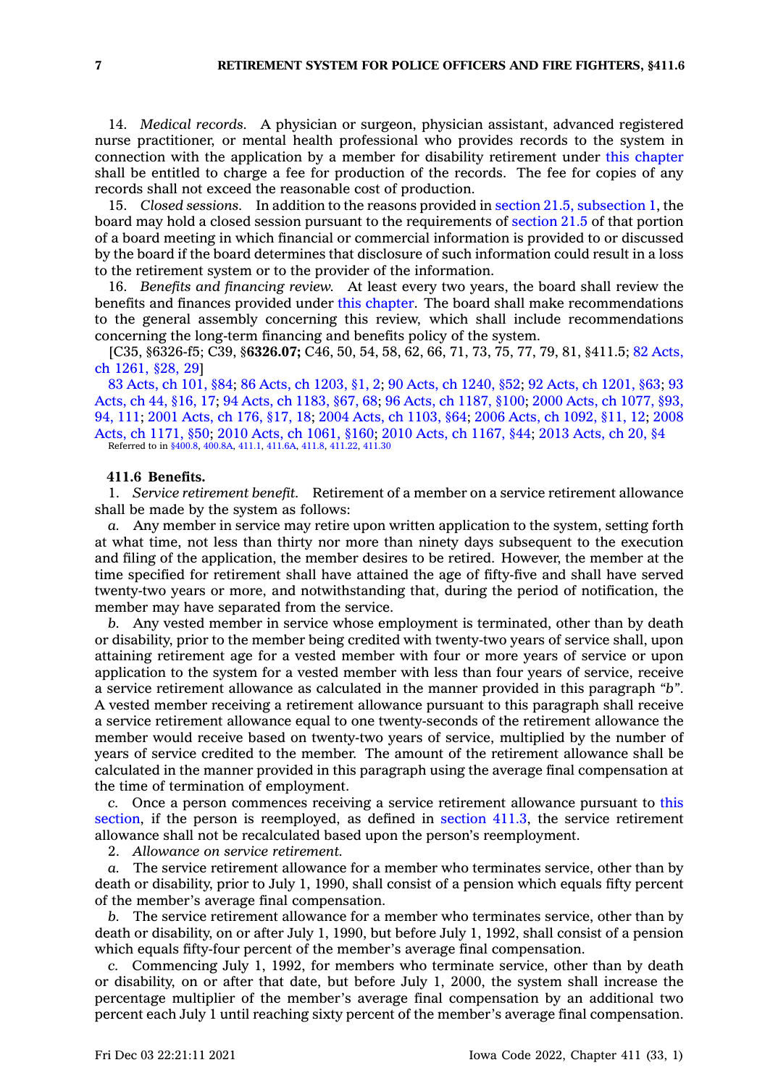14. *Medical records.* A physician or surgeon, physician assistant, advanced registered nurse practitioner, or mental health professional who provides records to the system in connection with the application by <sup>a</sup> member for disability retirement under this [chapter](https://www.legis.iowa.gov/docs/code//411.pdf) shall be entitled to charge <sup>a</sup> fee for production of the records. The fee for copies of any records shall not exceed the reasonable cost of production.

15. *Closed sessions.* In addition to the reasons provided in section 21.5, [subsection](https://www.legis.iowa.gov/docs/code/21.5.pdf) 1, the board may hold <sup>a</sup> closed session pursuant to the requirements of [section](https://www.legis.iowa.gov/docs/code/21.5.pdf) 21.5 of that portion of <sup>a</sup> board meeting in which financial or commercial information is provided to or discussed by the board if the board determines that disclosure of such information could result in <sup>a</sup> loss to the retirement system or to the provider of the information.

16. *Benefits and financing review.* At least every two years, the board shall review the benefits and finances provided under this [chapter](https://www.legis.iowa.gov/docs/code//411.pdf). The board shall make recommendations to the general assembly concerning this review, which shall include recommendations concerning the long-term financing and benefits policy of the system.

[C35, §6326-f5; C39, §**6326.07;** C46, 50, 54, 58, 62, 66, 71, 73, 75, 77, 79, 81, §411.5; 82 [Acts,](https://www.legis.iowa.gov/docs/acts/1982/CH1261.pdf) ch [1261,](https://www.legis.iowa.gov/docs/acts/1982/CH1261.pdf) §28, 29]

83 [Acts,](https://www.legis.iowa.gov/docs/acts/1983/CH0101.pdf) ch 101, §84; 86 Acts, ch [1203,](https://www.legis.iowa.gov/docs/acts/86/CH1203.pdf) §1, 2; 90 Acts, ch [1240,](https://www.legis.iowa.gov/docs/acts/90/CH1240.pdf) §52; 92 Acts, ch [1201,](https://www.legis.iowa.gov/docs/acts/92/CH1201.pdf) §63; [93](https://www.legis.iowa.gov/docs/acts/93/CH0044.pdf) [Acts,](https://www.legis.iowa.gov/docs/acts/93/CH0044.pdf) ch 44, §16, 17; 94 Acts, ch [1183,](https://www.legis.iowa.gov/docs/acts/94/CH1183.pdf) §67, 68; 96 Acts, ch [1187,](https://www.legis.iowa.gov/docs/acts/96/CH1187.pdf) §100; 2000 Acts, ch [1077,](https://www.legis.iowa.gov/docs/acts/2000/CH1077.pdf) §93, 94, [111](https://www.legis.iowa.gov/docs/acts/2000/CH1077.pdf); 2001 [Acts,](https://www.legis.iowa.gov/docs/acts/2001/CH0176.pdf) ch 176, §17, 18; 2004 Acts, ch [1103,](https://www.legis.iowa.gov/docs/acts/2004/CH1103.pdf) §64; 2006 Acts, ch [1092,](https://www.legis.iowa.gov/docs/acts/2006/CH1092.pdf) §11, 12; [2008](https://www.legis.iowa.gov/docs/acts/2008/CH1171.pdf) Acts, ch [1171,](https://www.legis.iowa.gov/docs/acts/2008/CH1171.pdf) §50; 2010 Acts, ch [1061,](https://www.legis.iowa.gov/docs/acts/2010/CH1061.pdf) §160; 2010 Acts, ch [1167,](https://www.legis.iowa.gov/docs/acts/2010/CH1167.pdf) §44; 2013 [Acts,](https://www.legis.iowa.gov/docs/acts/2013/CH0020.pdf) ch 20, §4 Referred to in [§400.8](https://www.legis.iowa.gov/docs/code/400.8.pdf), [400.8A](https://www.legis.iowa.gov/docs/code/400.8A.pdf), [411.1](https://www.legis.iowa.gov/docs/code/411.1.pdf), [411.6A](https://www.legis.iowa.gov/docs/code/411.6A.pdf), [411.8](https://www.legis.iowa.gov/docs/code/411.8.pdf), [411.22](https://www.legis.iowa.gov/docs/code/411.22.pdf), [411.30](https://www.legis.iowa.gov/docs/code/411.30.pdf)

### **411.6 Benefits.**

1. *Service retirement benefit.* Retirement of <sup>a</sup> member on <sup>a</sup> service retirement allowance shall be made by the system as follows:

*a.* Any member in service may retire upon written application to the system, setting forth at what time, not less than thirty nor more than ninety days subsequent to the execution and filing of the application, the member desires to be retired. However, the member at the time specified for retirement shall have attained the age of fifty-five and shall have served twenty-two years or more, and notwithstanding that, during the period of notification, the member may have separated from the service.

*b.* Any vested member in service whose employment is terminated, other than by death or disability, prior to the member being credited with twenty-two years of service shall, upon attaining retirement age for <sup>a</sup> vested member with four or more years of service or upon application to the system for <sup>a</sup> vested member with less than four years of service, receive <sup>a</sup> service retirement allowance as calculated in the manner provided in this paragraph *"b"*. A vested member receiving <sup>a</sup> retirement allowance pursuant to this paragraph shall receive <sup>a</sup> service retirement allowance equal to one twenty-seconds of the retirement allowance the member would receive based on twenty-two years of service, multiplied by the number of years of service credited to the member. The amount of the retirement allowance shall be calculated in the manner provided in this paragraph using the average final compensation at the time of termination of employment.

*c.* Once <sup>a</sup> person commences receiving <sup>a</sup> service retirement allowance pursuant to [this](https://www.legis.iowa.gov/docs/code/411.6.pdf) [section](https://www.legis.iowa.gov/docs/code/411.6.pdf), if the person is reemployed, as defined in [section](https://www.legis.iowa.gov/docs/code/411.3.pdf) 411.3, the service retirement allowance shall not be recalculated based upon the person's reemployment.

2. *Allowance on service retirement.*

The service retirement allowance for a member who terminates service, other than by death or disability, prior to July 1, 1990, shall consist of <sup>a</sup> pension which equals fifty percent of the member's average final compensation.

*b.* The service retirement allowance for <sup>a</sup> member who terminates service, other than by death or disability, on or after July 1, 1990, but before July 1, 1992, shall consist of <sup>a</sup> pension which equals fifty-four percent of the member's average final compensation.

*c.* Commencing July 1, 1992, for members who terminate service, other than by death or disability, on or after that date, but before July 1, 2000, the system shall increase the percentage multiplier of the member's average final compensation by an additional two percent each July 1 until reaching sixty percent of the member's average final compensation.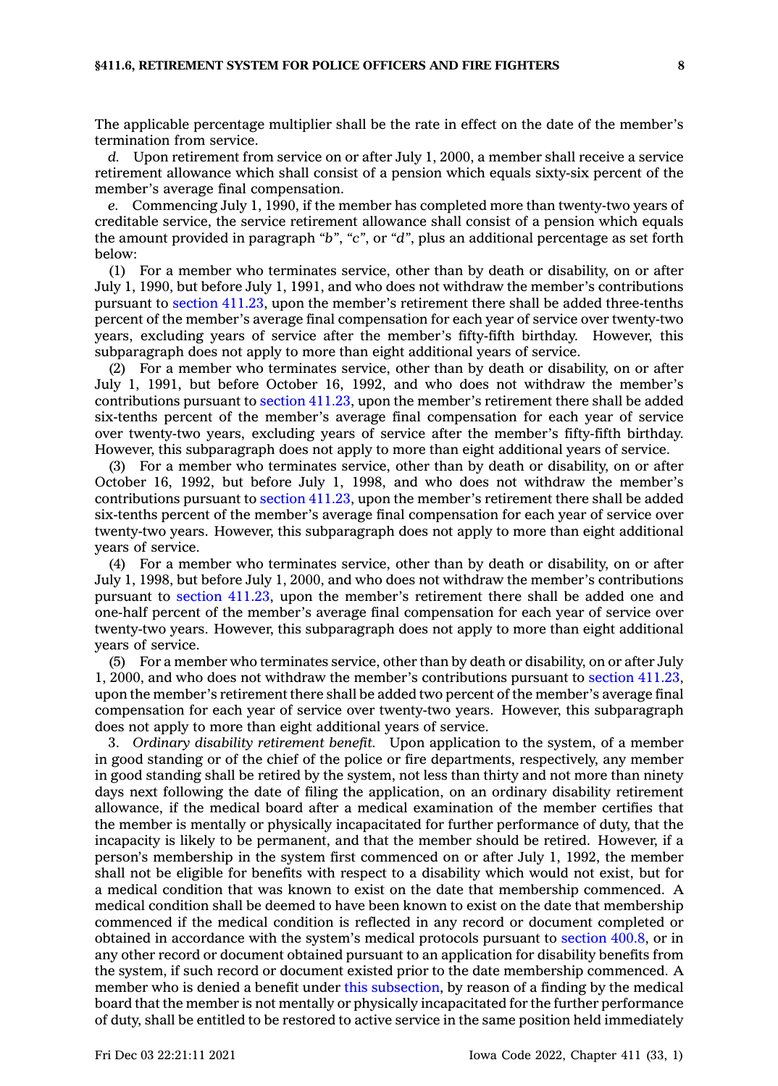The applicable percentage multiplier shall be the rate in effect on the date of the member's termination from service.

*d.* Upon retirement from service on or after July 1, 2000, <sup>a</sup> member shall receive <sup>a</sup> service retirement allowance which shall consist of <sup>a</sup> pension which equals sixty-six percent of the member's average final compensation.

*e.* Commencing July 1, 1990, if the member has completed more than twenty-two years of creditable service, the service retirement allowance shall consist of <sup>a</sup> pension which equals the amount provided in paragraph *"b"*, *"c"*, or *"d"*, plus an additional percentage as set forth below:

(1) For <sup>a</sup> member who terminates service, other than by death or disability, on or after July 1, 1990, but before July 1, 1991, and who does not withdraw the member's contributions pursuant to section [411.23](https://www.legis.iowa.gov/docs/code/411.23.pdf), upon the member's retirement there shall be added three-tenths percent of the member's average final compensation for each year of service over twenty-two years, excluding years of service after the member's fifty-fifth birthday. However, this subparagraph does not apply to more than eight additional years of service.

(2) For <sup>a</sup> member who terminates service, other than by death or disability, on or after July 1, 1991, but before October 16, 1992, and who does not withdraw the member's contributions pursuant to section [411.23](https://www.legis.iowa.gov/docs/code/411.23.pdf), upon the member's retirement there shall be added six-tenths percent of the member's average final compensation for each year of service over twenty-two years, excluding years of service after the member's fifty-fifth birthday. However, this subparagraph does not apply to more than eight additional years of service.

(3) For <sup>a</sup> member who terminates service, other than by death or disability, on or after October 16, 1992, but before July 1, 1998, and who does not withdraw the member's contributions pursuant to section [411.23](https://www.legis.iowa.gov/docs/code/411.23.pdf), upon the member's retirement there shall be added six-tenths percent of the member's average final compensation for each year of service over twenty-two years. However, this subparagraph does not apply to more than eight additional years of service.

(4) For <sup>a</sup> member who terminates service, other than by death or disability, on or after July 1, 1998, but before July 1, 2000, and who does not withdraw the member's contributions pursuant to section [411.23](https://www.legis.iowa.gov/docs/code/411.23.pdf), upon the member's retirement there shall be added one and one-half percent of the member's average final compensation for each year of service over twenty-two years. However, this subparagraph does not apply to more than eight additional years of service.

(5) For <sup>a</sup> member who terminates service, other than by death or disability, on or after July 1, 2000, and who does not withdraw the member's contributions pursuant to section [411.23](https://www.legis.iowa.gov/docs/code/411.23.pdf), upon the member's retirement there shall be added two percent of the member's average final compensation for each year of service over twenty-two years. However, this subparagraph does not apply to more than eight additional years of service.

3. *Ordinary disability retirement benefit.* Upon application to the system, of <sup>a</sup> member in good standing or of the chief of the police or fire departments, respectively, any member in good standing shall be retired by the system, not less than thirty and not more than ninety days next following the date of filing the application, on an ordinary disability retirement allowance, if the medical board after <sup>a</sup> medical examination of the member certifies that the member is mentally or physically incapacitated for further performance of duty, that the incapacity is likely to be permanent, and that the member should be retired. However, if <sup>a</sup> person's membership in the system first commenced on or after July 1, 1992, the member shall not be eligible for benefits with respect to <sup>a</sup> disability which would not exist, but for <sup>a</sup> medical condition that was known to exist on the date that membership commenced. A medical condition shall be deemed to have been known to exist on the date that membership commenced if the medical condition is reflected in any record or document completed or obtained in accordance with the system's medical protocols pursuant to [section](https://www.legis.iowa.gov/docs/code/400.8.pdf) 400.8, or in any other record or document obtained pursuant to an application for disability benefits from the system, if such record or document existed prior to the date membership commenced. A member who is denied <sup>a</sup> benefit under this [subsection](https://www.legis.iowa.gov/docs/code/411.6.pdf), by reason of <sup>a</sup> finding by the medical board that the member is not mentally or physically incapacitated for the further performance of duty, shall be entitled to be restored to active service in the same position held immediately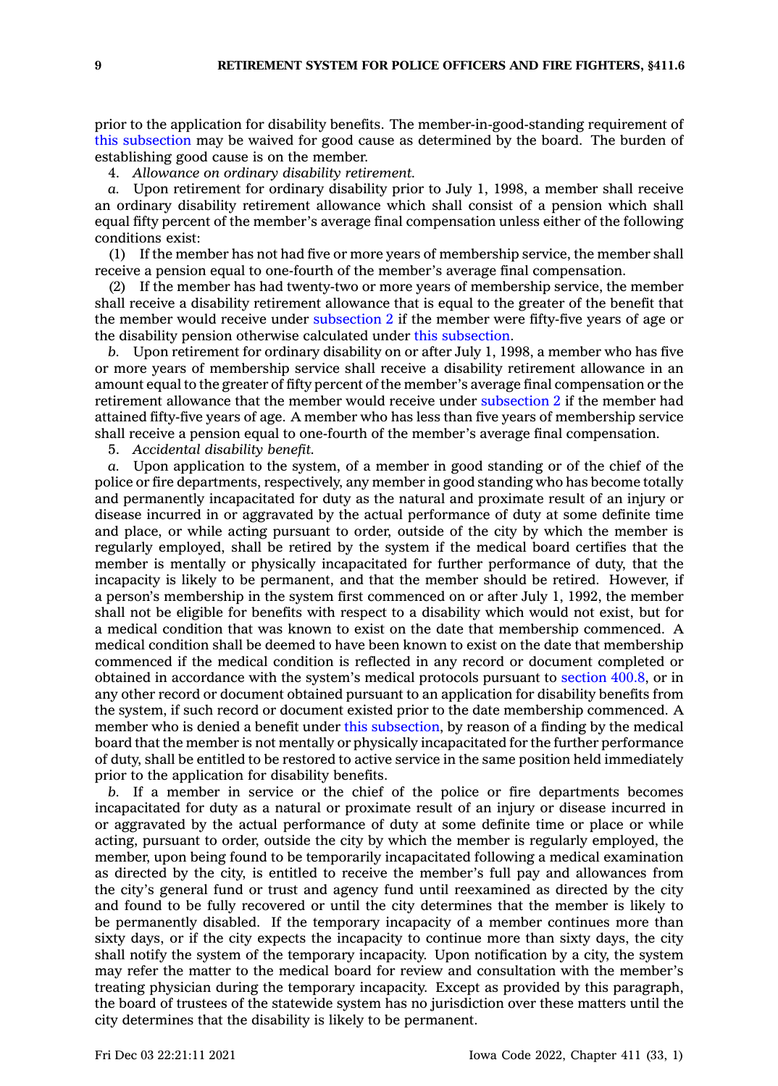prior to the application for disability benefits. The member-in-good-standing requirement of this [subsection](https://www.legis.iowa.gov/docs/code/411.6.pdf) may be waived for good cause as determined by the board. The burden of establishing good cause is on the member.

4. *Allowance on ordinary disability retirement.*

*a.* Upon retirement for ordinary disability prior to July 1, 1998, <sup>a</sup> member shall receive an ordinary disability retirement allowance which shall consist of <sup>a</sup> pension which shall equal fifty percent of the member's average final compensation unless either of the following conditions exist:

(1) If the member has not had five or more years of membership service, the member shall receive <sup>a</sup> pension equal to one-fourth of the member's average final compensation.

(2) If the member has had twenty-two or more years of membership service, the member shall receive <sup>a</sup> disability retirement allowance that is equal to the greater of the benefit that the member would receive under [subsection](https://www.legis.iowa.gov/docs/code/411.6.pdf) 2 if the member were fifty-five years of age or the disability pension otherwise calculated under this [subsection](https://www.legis.iowa.gov/docs/code/411.6.pdf).

*b.* Upon retirement for ordinary disability on or after July 1, 1998, <sup>a</sup> member who has five or more years of membership service shall receive <sup>a</sup> disability retirement allowance in an amount equal to the greater of fifty percent of the member's average final compensation or the retirement allowance that the member would receive under [subsection](https://www.legis.iowa.gov/docs/code/411.6.pdf) 2 if the member had attained fifty-five years of age. A member who has less than five years of membership service shall receive <sup>a</sup> pension equal to one-fourth of the member's average final compensation.

5. *Accidental disability benefit.*

*a.* Upon application to the system, of <sup>a</sup> member in good standing or of the chief of the police or fire departments, respectively, any member in good standing who has become totally and permanently incapacitated for duty as the natural and proximate result of an injury or disease incurred in or aggravated by the actual performance of duty at some definite time and place, or while acting pursuant to order, outside of the city by which the member is regularly employed, shall be retired by the system if the medical board certifies that the member is mentally or physically incapacitated for further performance of duty, that the incapacity is likely to be permanent, and that the member should be retired. However, if <sup>a</sup> person's membership in the system first commenced on or after July 1, 1992, the member shall not be eligible for benefits with respect to <sup>a</sup> disability which would not exist, but for <sup>a</sup> medical condition that was known to exist on the date that membership commenced. A medical condition shall be deemed to have been known to exist on the date that membership commenced if the medical condition is reflected in any record or document completed or obtained in accordance with the system's medical protocols pursuant to [section](https://www.legis.iowa.gov/docs/code/400.8.pdf) 400.8, or in any other record or document obtained pursuant to an application for disability benefits from the system, if such record or document existed prior to the date membership commenced. A member who is denied <sup>a</sup> benefit under this [subsection](https://www.legis.iowa.gov/docs/code/411.6.pdf), by reason of <sup>a</sup> finding by the medical board that the member is not mentally or physically incapacitated for the further performance of duty, shall be entitled to be restored to active service in the same position held immediately prior to the application for disability benefits.

*b.* If <sup>a</sup> member in service or the chief of the police or fire departments becomes incapacitated for duty as <sup>a</sup> natural or proximate result of an injury or disease incurred in or aggravated by the actual performance of duty at some definite time or place or while acting, pursuant to order, outside the city by which the member is regularly employed, the member, upon being found to be temporarily incapacitated following <sup>a</sup> medical examination as directed by the city, is entitled to receive the member's full pay and allowances from the city's general fund or trust and agency fund until reexamined as directed by the city and found to be fully recovered or until the city determines that the member is likely to be permanently disabled. If the temporary incapacity of <sup>a</sup> member continues more than sixty days, or if the city expects the incapacity to continue more than sixty days, the city shall notify the system of the temporary incapacity. Upon notification by <sup>a</sup> city, the system may refer the matter to the medical board for review and consultation with the member's treating physician during the temporary incapacity. Except as provided by this paragraph, the board of trustees of the statewide system has no jurisdiction over these matters until the city determines that the disability is likely to be permanent.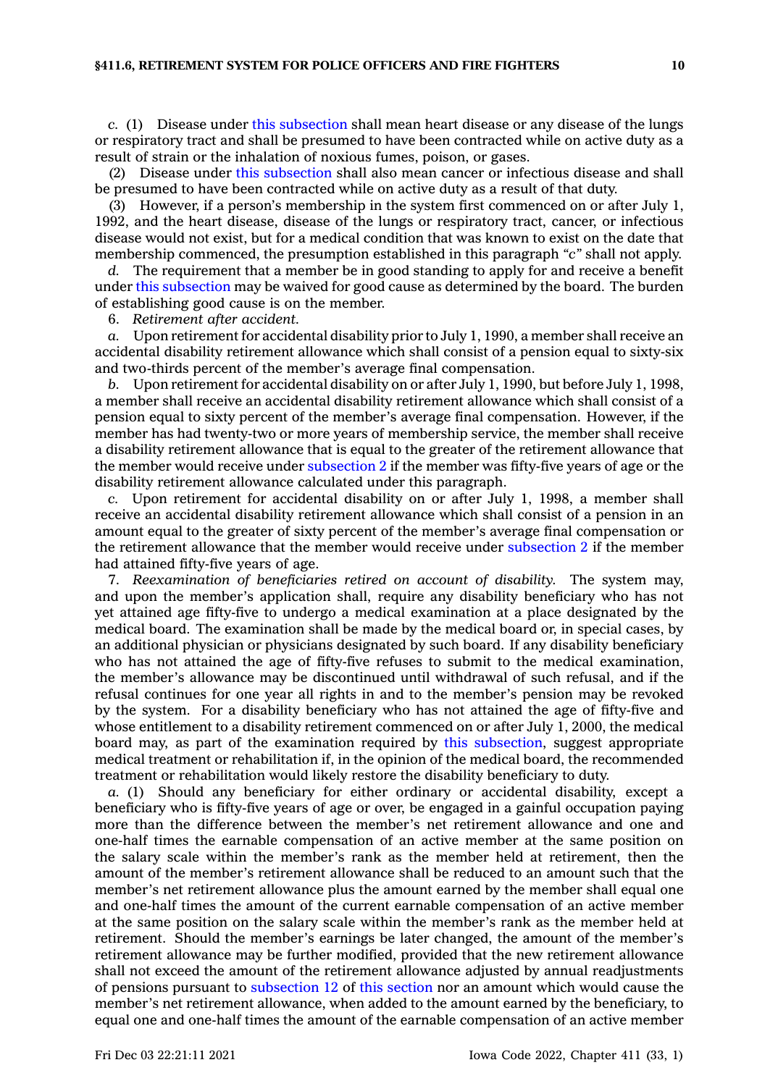*c.* (1) Disease under this [subsection](https://www.legis.iowa.gov/docs/code/411.6.pdf) shall mean heart disease or any disease of the lungs or respiratory tract and shall be presumed to have been contracted while on active duty as <sup>a</sup> result of strain or the inhalation of noxious fumes, poison, or gases.

(2) Disease under this [subsection](https://www.legis.iowa.gov/docs/code/411.6.pdf) shall also mean cancer or infectious disease and shall be presumed to have been contracted while on active duty as <sup>a</sup> result of that duty.

(3) However, if <sup>a</sup> person's membership in the system first commenced on or after July 1, 1992, and the heart disease, disease of the lungs or respiratory tract, cancer, or infectious disease would not exist, but for <sup>a</sup> medical condition that was known to exist on the date that membership commenced, the presumption established in this paragraph *"c"* shall not apply.

The requirement that a member be in good standing to apply for and receive a benefit under this [subsection](https://www.legis.iowa.gov/docs/code/411.6.pdf) may be waived for good cause as determined by the board. The burden of establishing good cause is on the member.

6. *Retirement after accident.*

*a.* Upon retirement for accidental disability prior to July 1, 1990, <sup>a</sup> member shall receive an accidental disability retirement allowance which shall consist of <sup>a</sup> pension equal to sixty-six and two-thirds percent of the member's average final compensation.

*b.* Upon retirement for accidental disability on or after July 1, 1990, but before July 1, 1998, <sup>a</sup> member shall receive an accidental disability retirement allowance which shall consist of <sup>a</sup> pension equal to sixty percent of the member's average final compensation. However, if the member has had twenty-two or more years of membership service, the member shall receive <sup>a</sup> disability retirement allowance that is equal to the greater of the retirement allowance that the member would receive under [subsection](https://www.legis.iowa.gov/docs/code/411.6.pdf) 2 if the member was fifty-five years of age or the disability retirement allowance calculated under this paragraph.

*c.* Upon retirement for accidental disability on or after July 1, 1998, <sup>a</sup> member shall receive an accidental disability retirement allowance which shall consist of <sup>a</sup> pension in an amount equal to the greater of sixty percent of the member's average final compensation or the retirement allowance that the member would receive under [subsection](https://www.legis.iowa.gov/docs/code/411.6.pdf) 2 if the member had attained fifty-five years of age.

7. *Reexamination of beneficiaries retired on account of disability.* The system may, and upon the member's application shall, require any disability beneficiary who has not yet attained age fifty-five to undergo <sup>a</sup> medical examination at <sup>a</sup> place designated by the medical board. The examination shall be made by the medical board or, in special cases, by an additional physician or physicians designated by such board. If any disability beneficiary who has not attained the age of fifty-five refuses to submit to the medical examination, the member's allowance may be discontinued until withdrawal of such refusal, and if the refusal continues for one year all rights in and to the member's pension may be revoked by the system. For <sup>a</sup> disability beneficiary who has not attained the age of fifty-five and whose entitlement to <sup>a</sup> disability retirement commenced on or after July 1, 2000, the medical board may, as part of the examination required by this [subsection](https://www.legis.iowa.gov/docs/code/411.6.pdf), suggest appropriate medical treatment or rehabilitation if, in the opinion of the medical board, the recommended treatment or rehabilitation would likely restore the disability beneficiary to duty.

*a.* (1) Should any beneficiary for either ordinary or accidental disability, except <sup>a</sup> beneficiary who is fifty-five years of age or over, be engaged in <sup>a</sup> gainful occupation paying more than the difference between the member's net retirement allowance and one and one-half times the earnable compensation of an active member at the same position on the salary scale within the member's rank as the member held at retirement, then the amount of the member's retirement allowance shall be reduced to an amount such that the member's net retirement allowance plus the amount earned by the member shall equal one and one-half times the amount of the current earnable compensation of an active member at the same position on the salary scale within the member's rank as the member held at retirement. Should the member's earnings be later changed, the amount of the member's retirement allowance may be further modified, provided that the new retirement allowance shall not exceed the amount of the retirement allowance adjusted by annual readjustments of pensions pursuant to [subsection](https://www.legis.iowa.gov/docs/code/411.6.pdf) 12 of this [section](https://www.legis.iowa.gov/docs/code/411.6.pdf) nor an amount which would cause the member's net retirement allowance, when added to the amount earned by the beneficiary, to equal one and one-half times the amount of the earnable compensation of an active member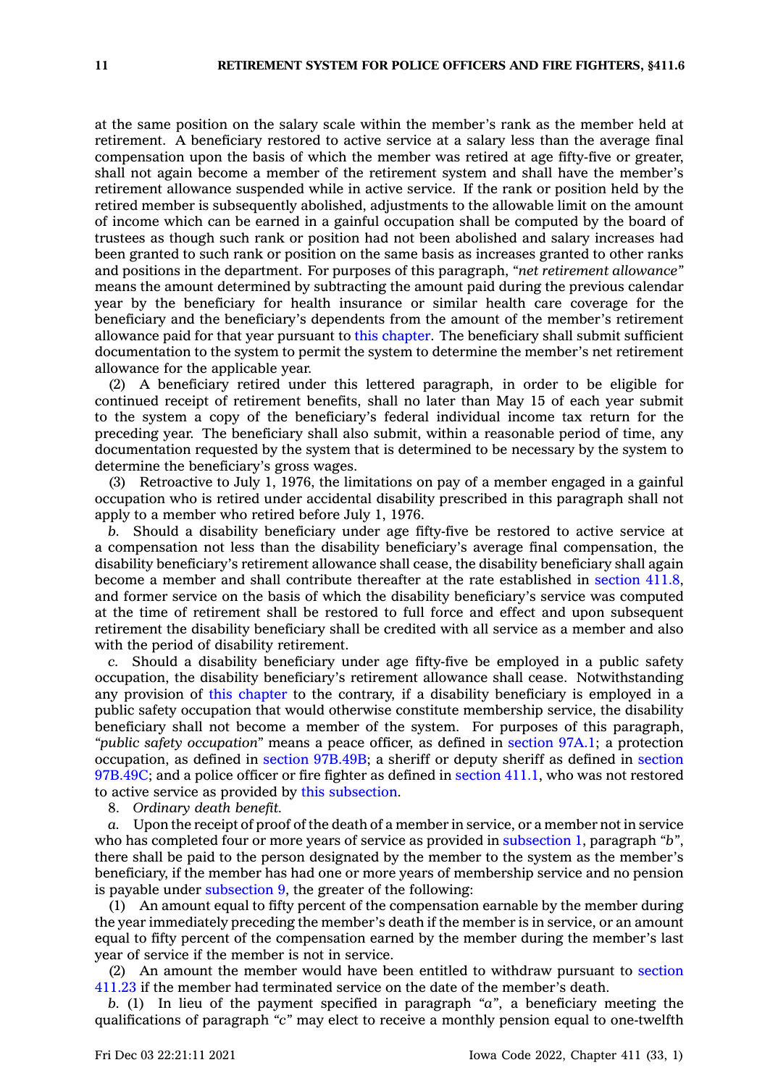at the same position on the salary scale within the member's rank as the member held at retirement. A beneficiary restored to active service at <sup>a</sup> salary less than the average final compensation upon the basis of which the member was retired at age fifty-five or greater, shall not again become <sup>a</sup> member of the retirement system and shall have the member's retirement allowance suspended while in active service. If the rank or position held by the retired member is subsequently abolished, adjustments to the allowable limit on the amount of income which can be earned in <sup>a</sup> gainful occupation shall be computed by the board of trustees as though such rank or position had not been abolished and salary increases had been granted to such rank or position on the same basis as increases granted to other ranks and positions in the department. For purposes of this paragraph, *"net retirement allowance"* means the amount determined by subtracting the amount paid during the previous calendar year by the beneficiary for health insurance or similar health care coverage for the beneficiary and the beneficiary's dependents from the amount of the member's retirement allowance paid for that year pursuant to this [chapter](https://www.legis.iowa.gov/docs/code//411.pdf). The beneficiary shall submit sufficient documentation to the system to permit the system to determine the member's net retirement allowance for the applicable year.

(2) A beneficiary retired under this lettered paragraph, in order to be eligible for continued receipt of retirement benefits, shall no later than May 15 of each year submit to the system <sup>a</sup> copy of the beneficiary's federal individual income tax return for the preceding year. The beneficiary shall also submit, within <sup>a</sup> reasonable period of time, any documentation requested by the system that is determined to be necessary by the system to determine the beneficiary's gross wages.

(3) Retroactive to July 1, 1976, the limitations on pay of <sup>a</sup> member engaged in <sup>a</sup> gainful occupation who is retired under accidental disability prescribed in this paragraph shall not apply to <sup>a</sup> member who retired before July 1, 1976.

*b.* Should <sup>a</sup> disability beneficiary under age fifty-five be restored to active service at <sup>a</sup> compensation not less than the disability beneficiary's average final compensation, the disability beneficiary's retirement allowance shall cease, the disability beneficiary shall again become <sup>a</sup> member and shall contribute thereafter at the rate established in [section](https://www.legis.iowa.gov/docs/code/411.8.pdf) 411.8, and former service on the basis of which the disability beneficiary's service was computed at the time of retirement shall be restored to full force and effect and upon subsequent retirement the disability beneficiary shall be credited with all service as <sup>a</sup> member and also with the period of disability retirement.

*c.* Should <sup>a</sup> disability beneficiary under age fifty-five be employed in <sup>a</sup> public safety occupation, the disability beneficiary's retirement allowance shall cease. Notwithstanding any provision of this [chapter](https://www.legis.iowa.gov/docs/code//411.pdf) to the contrary, if <sup>a</sup> disability beneficiary is employed in <sup>a</sup> public safety occupation that would otherwise constitute membership service, the disability beneficiary shall not become <sup>a</sup> member of the system. For purposes of this paragraph, *"public safety occupation"* means <sup>a</sup> peace officer, as defined in section [97A.1](https://www.legis.iowa.gov/docs/code/97A.1.pdf); <sup>a</sup> protection occupation, as defined in section [97B.49B](https://www.legis.iowa.gov/docs/code/97B.49B.pdf); <sup>a</sup> sheriff or deputy sheriff as defined in [section](https://www.legis.iowa.gov/docs/code/97B.49C.pdf) [97B.49C](https://www.legis.iowa.gov/docs/code/97B.49C.pdf); and <sup>a</sup> police officer or fire fighter as defined in [section](https://www.legis.iowa.gov/docs/code/411.1.pdf) 411.1, who was not restored to active service as provided by this [subsection](https://www.legis.iowa.gov/docs/code/411.6.pdf).

8. *Ordinary death benefit.*

*a.* Upon the receipt of proof of the death of <sup>a</sup> member in service, or <sup>a</sup> member not in service who has completed four or more years of service as provided in [subsection](https://www.legis.iowa.gov/docs/code/411.6.pdf) 1, paragraph *"b"*, there shall be paid to the person designated by the member to the system as the member's beneficiary, if the member has had one or more years of membership service and no pension is payable under [subsection](https://www.legis.iowa.gov/docs/code/411.6.pdf) 9, the greater of the following:

(1) An amount equal to fifty percent of the compensation earnable by the member during the year immediately preceding the member's death if the member is in service, or an amount equal to fifty percent of the compensation earned by the member during the member's last year of service if the member is not in service.

(2) An amount the member would have been entitled to withdraw pursuant to [section](https://www.legis.iowa.gov/docs/code/411.23.pdf) [411.23](https://www.legis.iowa.gov/docs/code/411.23.pdf) if the member had terminated service on the date of the member's death.

*b.* (1) In lieu of the payment specified in paragraph *"a"*, <sup>a</sup> beneficiary meeting the qualifications of paragraph *"c"* may elect to receive <sup>a</sup> monthly pension equal to one-twelfth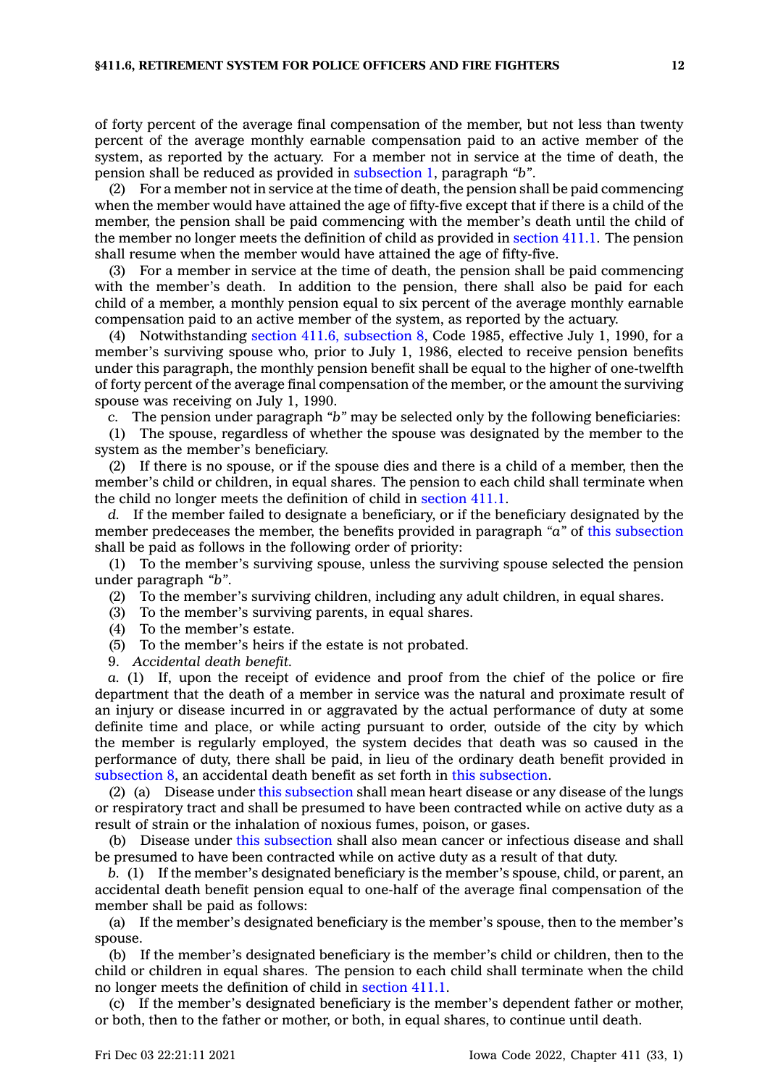of forty percent of the average final compensation of the member, but not less than twenty percent of the average monthly earnable compensation paid to an active member of the system, as reported by the actuary. For <sup>a</sup> member not in service at the time of death, the pension shall be reduced as provided in [subsection](https://www.legis.iowa.gov/docs/code/411.6.pdf) 1, paragraph *"b"*.

(2) For <sup>a</sup> member not in service at the time of death, the pension shall be paid commencing when the member would have attained the age of fifty-five except that if there is <sup>a</sup> child of the member, the pension shall be paid commencing with the member's death until the child of the member no longer meets the definition of child as provided in [section](https://www.legis.iowa.gov/docs/code/411.1.pdf) 411.1. The pension shall resume when the member would have attained the age of fifty-five.

(3) For <sup>a</sup> member in service at the time of death, the pension shall be paid commencing with the member's death. In addition to the pension, there shall also be paid for each child of <sup>a</sup> member, <sup>a</sup> monthly pension equal to six percent of the average monthly earnable compensation paid to an active member of the system, as reported by the actuary.

(4) Notwithstanding section 411.6, [subsection](https://www.legis.iowa.gov/docs/code/1985/411.6.pdf) 8, Code 1985, effective July 1, 1990, for <sup>a</sup> member's surviving spouse who, prior to July 1, 1986, elected to receive pension benefits under this paragraph, the monthly pension benefit shall be equal to the higher of one-twelfth of forty percent of the average final compensation of the member, or the amount the surviving spouse was receiving on July 1, 1990.

*c.* The pension under paragraph *"b"* may be selected only by the following beneficiaries:

(1) The spouse, regardless of whether the spouse was designated by the member to the system as the member's beneficiary.

(2) If there is no spouse, or if the spouse dies and there is <sup>a</sup> child of <sup>a</sup> member, then the member's child or children, in equal shares. The pension to each child shall terminate when the child no longer meets the definition of child in [section](https://www.legis.iowa.gov/docs/code/411.1.pdf) 411.1.

*d.* If the member failed to designate <sup>a</sup> beneficiary, or if the beneficiary designated by the member predeceases the member, the benefits provided in paragraph *"a"* of this [subsection](https://www.legis.iowa.gov/docs/code/411.6.pdf) shall be paid as follows in the following order of priority:

(1) To the member's surviving spouse, unless the surviving spouse selected the pension under paragraph *"b"*.

(2) To the member's surviving children, including any adult children, in equal shares.

(3) To the member's surviving parents, in equal shares.

- (4) To the member's estate.
- (5) To the member's heirs if the estate is not probated.
- 9. *Accidental death benefit.*

*a.* (1) If, upon the receipt of evidence and proof from the chief of the police or fire department that the death of <sup>a</sup> member in service was the natural and proximate result of an injury or disease incurred in or aggravated by the actual performance of duty at some definite time and place, or while acting pursuant to order, outside of the city by which the member is regularly employed, the system decides that death was so caused in the performance of duty, there shall be paid, in lieu of the ordinary death benefit provided in [subsection](https://www.legis.iowa.gov/docs/code/411.6.pdf) 8, an accidental death benefit as set forth in this [subsection](https://www.legis.iowa.gov/docs/code/411.6.pdf).

(2) (a) Disease under this [subsection](https://www.legis.iowa.gov/docs/code/411.6.pdf) shall mean heart disease or any disease of the lungs or respiratory tract and shall be presumed to have been contracted while on active duty as <sup>a</sup> result of strain or the inhalation of noxious fumes, poison, or gases.

(b) Disease under this [subsection](https://www.legis.iowa.gov/docs/code/411.6.pdf) shall also mean cancer or infectious disease and shall be presumed to have been contracted while on active duty as <sup>a</sup> result of that duty.

*b.* (1) If the member's designated beneficiary is the member's spouse, child, or parent, an accidental death benefit pension equal to one-half of the average final compensation of the member shall be paid as follows:

(a) If the member's designated beneficiary is the member's spouse, then to the member's spouse.

(b) If the member's designated beneficiary is the member's child or children, then to the child or children in equal shares. The pension to each child shall terminate when the child no longer meets the definition of child in [section](https://www.legis.iowa.gov/docs/code/411.1.pdf) 411.1.

(c) If the member's designated beneficiary is the member's dependent father or mother, or both, then to the father or mother, or both, in equal shares, to continue until death.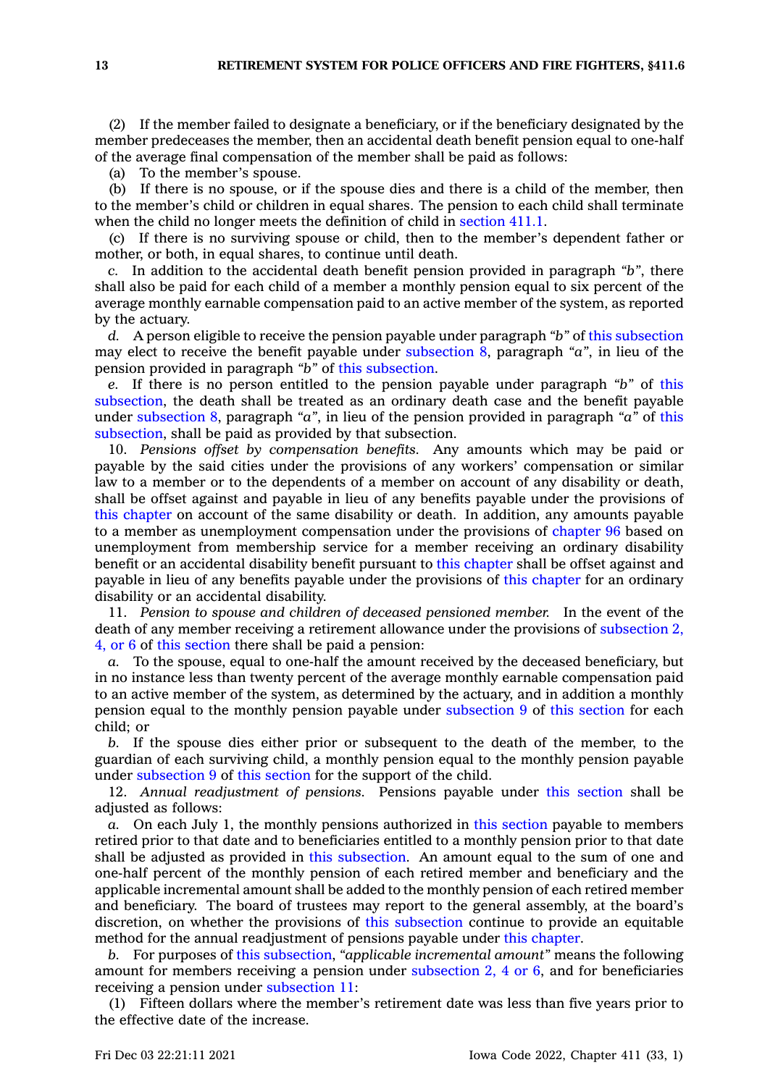(2) If the member failed to designate <sup>a</sup> beneficiary, or if the beneficiary designated by the member predeceases the member, then an accidental death benefit pension equal to one-half of the average final compensation of the member shall be paid as follows:

(a) To the member's spouse.

(b) If there is no spouse, or if the spouse dies and there is <sup>a</sup> child of the member, then to the member's child or children in equal shares. The pension to each child shall terminate when the child no longer meets the definition of child in [section](https://www.legis.iowa.gov/docs/code/411.1.pdf) 411.1.

(c) If there is no surviving spouse or child, then to the member's dependent father or mother, or both, in equal shares, to continue until death.

*c.* In addition to the accidental death benefit pension provided in paragraph *"b"*, there shall also be paid for each child of <sup>a</sup> member <sup>a</sup> monthly pension equal to six percent of the average monthly earnable compensation paid to an active member of the system, as reported by the actuary.

*d.* A person eligible to receive the pension payable under paragraph *"b"* of this [subsection](https://www.legis.iowa.gov/docs/code/411.6.pdf) may elect to receive the benefit payable under [subsection](https://www.legis.iowa.gov/docs/code/411.6.pdf) 8, paragraph *"a"*, in lieu of the pension provided in paragraph *"b"* of this [subsection](https://www.legis.iowa.gov/docs/code/411.6.pdf).

*e.* If there is no person entitled to the pension payable under paragraph *"b"* of [this](https://www.legis.iowa.gov/docs/code/411.6.pdf) [subsection](https://www.legis.iowa.gov/docs/code/411.6.pdf), the death shall be treated as an ordinary death case and the benefit payable under [subsection](https://www.legis.iowa.gov/docs/code/411.6.pdf) 8, paragraph *"a"*, in lieu of the pension provided in paragraph *"a"* of [this](https://www.legis.iowa.gov/docs/code/411.6.pdf) [subsection](https://www.legis.iowa.gov/docs/code/411.6.pdf), shall be paid as provided by that subsection.

10. *Pensions offset by compensation benefits.* Any amounts which may be paid or payable by the said cities under the provisions of any workers' compensation or similar law to <sup>a</sup> member or to the dependents of <sup>a</sup> member on account of any disability or death, shall be offset against and payable in lieu of any benefits payable under the provisions of this [chapter](https://www.legis.iowa.gov/docs/code//411.pdf) on account of the same disability or death. In addition, any amounts payable to <sup>a</sup> member as unemployment compensation under the provisions of [chapter](https://www.legis.iowa.gov/docs/code//96.pdf) 96 based on unemployment from membership service for <sup>a</sup> member receiving an ordinary disability benefit or an accidental disability benefit pursuant to this [chapter](https://www.legis.iowa.gov/docs/code//411.pdf) shall be offset against and payable in lieu of any benefits payable under the provisions of this [chapter](https://www.legis.iowa.gov/docs/code//411.pdf) for an ordinary disability or an accidental disability.

11. *Pension to spouse and children of deceased pensioned member.* In the event of the death of any member receiving <sup>a</sup> retirement allowance under the provisions of [subsection](https://www.legis.iowa.gov/docs/code/411.6.pdf) 2, [4,](https://www.legis.iowa.gov/docs/code/411.6.pdf) or 6 of this [section](https://www.legis.iowa.gov/docs/code/411.6.pdf) there shall be paid <sup>a</sup> pension:

*a.* To the spouse, equal to one-half the amount received by the deceased beneficiary, but in no instance less than twenty percent of the average monthly earnable compensation paid to an active member of the system, as determined by the actuary, and in addition <sup>a</sup> monthly pension equal to the monthly pension payable under [subsection](https://www.legis.iowa.gov/docs/code/411.6.pdf) 9 of this [section](https://www.legis.iowa.gov/docs/code/411.6.pdf) for each child; or

*b.* If the spouse dies either prior or subsequent to the death of the member, to the guardian of each surviving child, <sup>a</sup> monthly pension equal to the monthly pension payable under [subsection](https://www.legis.iowa.gov/docs/code/411.6.pdf) 9 of this [section](https://www.legis.iowa.gov/docs/code/411.6.pdf) for the support of the child.

12. *Annual readjustment of pensions.* Pensions payable under this [section](https://www.legis.iowa.gov/docs/code/411.6.pdf) shall be adjusted as follows:

*a.* On each July 1, the monthly pensions authorized in this [section](https://www.legis.iowa.gov/docs/code/411.6.pdf) payable to members retired prior to that date and to beneficiaries entitled to <sup>a</sup> monthly pension prior to that date shall be adjusted as provided in this [subsection](https://www.legis.iowa.gov/docs/code/411.6.pdf). An amount equal to the sum of one and one-half percent of the monthly pension of each retired member and beneficiary and the applicable incremental amount shall be added to the monthly pension of each retired member and beneficiary. The board of trustees may report to the general assembly, at the board's discretion, on whether the provisions of this [subsection](https://www.legis.iowa.gov/docs/code/411.6.pdf) continue to provide an equitable method for the annual readjustment of pensions payable under this [chapter](https://www.legis.iowa.gov/docs/code//411.pdf).

*b.* For purposes of this [subsection](https://www.legis.iowa.gov/docs/code/411.6.pdf), *"applicable incremental amount"* means the following amount for members receiving <sup>a</sup> pension under [subsection](https://www.legis.iowa.gov/docs/code/411.6.pdf) 2, 4 or 6, and for beneficiaries receiving <sup>a</sup> pension under [subsection](https://www.legis.iowa.gov/docs/code/411.6.pdf) 11:

(1) Fifteen dollars where the member's retirement date was less than five years prior to the effective date of the increase.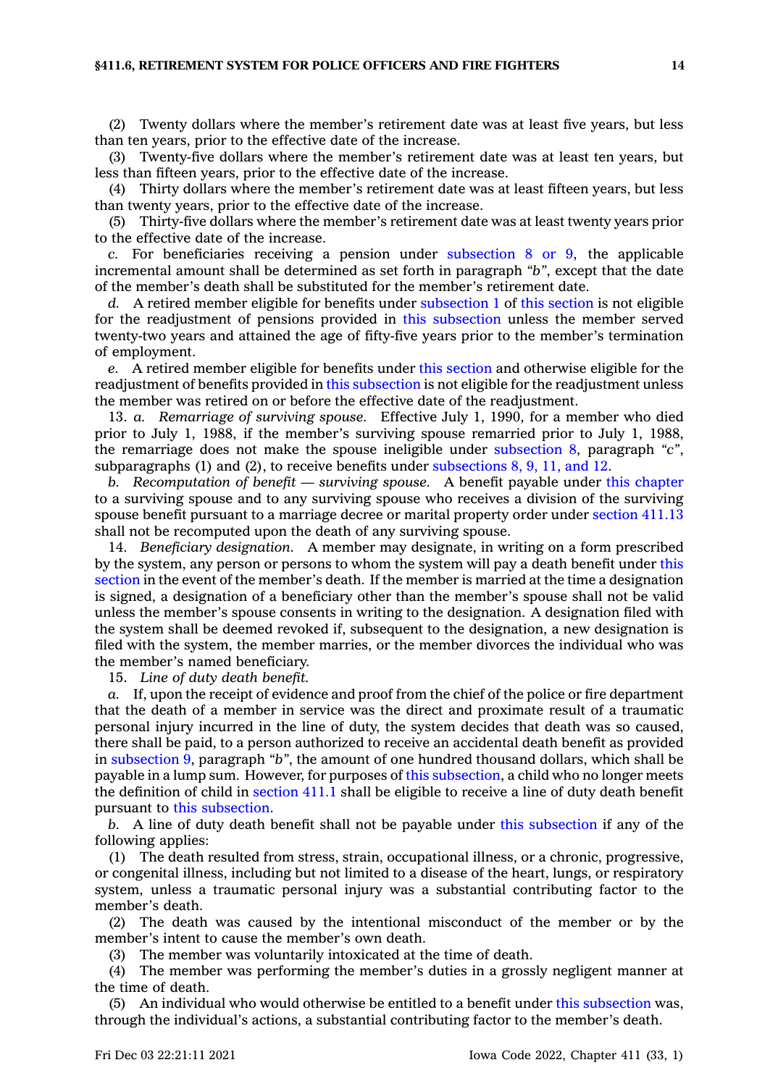#### **§411.6, RETIREMENT SYSTEM FOR POLICE OFFICERS AND FIRE FIGHTERS 14**

(2) Twenty dollars where the member's retirement date was at least five years, but less than ten years, prior to the effective date of the increase.

(3) Twenty-five dollars where the member's retirement date was at least ten years, but less than fifteen years, prior to the effective date of the increase.

(4) Thirty dollars where the member's retirement date was at least fifteen years, but less than twenty years, prior to the effective date of the increase.

(5) Thirty-five dollars where the member's retirement date was at least twenty years prior to the effective date of the increase.

*c.* For beneficiaries receiving <sup>a</sup> pension under [subsection](https://www.legis.iowa.gov/docs/code/411.6.pdf) 8 or 9, the applicable incremental amount shall be determined as set forth in paragraph *"b"*, except that the date of the member's death shall be substituted for the member's retirement date.

*d.* A retired member eligible for benefits under [subsection](https://www.legis.iowa.gov/docs/code/411.6.pdf) 1 of this [section](https://www.legis.iowa.gov/docs/code/411.6.pdf) is not eligible for the readjustment of pensions provided in this [subsection](https://www.legis.iowa.gov/docs/code/411.6.pdf) unless the member served twenty-two years and attained the age of fifty-five years prior to the member's termination of employment.

*e.* A retired member eligible for benefits under this [section](https://www.legis.iowa.gov/docs/code/411.6.pdf) and otherwise eligible for the readjustment of benefits provided in this [subsection](https://www.legis.iowa.gov/docs/code/411.6.pdf) is not eligible for the readjustment unless the member was retired on or before the effective date of the readjustment.

13. *a. Remarriage of surviving spouse.* Effective July 1, 1990, for <sup>a</sup> member who died prior to July 1, 1988, if the member's surviving spouse remarried prior to July 1, 1988, the remarriage does not make the spouse ineligible under [subsection](https://www.legis.iowa.gov/docs/code/411.6.pdf) 8, paragraph *"c"*, subparagraphs (1) and (2), to receive benefits under [subsections](https://www.legis.iowa.gov/docs/code/411.6.pdf) 8, 9, 11, and 12.

*b. Recomputation of benefit — surviving spouse.* A benefit payable under this [chapter](https://www.legis.iowa.gov/docs/code//411.pdf) to <sup>a</sup> surviving spouse and to any surviving spouse who receives <sup>a</sup> division of the surviving spouse benefit pursuant to <sup>a</sup> marriage decree or marital property order under [section](https://www.legis.iowa.gov/docs/code/411.13.pdf) 411.13 shall not be recomputed upon the death of any surviving spouse.

14. *Beneficiary designation.* A member may designate, in writing on <sup>a</sup> form prescribed by the system, any person or persons to whom the system will pay <sup>a</sup> death benefit under [this](https://www.legis.iowa.gov/docs/code/411.6.pdf) [section](https://www.legis.iowa.gov/docs/code/411.6.pdf) in the event of the member's death. If the member is married at the time <sup>a</sup> designation is signed, <sup>a</sup> designation of <sup>a</sup> beneficiary other than the member's spouse shall not be valid unless the member's spouse consents in writing to the designation. A designation filed with the system shall be deemed revoked if, subsequent to the designation, <sup>a</sup> new designation is filed with the system, the member marries, or the member divorces the individual who was the member's named beneficiary.

15. *Line of duty death benefit.*

*a.* If, upon the receipt of evidence and proof from the chief of the police or fire department that the death of <sup>a</sup> member in service was the direct and proximate result of <sup>a</sup> traumatic personal injury incurred in the line of duty, the system decides that death was so caused, there shall be paid, to <sup>a</sup> person authorized to receive an accidental death benefit as provided in [subsection](https://www.legis.iowa.gov/docs/code/411.6.pdf) 9, paragraph *"b"*, the amount of one hundred thousand dollars, which shall be payable in <sup>a</sup> lump sum. However, for purposes of this [subsection](https://www.legis.iowa.gov/docs/code/411.6.pdf), <sup>a</sup> child who no longer meets the definition of child in [section](https://www.legis.iowa.gov/docs/code/411.1.pdf) 411.1 shall be eligible to receive <sup>a</sup> line of duty death benefit pursuant to this [subsection](https://www.legis.iowa.gov/docs/code/411.6.pdf).

*b.* A line of duty death benefit shall not be payable under this [subsection](https://www.legis.iowa.gov/docs/code/411.6.pdf) if any of the following applies:

(1) The death resulted from stress, strain, occupational illness, or <sup>a</sup> chronic, progressive, or congenital illness, including but not limited to <sup>a</sup> disease of the heart, lungs, or respiratory system, unless <sup>a</sup> traumatic personal injury was <sup>a</sup> substantial contributing factor to the member's death.

(2) The death was caused by the intentional misconduct of the member or by the member's intent to cause the member's own death.

(3) The member was voluntarily intoxicated at the time of death.

(4) The member was performing the member's duties in <sup>a</sup> grossly negligent manner at the time of death.

(5) An individual who would otherwise be entitled to <sup>a</sup> benefit under this [subsection](https://www.legis.iowa.gov/docs/code/411.6.pdf) was, through the individual's actions, <sup>a</sup> substantial contributing factor to the member's death.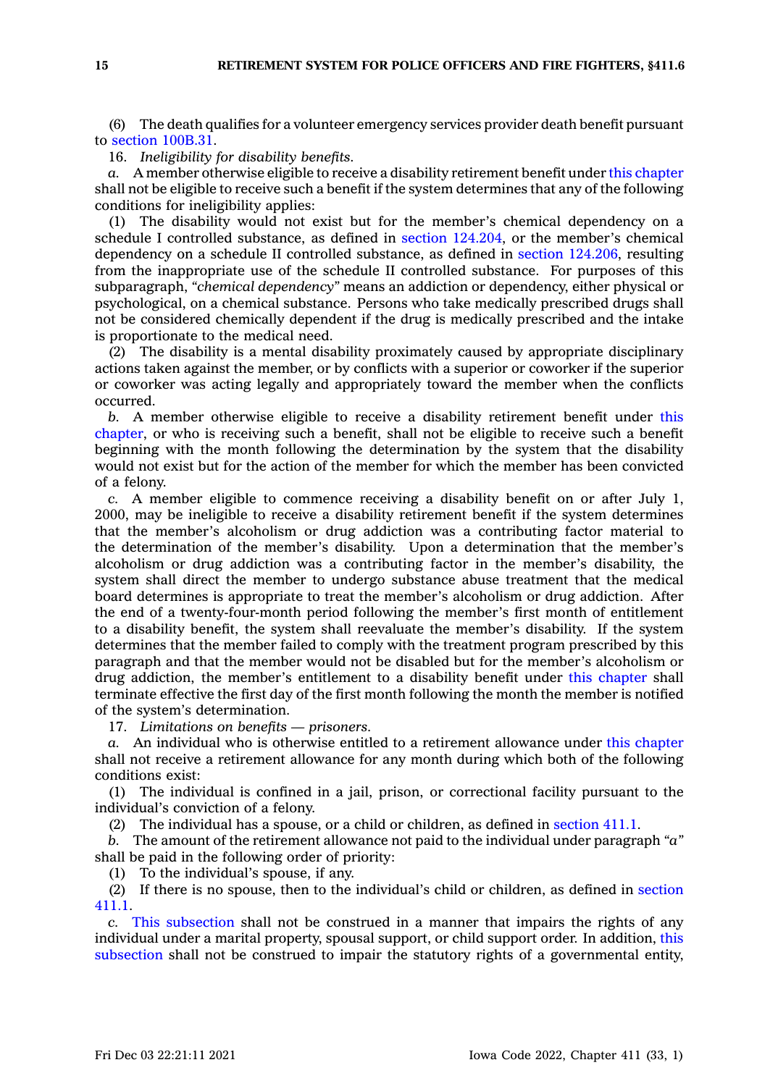(6) The death qualifies for <sup>a</sup> volunteer emergency services provider death benefit pursuant to section [100B.31](https://www.legis.iowa.gov/docs/code/100B.31.pdf).

16. *Ineligibility for disability benefits.*

*a.* A member otherwise eligible to receive <sup>a</sup> disability retirement benefit under this [chapter](https://www.legis.iowa.gov/docs/code//411.pdf) shall not be eligible to receive such <sup>a</sup> benefit if the system determines that any of the following conditions for ineligibility applies:

(1) The disability would not exist but for the member's chemical dependency on <sup>a</sup> schedule I controlled substance, as defined in section [124.204](https://www.legis.iowa.gov/docs/code/124.204.pdf), or the member's chemical dependency on <sup>a</sup> schedule II controlled substance, as defined in section [124.206](https://www.legis.iowa.gov/docs/code/124.206.pdf), resulting from the inappropriate use of the schedule II controlled substance. For purposes of this subparagraph, *"chemical dependency"* means an addiction or dependency, either physical or psychological, on <sup>a</sup> chemical substance. Persons who take medically prescribed drugs shall not be considered chemically dependent if the drug is medically prescribed and the intake is proportionate to the medical need.

(2) The disability is <sup>a</sup> mental disability proximately caused by appropriate disciplinary actions taken against the member, or by conflicts with <sup>a</sup> superior or coworker if the superior or coworker was acting legally and appropriately toward the member when the conflicts occurred.

*b.* A member otherwise eligible to receive <sup>a</sup> disability retirement benefit under [this](https://www.legis.iowa.gov/docs/code//411.pdf) [chapter](https://www.legis.iowa.gov/docs/code//411.pdf), or who is receiving such <sup>a</sup> benefit, shall not be eligible to receive such <sup>a</sup> benefit beginning with the month following the determination by the system that the disability would not exist but for the action of the member for which the member has been convicted of <sup>a</sup> felony.

*c.* A member eligible to commence receiving <sup>a</sup> disability benefit on or after July 1, 2000, may be ineligible to receive <sup>a</sup> disability retirement benefit if the system determines that the member's alcoholism or drug addiction was <sup>a</sup> contributing factor material to the determination of the member's disability. Upon <sup>a</sup> determination that the member's alcoholism or drug addiction was <sup>a</sup> contributing factor in the member's disability, the system shall direct the member to undergo substance abuse treatment that the medical board determines is appropriate to treat the member's alcoholism or drug addiction. After the end of <sup>a</sup> twenty-four-month period following the member's first month of entitlement to <sup>a</sup> disability benefit, the system shall reevaluate the member's disability. If the system determines that the member failed to comply with the treatment program prescribed by this paragraph and that the member would not be disabled but for the member's alcoholism or drug addiction, the member's entitlement to <sup>a</sup> disability benefit under this [chapter](https://www.legis.iowa.gov/docs/code//411.pdf) shall terminate effective the first day of the first month following the month the member is notified of the system's determination.

17. *Limitations on benefits — prisoners.*

*a.* An individual who is otherwise entitled to <sup>a</sup> retirement allowance under this [chapter](https://www.legis.iowa.gov/docs/code//411.pdf) shall not receive <sup>a</sup> retirement allowance for any month during which both of the following conditions exist:

(1) The individual is confined in <sup>a</sup> jail, prison, or correctional facility pursuant to the individual's conviction of <sup>a</sup> felony.

(2) The individual has <sup>a</sup> spouse, or <sup>a</sup> child or children, as defined in [section](https://www.legis.iowa.gov/docs/code/411.1.pdf) 411.1.

*b.* The amount of the retirement allowance not paid to the individual under paragraph *"a"* shall be paid in the following order of priority:

(1) To the individual's spouse, if any.

(2) If there is no spouse, then to the individual's child or children, as defined in [section](https://www.legis.iowa.gov/docs/code/411.1.pdf) [411.1](https://www.legis.iowa.gov/docs/code/411.1.pdf).

*c.* This [subsection](https://www.legis.iowa.gov/docs/code/411.6.pdf) shall not be construed in <sup>a</sup> manner that impairs the rights of any individual under <sup>a</sup> marital property, spousal support, or child support order. In addition, [this](https://www.legis.iowa.gov/docs/code/411.6.pdf) [subsection](https://www.legis.iowa.gov/docs/code/411.6.pdf) shall not be construed to impair the statutory rights of <sup>a</sup> governmental entity,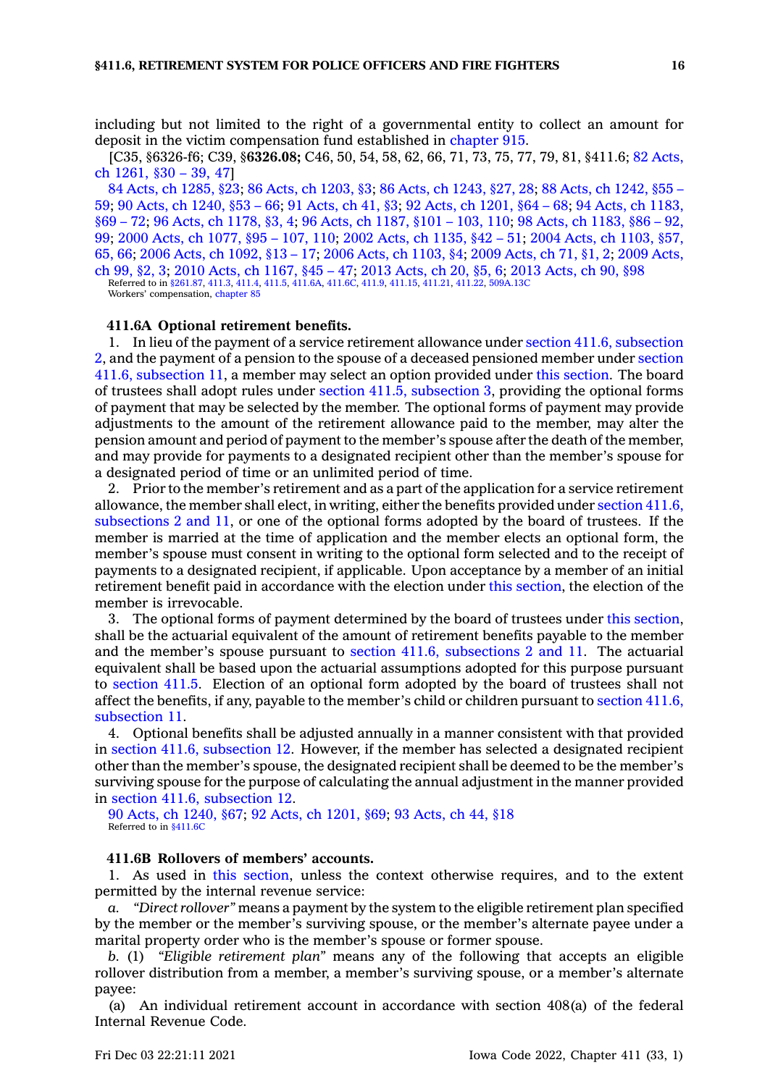including but not limited to the right of <sup>a</sup> governmental entity to collect an amount for deposit in the victim compensation fund established in [chapter](https://www.legis.iowa.gov/docs/code//915.pdf) 915.

[C35, §6326-f6; C39, §**6326.08;** C46, 50, 54, 58, 62, 66, 71, 73, 75, 77, 79, 81, §411.6; 82 [Acts,](https://www.legis.iowa.gov/docs/acts/1982/CH1261.pdf) ch [1261,](https://www.legis.iowa.gov/docs/acts/1982/CH1261.pdf) §30 – 39, 47]

84 Acts, ch [1285,](https://www.legis.iowa.gov/docs/acts/1984/CH1285.pdf) §23; 86 Acts, ch [1203,](https://www.legis.iowa.gov/docs/acts/86/CH1203.pdf) §3; 86 Acts, ch [1243,](https://www.legis.iowa.gov/docs/acts/86/CH1243.pdf) §27, 28; 88 Acts, ch [1242,](https://www.legis.iowa.gov/docs/acts/88/CH1242.pdf) §55 – [59](https://www.legis.iowa.gov/docs/acts/88/CH1242.pdf); 90 Acts, ch [1240,](https://www.legis.iowa.gov/docs/acts/90/CH1240.pdf) §53 – 66; 91 [Acts,](https://www.legis.iowa.gov/docs/acts/91/CH0041.pdf) ch 41, §3; 92 Acts, ch [1201,](https://www.legis.iowa.gov/docs/acts/92/CH1201.pdf) §64 – 68; 94 Acts, ch [1183,](https://www.legis.iowa.gov/docs/acts/94/CH1183.pdf) [§69](https://www.legis.iowa.gov/docs/acts/94/CH1183.pdf) – 72; 96 Acts, ch [1178,](https://www.legis.iowa.gov/docs/acts/96/CH1178.pdf) §3, 4; 96 Acts, ch [1187,](https://www.legis.iowa.gov/docs/acts/96/CH1187.pdf) §101 – 103, 110; 98 Acts, ch [1183,](https://www.legis.iowa.gov/docs/acts/98/CH1183.pdf) §86 – 92, [99](https://www.legis.iowa.gov/docs/acts/98/CH1183.pdf); 2000 Acts, ch [1077,](https://www.legis.iowa.gov/docs/acts/2000/CH1077.pdf) §95 – 107, 110; 2002 Acts, ch [1135,](https://www.legis.iowa.gov/docs/acts/2002/CH1135.pdf) §42 – 51; 2004 Acts, ch [1103,](https://www.legis.iowa.gov/docs/acts/2004/CH1103.pdf) §57, [65,](https://www.legis.iowa.gov/docs/acts/2004/CH1103.pdf) 66; 2006 Acts, ch [1092,](https://www.legis.iowa.gov/docs/acts/2006/CH1092.pdf) §13 – 17; 2006 Acts, ch [1103,](https://www.legis.iowa.gov/docs/acts/2006/CH1103.pdf) §4; 2009 [Acts,](https://www.legis.iowa.gov/docs/acts/2009/CH0071.pdf) ch 71, §1, 2; 2009 [Acts,](https://www.legis.iowa.gov/docs/acts/2009/CH0099.pdf) ch [99,](https://www.legis.iowa.gov/docs/acts/2009/CH0099.pdf) §2, 3; 2010 Acts, ch [1167,](https://www.legis.iowa.gov/docs/acts/2010/CH1167.pdf) §45 – 47; 2013 [Acts,](https://www.legis.iowa.gov/docs/acts/2013/CH0020.pdf) ch 20, §5, 6; 2013 [Acts,](https://www.legis.iowa.gov/docs/acts/2013/CH0090.pdf) ch 90, §98

Referred to in [§261.87](https://www.legis.iowa.gov/docs/code/261.87.pdf), [411.3](https://www.legis.iowa.gov/docs/code/411.3.pdf), [411.4](https://www.legis.iowa.gov/docs/code/411.4.pdf), [411.5,](https://www.legis.iowa.gov/docs/code/411.5.pdf) [411.6A](https://www.legis.iowa.gov/docs/code/411.6A.pdf), [411.6C](https://www.legis.iowa.gov/docs/code/411.6C.pdf), [411.9](https://www.legis.iowa.gov/docs/code/411.9.pdf), [411.15](https://www.legis.iowa.gov/docs/code/411.15.pdf), [411.21,](https://www.legis.iowa.gov/docs/code/411.21.pdf) [411.22](https://www.legis.iowa.gov/docs/code/411.22.pdf), [509A.13C](https://www.legis.iowa.gov/docs/code/509A.13C.pdf) Workers' compensation, [chapter](https://www.legis.iowa.gov/docs/code//85.pdf) 85

#### **411.6A Optional retirement benefits.**

1. In lieu of the payment of <sup>a</sup> service retirement allowance under section 411.6, [subsection](https://www.legis.iowa.gov/docs/code/411.6.pdf) [2](https://www.legis.iowa.gov/docs/code/411.6.pdf), and the payment of <sup>a</sup> pension to the spouse of <sup>a</sup> deceased pensioned member under [section](https://www.legis.iowa.gov/docs/code/411.6.pdf) 411.6, [subsection](https://www.legis.iowa.gov/docs/code/411.6.pdf) 11, <sup>a</sup> member may select an option provided under this [section](https://www.legis.iowa.gov/docs/code/411.6A.pdf). The board of trustees shall adopt rules under section 411.5, [subsection](https://www.legis.iowa.gov/docs/code/411.5.pdf) 3, providing the optional forms of payment that may be selected by the member. The optional forms of payment may provide adjustments to the amount of the retirement allowance paid to the member, may alter the pension amount and period of payment to the member's spouse after the death of the member, and may provide for payments to <sup>a</sup> designated recipient other than the member's spouse for <sup>a</sup> designated period of time or an unlimited period of time.

2. Prior to the member's retirement and as <sup>a</sup> part of the application for <sup>a</sup> service retirement allowance, the member shall elect, in writing, either the benefits provided under section [411.6,](https://www.legis.iowa.gov/docs/code/411.6.pdf) [subsections](https://www.legis.iowa.gov/docs/code/411.6.pdf) 2 and 11, or one of the optional forms adopted by the board of trustees. If the member is married at the time of application and the member elects an optional form, the member's spouse must consent in writing to the optional form selected and to the receipt of payments to <sup>a</sup> designated recipient, if applicable. Upon acceptance by <sup>a</sup> member of an initial retirement benefit paid in accordance with the election under this [section](https://www.legis.iowa.gov/docs/code/411.6A.pdf), the election of the member is irrevocable.

3. The optional forms of payment determined by the board of trustees under this [section](https://www.legis.iowa.gov/docs/code/411.6A.pdf), shall be the actuarial equivalent of the amount of retirement benefits payable to the member and the member's spouse pursuant to section 411.6, [subsections](https://www.legis.iowa.gov/docs/code/411.6.pdf) 2 and 11. The actuarial equivalent shall be based upon the actuarial assumptions adopted for this purpose pursuant to [section](https://www.legis.iowa.gov/docs/code/411.5.pdf) 411.5. Election of an optional form adopted by the board of trustees shall not affect the benefits, if any, payable to the member's child or children pursuant to [section](https://www.legis.iowa.gov/docs/code/411.6.pdf) 411.6, [subsection](https://www.legis.iowa.gov/docs/code/411.6.pdf) 11.

4. Optional benefits shall be adjusted annually in <sup>a</sup> manner consistent with that provided in section 411.6, [subsection](https://www.legis.iowa.gov/docs/code/411.6.pdf) 12. However, if the member has selected <sup>a</sup> designated recipient other than the member's spouse, the designated recipient shall be deemed to be the member's surviving spouse for the purpose of calculating the annual adjustment in the manner provided in section 411.6, [subsection](https://www.legis.iowa.gov/docs/code/411.6.pdf) 12.

90 Acts, ch [1240,](https://www.legis.iowa.gov/docs/acts/1990/CH1240.pdf) §67; 92 Acts, ch [1201,](https://www.legis.iowa.gov/docs/acts/1992/CH1201.pdf) §69; 93 [Acts,](https://www.legis.iowa.gov/docs/acts/1993/CH0044.pdf) ch 44, §18 Referred to in \$411.6C

### **411.6B Rollovers of members' accounts.**

1. As used in this [section](https://www.legis.iowa.gov/docs/code/411.6B.pdf), unless the context otherwise requires, and to the extent permitted by the internal revenue service:

*a. "Direct rollover"* means <sup>a</sup> payment by the system to the eligible retirement plan specified by the member or the member's surviving spouse, or the member's alternate payee under <sup>a</sup> marital property order who is the member's spouse or former spouse.

*b.* (1) *"Eligible retirement plan"* means any of the following that accepts an eligible rollover distribution from <sup>a</sup> member, <sup>a</sup> member's surviving spouse, or <sup>a</sup> member's alternate payee:

(a) An individual retirement account in accordance with section 408(a) of the federal Internal Revenue Code.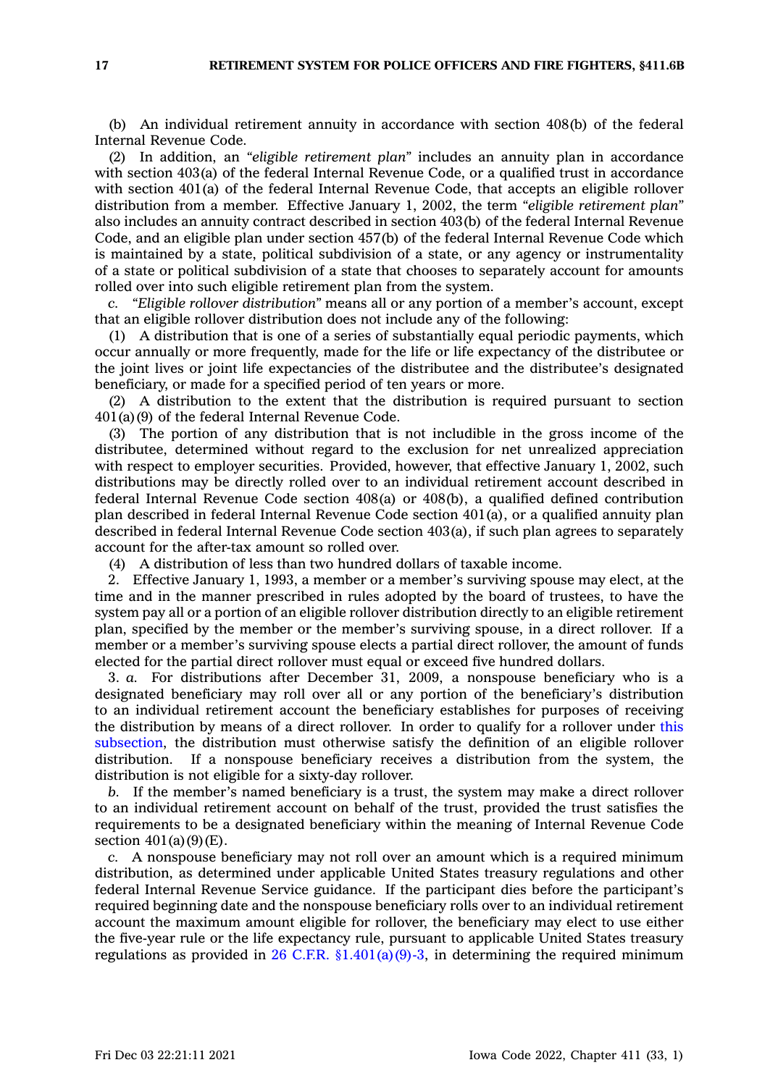(b) An individual retirement annuity in accordance with section 408(b) of the federal Internal Revenue Code.

(2) In addition, an *"eligible retirement plan"* includes an annuity plan in accordance with section 403(a) of the federal Internal Revenue Code, or <sup>a</sup> qualified trust in accordance with section 401(a) of the federal Internal Revenue Code, that accepts an eligible rollover distribution from <sup>a</sup> member. Effective January 1, 2002, the term *"eligible retirement plan"* also includes an annuity contract described in section 403(b) of the federal Internal Revenue Code, and an eligible plan under section 457(b) of the federal Internal Revenue Code which is maintained by <sup>a</sup> state, political subdivision of <sup>a</sup> state, or any agency or instrumentality of <sup>a</sup> state or political subdivision of <sup>a</sup> state that chooses to separately account for amounts rolled over into such eligible retirement plan from the system.

*c. "Eligible rollover distribution"* means all or any portion of <sup>a</sup> member's account, except that an eligible rollover distribution does not include any of the following:

(1) A distribution that is one of <sup>a</sup> series of substantially equal periodic payments, which occur annually or more frequently, made for the life or life expectancy of the distributee or the joint lives or joint life expectancies of the distributee and the distributee's designated beneficiary, or made for <sup>a</sup> specified period of ten years or more.

(2) A distribution to the extent that the distribution is required pursuant to section 401(a)(9) of the federal Internal Revenue Code.

(3) The portion of any distribution that is not includible in the gross income of the distributee, determined without regard to the exclusion for net unrealized appreciation with respect to employer securities. Provided, however, that effective January 1, 2002, such distributions may be directly rolled over to an individual retirement account described in federal Internal Revenue Code section 408(a) or 408(b), <sup>a</sup> qualified defined contribution plan described in federal Internal Revenue Code section 401(a), or <sup>a</sup> qualified annuity plan described in federal Internal Revenue Code section 403(a), if such plan agrees to separately account for the after-tax amount so rolled over.

(4) A distribution of less than two hundred dollars of taxable income.

2. Effective January 1, 1993, <sup>a</sup> member or <sup>a</sup> member's surviving spouse may elect, at the time and in the manner prescribed in rules adopted by the board of trustees, to have the system pay all or <sup>a</sup> portion of an eligible rollover distribution directly to an eligible retirement plan, specified by the member or the member's surviving spouse, in <sup>a</sup> direct rollover. If <sup>a</sup> member or <sup>a</sup> member's surviving spouse elects <sup>a</sup> partial direct rollover, the amount of funds elected for the partial direct rollover must equal or exceed five hundred dollars.

3. *a.* For distributions after December 31, 2009, <sup>a</sup> nonspouse beneficiary who is <sup>a</sup> designated beneficiary may roll over all or any portion of the beneficiary's distribution to an individual retirement account the beneficiary establishes for purposes of receiving the distribution by means of <sup>a</sup> direct rollover. In order to qualify for <sup>a</sup> rollover under [this](https://www.legis.iowa.gov/docs/code/411.6B.pdf) [subsection](https://www.legis.iowa.gov/docs/code/411.6B.pdf), the distribution must otherwise satisfy the definition of an eligible rollover distribution. If <sup>a</sup> nonspouse beneficiary receives <sup>a</sup> distribution from the system, the distribution is not eligible for <sup>a</sup> sixty-day rollover.

*b.* If the member's named beneficiary is <sup>a</sup> trust, the system may make <sup>a</sup> direct rollover to an individual retirement account on behalf of the trust, provided the trust satisfies the requirements to be <sup>a</sup> designated beneficiary within the meaning of Internal Revenue Code section  $401(a)(9)(E)$ .

*c.* A nonspouse beneficiary may not roll over an amount which is <sup>a</sup> required minimum distribution, as determined under applicable United States treasury regulations and other federal Internal Revenue Service guidance. If the participant dies before the participant's required beginning date and the nonspouse beneficiary rolls over to an individual retirement account the maximum amount eligible for rollover, the beneficiary may elect to use either the five-year rule or the life expectancy rule, pursuant to applicable United States treasury regulations as provided in 26 C.F.R.  $\S 1.401(a)(9)-3$ , in determining the required minimum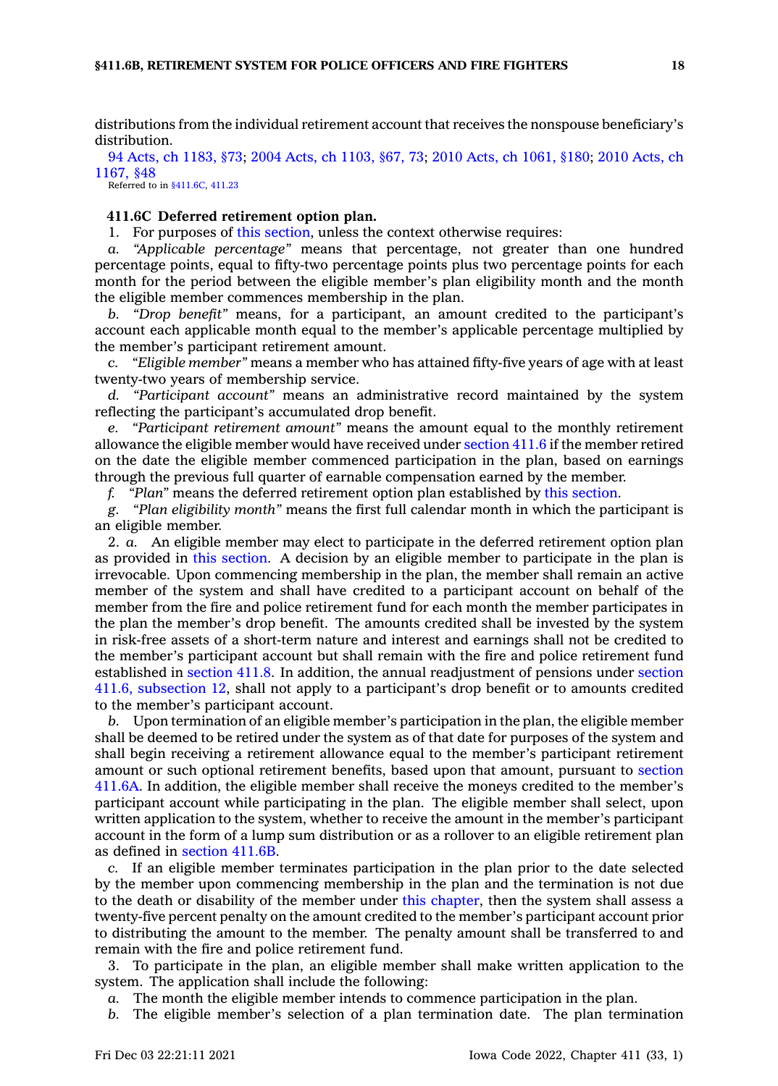distributions from the individual retirement account that receives the nonspouse beneficiary's distribution.

94 Acts, ch [1183,](https://www.legis.iowa.gov/docs/acts/1994/CH1183.pdf) §73; 2004 Acts, ch [1103,](https://www.legis.iowa.gov/docs/acts/2004/CH1103.pdf) §67, 73; 2010 Acts, ch [1061,](https://www.legis.iowa.gov/docs/acts/2010/CH1061.pdf) §180; 2010 [Acts,](https://www.legis.iowa.gov/docs/acts/2010/CH1167.pdf) ch [1167,](https://www.legis.iowa.gov/docs/acts/2010/CH1167.pdf) §48

Referred to in [§411.6C](https://www.legis.iowa.gov/docs/code/411.6C.pdf), [411.23](https://www.legis.iowa.gov/docs/code/411.23.pdf)

### **411.6C Deferred retirement option plan.**

1. For purposes of this [section](https://www.legis.iowa.gov/docs/code/411.6C.pdf), unless the context otherwise requires:

*a. "Applicable percentage"* means that percentage, not greater than one hundred percentage points, equal to fifty-two percentage points plus two percentage points for each month for the period between the eligible member's plan eligibility month and the month the eligible member commences membership in the plan.

*b. "Drop benefit"* means, for <sup>a</sup> participant, an amount credited to the participant's account each applicable month equal to the member's applicable percentage multiplied by the member's participant retirement amount.

*c. "Eligible member"* means <sup>a</sup> member who has attained fifty-five years of age with at least twenty-two years of membership service.

*d. "Participant account"* means an administrative record maintained by the system reflecting the participant's accumulated drop benefit.

*e. "Participant retirement amount"* means the amount equal to the monthly retirement allowance the eligible member would have received under [section](https://www.legis.iowa.gov/docs/code/411.6.pdf) 411.6 if the member retired on the date the eligible member commenced participation in the plan, based on earnings through the previous full quarter of earnable compensation earned by the member.

*f. "Plan"* means the deferred retirement option plan established by this [section](https://www.legis.iowa.gov/docs/code/411.6C.pdf).

*g. "Plan eligibility month"* means the first full calendar month in which the participant is an eligible member.

2. *a.* An eligible member may elect to participate in the deferred retirement option plan as provided in this [section](https://www.legis.iowa.gov/docs/code/411.6C.pdf). A decision by an eligible member to participate in the plan is irrevocable. Upon commencing membership in the plan, the member shall remain an active member of the system and shall have credited to <sup>a</sup> participant account on behalf of the member from the fire and police retirement fund for each month the member participates in the plan the member's drop benefit. The amounts credited shall be invested by the system in risk-free assets of <sup>a</sup> short-term nature and interest and earnings shall not be credited to the member's participant account but shall remain with the fire and police retirement fund established in [section](https://www.legis.iowa.gov/docs/code/411.8.pdf) 411.8. In addition, the annual readjustment of pensions under [section](https://www.legis.iowa.gov/docs/code/411.6.pdf) 411.6, [subsection](https://www.legis.iowa.gov/docs/code/411.6.pdf) 12, shall not apply to <sup>a</sup> participant's drop benefit or to amounts credited to the member's participant account.

*b.* Upon termination of an eligible member's participation in the plan, the eligible member shall be deemed to be retired under the system as of that date for purposes of the system and shall begin receiving <sup>a</sup> retirement allowance equal to the member's participant retirement amount or such optional retirement benefits, based upon that amount, pursuant to [section](https://www.legis.iowa.gov/docs/code/411.6A.pdf) [411.6A](https://www.legis.iowa.gov/docs/code/411.6A.pdf). In addition, the eligible member shall receive the moneys credited to the member's participant account while participating in the plan. The eligible member shall select, upon written application to the system, whether to receive the amount in the member's participant account in the form of <sup>a</sup> lump sum distribution or as <sup>a</sup> rollover to an eligible retirement plan as defined in [section](https://www.legis.iowa.gov/docs/code/411.6B.pdf) 411.6B.

*c.* If an eligible member terminates participation in the plan prior to the date selected by the member upon commencing membership in the plan and the termination is not due to the death or disability of the member under this [chapter](https://www.legis.iowa.gov/docs/code//411.pdf), then the system shall assess <sup>a</sup> twenty-five percent penalty on the amount credited to the member's participant account prior to distributing the amount to the member. The penalty amount shall be transferred to and remain with the fire and police retirement fund.

3. To participate in the plan, an eligible member shall make written application to the system. The application shall include the following:

*a.* The month the eligible member intends to commence participation in the plan.

*b.* The eligible member's selection of <sup>a</sup> plan termination date. The plan termination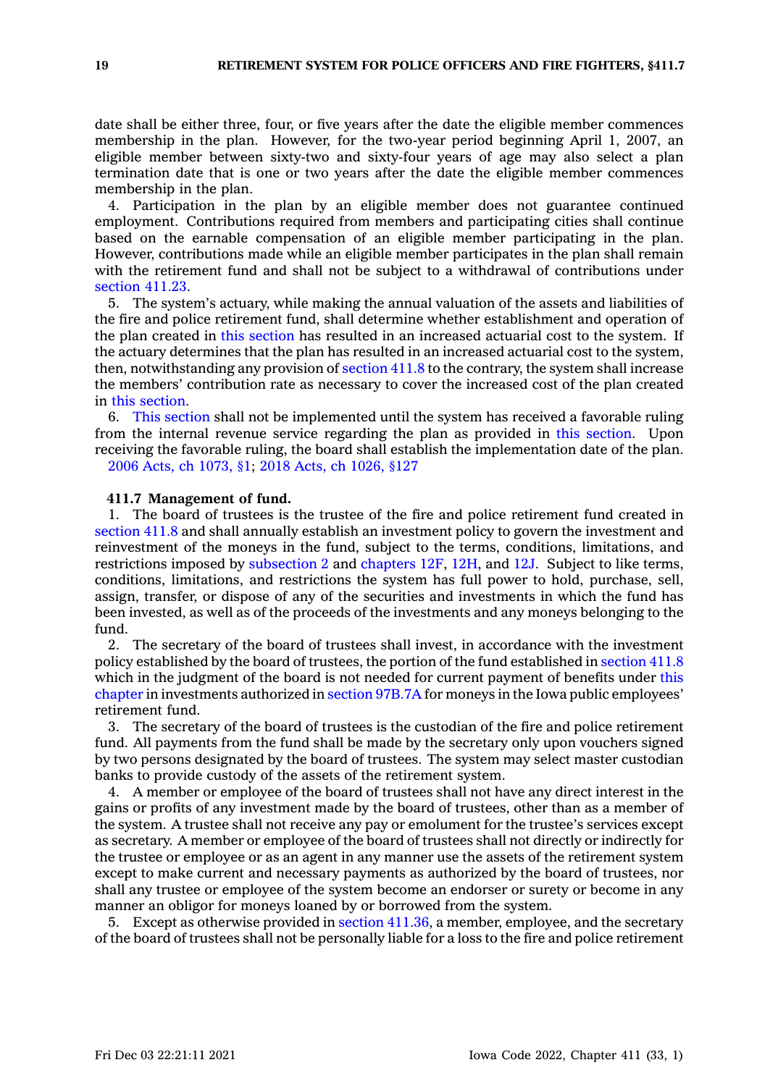date shall be either three, four, or five years after the date the eligible member commences membership in the plan. However, for the two-year period beginning April 1, 2007, an eligible member between sixty-two and sixty-four years of age may also select <sup>a</sup> plan termination date that is one or two years after the date the eligible member commences membership in the plan.

4. Participation in the plan by an eligible member does not guarantee continued employment. Contributions required from members and participating cities shall continue based on the earnable compensation of an eligible member participating in the plan. However, contributions made while an eligible member participates in the plan shall remain with the retirement fund and shall not be subject to <sup>a</sup> withdrawal of contributions under [section](https://www.legis.iowa.gov/docs/code/411.23.pdf) 411.23.

5. The system's actuary, while making the annual valuation of the assets and liabilities of the fire and police retirement fund, shall determine whether establishment and operation of the plan created in this [section](https://www.legis.iowa.gov/docs/code/411.6C.pdf) has resulted in an increased actuarial cost to the system. If the actuary determines that the plan has resulted in an increased actuarial cost to the system, then, notwithstanding any provision of [section](https://www.legis.iowa.gov/docs/code/411.8.pdf) 411.8 to the contrary, the system shall increase the members' contribution rate as necessary to cover the increased cost of the plan created in this [section](https://www.legis.iowa.gov/docs/code/411.6C.pdf).

6. This [section](https://www.legis.iowa.gov/docs/code/411.6C.pdf) shall not be implemented until the system has received <sup>a</sup> favorable ruling from the internal revenue service regarding the plan as provided in this [section](https://www.legis.iowa.gov/docs/code/411.6C.pdf). Upon receiving the favorable ruling, the board shall establish the implementation date of the plan. 2006 Acts, ch [1073,](https://www.legis.iowa.gov/docs/acts/2006/CH1073.pdf) §1; 2018 Acts, ch [1026,](https://www.legis.iowa.gov/docs/acts/2018/CH1026.pdf) §127

**411.7 Management of fund.**

1. The board of trustees is the trustee of the fire and police retirement fund created in [section](https://www.legis.iowa.gov/docs/code/411.8.pdf) 411.8 and shall annually establish an investment policy to govern the investment and reinvestment of the moneys in the fund, subject to the terms, conditions, limitations, and restrictions imposed by [subsection](https://www.legis.iowa.gov/docs/code/411.7.pdf) 2 and [chapters](https://www.legis.iowa.gov/docs/code//12F.pdf) 12F, [12H](https://www.legis.iowa.gov/docs/code//12H.pdf), and [12J](https://www.legis.iowa.gov/docs/code//12J.pdf). Subject to like terms, conditions, limitations, and restrictions the system has full power to hold, purchase, sell, assign, transfer, or dispose of any of the securities and investments in which the fund has been invested, as well as of the proceeds of the investments and any moneys belonging to the fund.

2. The secretary of the board of trustees shall invest, in accordance with the investment policy established by the board of trustees, the portion of the fund established in [section](https://www.legis.iowa.gov/docs/code/411.8.pdf) 411.8 which in the judgment of the board is not needed for current payment of benefits under [this](https://www.legis.iowa.gov/docs/code//411.pdf) [chapter](https://www.legis.iowa.gov/docs/code//411.pdf) in investments authorized in section [97B.7A](https://www.legis.iowa.gov/docs/code/97B.7A.pdf) for moneys in the Iowa public employees' retirement fund.

3. The secretary of the board of trustees is the custodian of the fire and police retirement fund. All payments from the fund shall be made by the secretary only upon vouchers signed by two persons designated by the board of trustees. The system may select master custodian banks to provide custody of the assets of the retirement system.

4. A member or employee of the board of trustees shall not have any direct interest in the gains or profits of any investment made by the board of trustees, other than as <sup>a</sup> member of the system. A trustee shall not receive any pay or emolument for the trustee's services except as secretary. A member or employee of the board of trustees shall not directly or indirectly for the trustee or employee or as an agent in any manner use the assets of the retirement system except to make current and necessary payments as authorized by the board of trustees, nor shall any trustee or employee of the system become an endorser or surety or become in any manner an obligor for moneys loaned by or borrowed from the system.

5. Except as otherwise provided in section [411.36](https://www.legis.iowa.gov/docs/code/411.36.pdf), <sup>a</sup> member, employee, and the secretary of the board of trustees shall not be personally liable for <sup>a</sup> loss to the fire and police retirement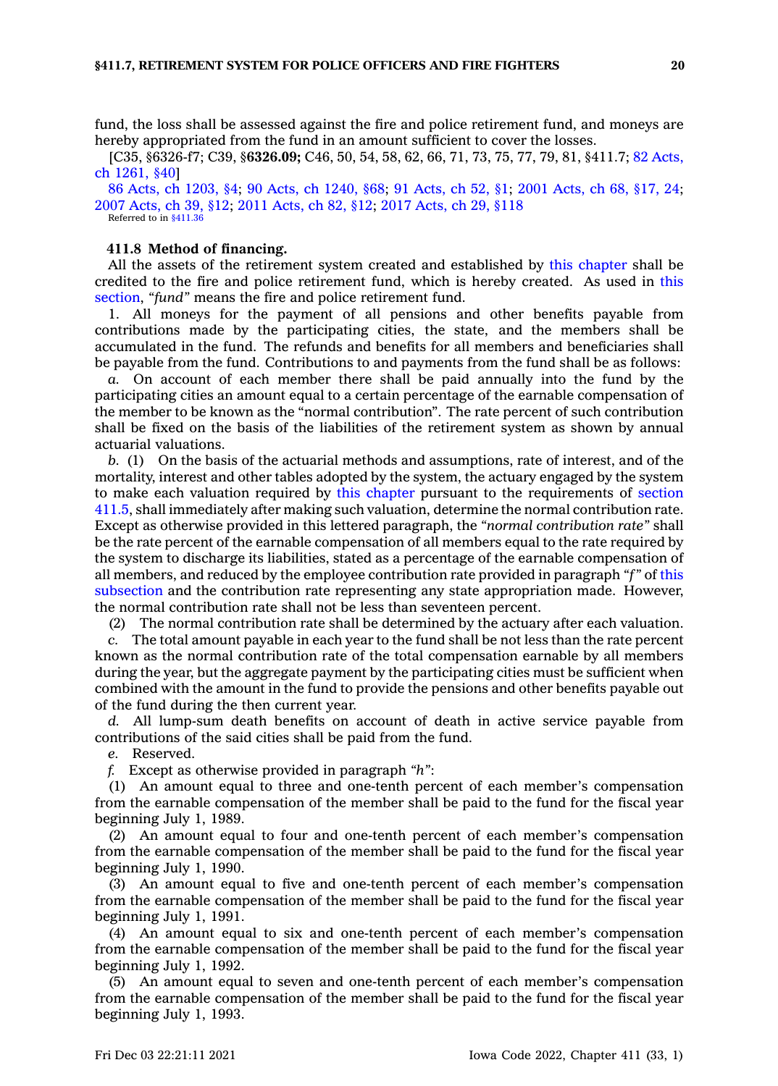fund, the loss shall be assessed against the fire and police retirement fund, and moneys are hereby appropriated from the fund in an amount sufficient to cover the losses.

[C35, §6326-f7; C39, §**6326.09;** C46, 50, 54, 58, 62, 66, 71, 73, 75, 77, 79, 81, §411.7; 82 [Acts,](https://www.legis.iowa.gov/docs/acts/1982/CH1261.pdf) ch [1261,](https://www.legis.iowa.gov/docs/acts/1982/CH1261.pdf) §40]

86 Acts, ch [1203,](https://www.legis.iowa.gov/docs/acts/1986/CH1203.pdf) §4; 90 Acts, ch [1240,](https://www.legis.iowa.gov/docs/acts/90/CH1240.pdf) §68; 91 [Acts,](https://www.legis.iowa.gov/docs/acts/91/CH0052.pdf) ch 52, §1; 2001 [Acts,](https://www.legis.iowa.gov/docs/acts/2001/CH0068.pdf) ch 68, §17, 24; 2007 [Acts,](https://www.legis.iowa.gov/docs/acts/2007/CH0039.pdf) ch 39, §12; 2011 [Acts,](https://www.legis.iowa.gov/docs/acts/2011/CH0082.pdf) ch 82, §12; 2017 [Acts,](https://www.legis.iowa.gov/docs/acts/2017/CH0029.pdf) ch 29, §118 Referred to in [§411.36](https://www.legis.iowa.gov/docs/code/411.36.pdf)

#### **411.8 Method of financing.**

All the assets of the retirement system created and established by this [chapter](https://www.legis.iowa.gov/docs/code//411.pdf) shall be credited to the fire and police retirement fund, which is hereby created. As used in [this](https://www.legis.iowa.gov/docs/code/411.8.pdf) [section](https://www.legis.iowa.gov/docs/code/411.8.pdf), *"fund"* means the fire and police retirement fund.

1. All moneys for the payment of all pensions and other benefits payable from contributions made by the participating cities, the state, and the members shall be accumulated in the fund. The refunds and benefits for all members and beneficiaries shall be payable from the fund. Contributions to and payments from the fund shall be as follows:

*a.* On account of each member there shall be paid annually into the fund by the participating cities an amount equal to <sup>a</sup> certain percentage of the earnable compensation of the member to be known as the "normal contribution". The rate percent of such contribution shall be fixed on the basis of the liabilities of the retirement system as shown by annual actuarial valuations.

*b.* (1) On the basis of the actuarial methods and assumptions, rate of interest, and of the mortality, interest and other tables adopted by the system, the actuary engaged by the system to make each valuation required by this [chapter](https://www.legis.iowa.gov/docs/code//411.pdf) pursuant to the requirements of [section](https://www.legis.iowa.gov/docs/code/411.5.pdf) [411.5](https://www.legis.iowa.gov/docs/code/411.5.pdf), shall immediately after making such valuation, determine the normal contribution rate. Except as otherwise provided in this lettered paragraph, the *"normal contribution rate"* shall be the rate percent of the earnable compensation of all members equal to the rate required by the system to discharge its liabilities, stated as <sup>a</sup> percentage of the earnable compensation of all members, and reduced by the employee contribution rate provided in paragraph *"f"* of [this](https://www.legis.iowa.gov/docs/code/411.8.pdf) [subsection](https://www.legis.iowa.gov/docs/code/411.8.pdf) and the contribution rate representing any state appropriation made. However, the normal contribution rate shall not be less than seventeen percent.

(2) The normal contribution rate shall be determined by the actuary after each valuation.

*c.* The total amount payable in each year to the fund shall be not less than the rate percent known as the normal contribution rate of the total compensation earnable by all members during the year, but the aggregate payment by the participating cities must be sufficient when combined with the amount in the fund to provide the pensions and other benefits payable out of the fund during the then current year.

*d.* All lump-sum death benefits on account of death in active service payable from contributions of the said cities shall be paid from the fund.

*e.* Reserved.

*f.* Except as otherwise provided in paragraph *"h"*:

(1) An amount equal to three and one-tenth percent of each member's compensation from the earnable compensation of the member shall be paid to the fund for the fiscal year beginning July 1, 1989.

(2) An amount equal to four and one-tenth percent of each member's compensation from the earnable compensation of the member shall be paid to the fund for the fiscal year beginning July 1, 1990.

(3) An amount equal to five and one-tenth percent of each member's compensation from the earnable compensation of the member shall be paid to the fund for the fiscal year beginning July 1, 1991.

(4) An amount equal to six and one-tenth percent of each member's compensation from the earnable compensation of the member shall be paid to the fund for the fiscal year beginning July 1, 1992.

(5) An amount equal to seven and one-tenth percent of each member's compensation from the earnable compensation of the member shall be paid to the fund for the fiscal year beginning July 1, 1993.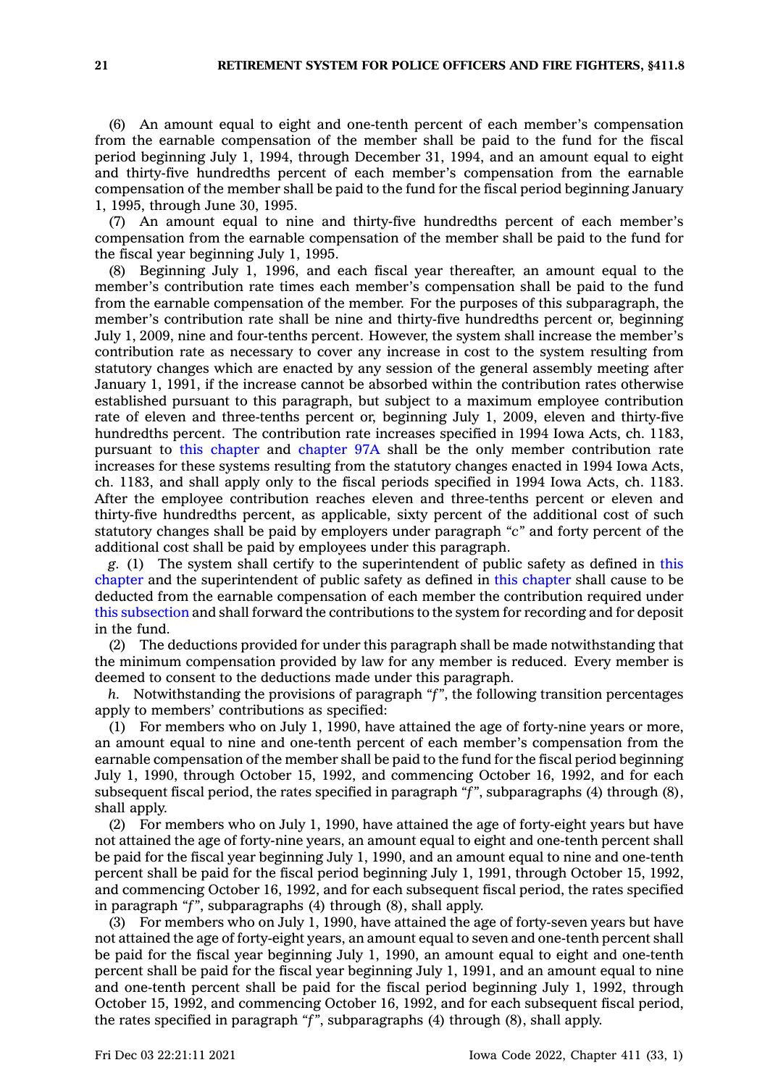(6) An amount equal to eight and one-tenth percent of each member's compensation from the earnable compensation of the member shall be paid to the fund for the fiscal period beginning July 1, 1994, through December 31, 1994, and an amount equal to eight and thirty-five hundredths percent of each member's compensation from the earnable compensation of the member shall be paid to the fund for the fiscal period beginning January 1, 1995, through June 30, 1995.

(7) An amount equal to nine and thirty-five hundredths percent of each member's compensation from the earnable compensation of the member shall be paid to the fund for the fiscal year beginning July 1, 1995.

(8) Beginning July 1, 1996, and each fiscal year thereafter, an amount equal to the member's contribution rate times each member's compensation shall be paid to the fund from the earnable compensation of the member. For the purposes of this subparagraph, the member's contribution rate shall be nine and thirty-five hundredths percent or, beginning July 1, 2009, nine and four-tenths percent. However, the system shall increase the member's contribution rate as necessary to cover any increase in cost to the system resulting from statutory changes which are enacted by any session of the general assembly meeting after January 1, 1991, if the increase cannot be absorbed within the contribution rates otherwise established pursuant to this paragraph, but subject to <sup>a</sup> maximum employee contribution rate of eleven and three-tenths percent or, beginning July 1, 2009, eleven and thirty-five hundredths percent. The contribution rate increases specified in 1994 Iowa Acts, ch. 1183, pursuant to this [chapter](https://www.legis.iowa.gov/docs/code//411.pdf) and [chapter](https://www.legis.iowa.gov/docs/code//97A.pdf) 97A shall be the only member contribution rate increases for these systems resulting from the statutory changes enacted in 1994 Iowa Acts, ch. 1183, and shall apply only to the fiscal periods specified in 1994 Iowa Acts, ch. 1183. After the employee contribution reaches eleven and three-tenths percent or eleven and thirty-five hundredths percent, as applicable, sixty percent of the additional cost of such statutory changes shall be paid by employers under paragraph *"c"* and forty percent of the additional cost shall be paid by employees under this paragraph.

*g.* (1) The system shall certify to the superintendent of public safety as defined in [this](https://www.legis.iowa.gov/docs/code//411.pdf) [chapter](https://www.legis.iowa.gov/docs/code//411.pdf) and the superintendent of public safety as defined in this [chapter](https://www.legis.iowa.gov/docs/code//411.pdf) shall cause to be deducted from the earnable compensation of each member the contribution required under this [subsection](https://www.legis.iowa.gov/docs/code/411.8.pdf) and shall forward the contributions to the system for recording and for deposit in the fund.

(2) The deductions provided for under this paragraph shall be made notwithstanding that the minimum compensation provided by law for any member is reduced. Every member is deemed to consent to the deductions made under this paragraph.

*h.* Notwithstanding the provisions of paragraph *"f"*, the following transition percentages apply to members' contributions as specified:

(1) For members who on July 1, 1990, have attained the age of forty-nine years or more, an amount equal to nine and one-tenth percent of each member's compensation from the earnable compensation of the member shall be paid to the fund for the fiscal period beginning July 1, 1990, through October 15, 1992, and commencing October 16, 1992, and for each subsequent fiscal period, the rates specified in paragraph *"f"*, subparagraphs (4) through (8), shall apply.

(2) For members who on July 1, 1990, have attained the age of forty-eight years but have not attained the age of forty-nine years, an amount equal to eight and one-tenth percent shall be paid for the fiscal year beginning July 1, 1990, and an amount equal to nine and one-tenth percent shall be paid for the fiscal period beginning July 1, 1991, through October 15, 1992, and commencing October 16, 1992, and for each subsequent fiscal period, the rates specified in paragraph *"f"*, subparagraphs (4) through (8), shall apply.

(3) For members who on July 1, 1990, have attained the age of forty-seven years but have not attained the age of forty-eight years, an amount equal to seven and one-tenth percent shall be paid for the fiscal year beginning July 1, 1990, an amount equal to eight and one-tenth percent shall be paid for the fiscal year beginning July 1, 1991, and an amount equal to nine and one-tenth percent shall be paid for the fiscal period beginning July 1, 1992, through October 15, 1992, and commencing October 16, 1992, and for each subsequent fiscal period, the rates specified in paragraph *"f"*, subparagraphs (4) through (8), shall apply.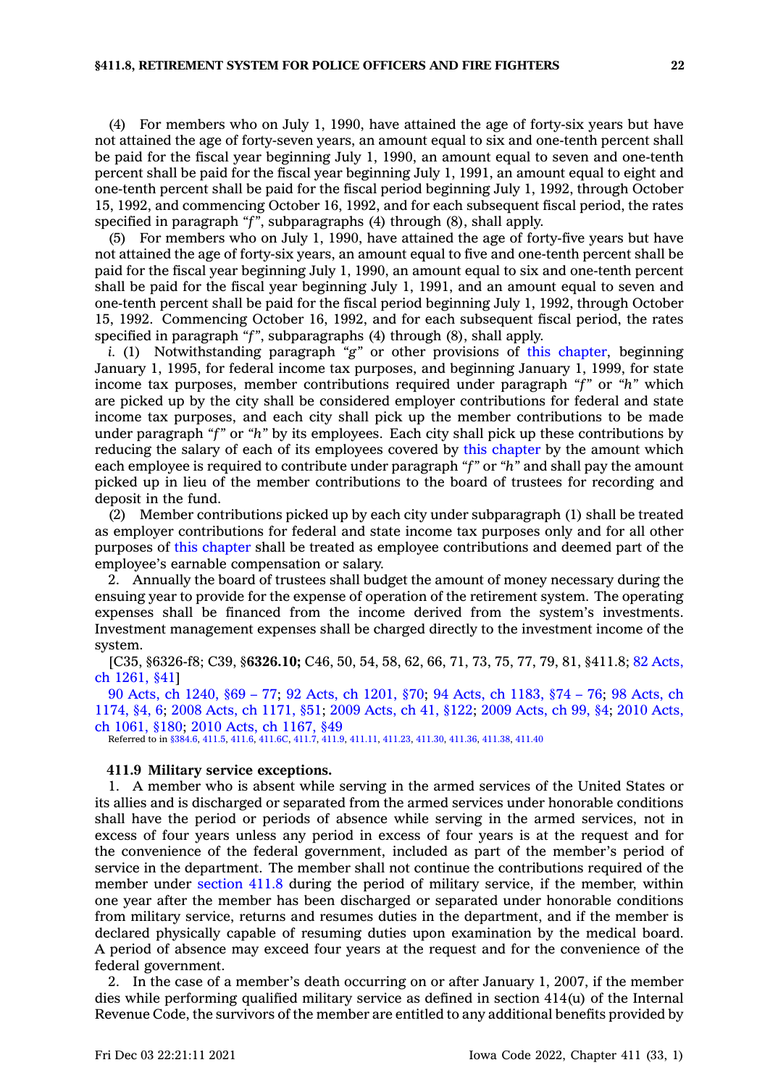(4) For members who on July 1, 1990, have attained the age of forty-six years but have not attained the age of forty-seven years, an amount equal to six and one-tenth percent shall be paid for the fiscal year beginning July 1, 1990, an amount equal to seven and one-tenth percent shall be paid for the fiscal year beginning July 1, 1991, an amount equal to eight and one-tenth percent shall be paid for the fiscal period beginning July 1, 1992, through October 15, 1992, and commencing October 16, 1992, and for each subsequent fiscal period, the rates specified in paragraph *"f"*, subparagraphs (4) through (8), shall apply.

(5) For members who on July 1, 1990, have attained the age of forty-five years but have not attained the age of forty-six years, an amount equal to five and one-tenth percent shall be paid for the fiscal year beginning July 1, 1990, an amount equal to six and one-tenth percent shall be paid for the fiscal year beginning July 1, 1991, and an amount equal to seven and one-tenth percent shall be paid for the fiscal period beginning July 1, 1992, through October 15, 1992. Commencing October 16, 1992, and for each subsequent fiscal period, the rates specified in paragraph *"f"*, subparagraphs (4) through (8), shall apply.

*i.* (1) Notwithstanding paragraph *"g"* or other provisions of this [chapter](https://www.legis.iowa.gov/docs/code//411.pdf), beginning January 1, 1995, for federal income tax purposes, and beginning January 1, 1999, for state income tax purposes, member contributions required under paragraph *"f"* or *"h"* which are picked up by the city shall be considered employer contributions for federal and state income tax purposes, and each city shall pick up the member contributions to be made under paragraph *"f"* or *"h"* by its employees. Each city shall pick up these contributions by reducing the salary of each of its employees covered by this [chapter](https://www.legis.iowa.gov/docs/code//411.pdf) by the amount which each employee is required to contribute under paragraph *"f"* or *"h"* and shall pay the amount picked up in lieu of the member contributions to the board of trustees for recording and deposit in the fund.

(2) Member contributions picked up by each city under subparagraph (1) shall be treated as employer contributions for federal and state income tax purposes only and for all other purposes of this [chapter](https://www.legis.iowa.gov/docs/code//411.pdf) shall be treated as employee contributions and deemed part of the employee's earnable compensation or salary.

2. Annually the board of trustees shall budget the amount of money necessary during the ensuing year to provide for the expense of operation of the retirement system. The operating expenses shall be financed from the income derived from the system's investments. Investment management expenses shall be charged directly to the investment income of the system.

[C35, §6326-f8; C39, §**6326.10;** C46, 50, 54, 58, 62, 66, 71, 73, 75, 77, 79, 81, §411.8; 82 [Acts,](https://www.legis.iowa.gov/docs/acts/1982/CH1261.pdf) ch [1261,](https://www.legis.iowa.gov/docs/acts/1982/CH1261.pdf) §41]

90 Acts, ch [1240,](https://www.legis.iowa.gov/docs/acts/1990/CH1240.pdf) §69 – 77; 92 Acts, ch [1201,](https://www.legis.iowa.gov/docs/acts/92/CH1201.pdf) §70; 94 Acts, ch [1183,](https://www.legis.iowa.gov/docs/acts/94/CH1183.pdf) §74 – 76; 98 [Acts,](https://www.legis.iowa.gov/docs/acts/98/CH1174.pdf) ch [1174,](https://www.legis.iowa.gov/docs/acts/98/CH1174.pdf) §4, 6; 2008 Acts, ch [1171,](https://www.legis.iowa.gov/docs/acts/2008/CH1171.pdf) §51; 2009 [Acts,](https://www.legis.iowa.gov/docs/acts/2009/CH0041.pdf) ch 41, §122; 2009 [Acts,](https://www.legis.iowa.gov/docs/acts/2009/CH0099.pdf) ch 99, §4; 2010 [Acts,](https://www.legis.iowa.gov/docs/acts/2010/CH1061.pdf) ch [1061,](https://www.legis.iowa.gov/docs/acts/2010/CH1061.pdf) §180; 2010 Acts, ch [1167,](https://www.legis.iowa.gov/docs/acts/2010/CH1167.pdf) §49

Referred to in [§384.6,](https://www.legis.iowa.gov/docs/code/384.6.pdf) [411.5](https://www.legis.iowa.gov/docs/code/411.5.pdf), [411.6](https://www.legis.iowa.gov/docs/code/411.6.pdf), [411.6C,](https://www.legis.iowa.gov/docs/code/411.6C.pdf) [411.7](https://www.legis.iowa.gov/docs/code/411.7.pdf), [411.9](https://www.legis.iowa.gov/docs/code/411.9.pdf), [411.11](https://www.legis.iowa.gov/docs/code/411.11.pdf), [411.23](https://www.legis.iowa.gov/docs/code/411.23.pdf), [411.30](https://www.legis.iowa.gov/docs/code/411.30.pdf), [411.36](https://www.legis.iowa.gov/docs/code/411.36.pdf), [411.38](https://www.legis.iowa.gov/docs/code/411.38.pdf), [411.40](https://www.legis.iowa.gov/docs/code/411.40.pdf)

### **411.9 Military service exceptions.**

1. A member who is absent while serving in the armed services of the United States or its allies and is discharged or separated from the armed services under honorable conditions shall have the period or periods of absence while serving in the armed services, not in excess of four years unless any period in excess of four years is at the request and for the convenience of the federal government, included as part of the member's period of service in the department. The member shall not continue the contributions required of the member under [section](https://www.legis.iowa.gov/docs/code/411.8.pdf) 411.8 during the period of military service, if the member, within one year after the member has been discharged or separated under honorable conditions from military service, returns and resumes duties in the department, and if the member is declared physically capable of resuming duties upon examination by the medical board. A period of absence may exceed four years at the request and for the convenience of the federal government.

2. In the case of <sup>a</sup> member's death occurring on or after January 1, 2007, if the member dies while performing qualified military service as defined in section 414(u) of the Internal Revenue Code, the survivors of the member are entitled to any additional benefits provided by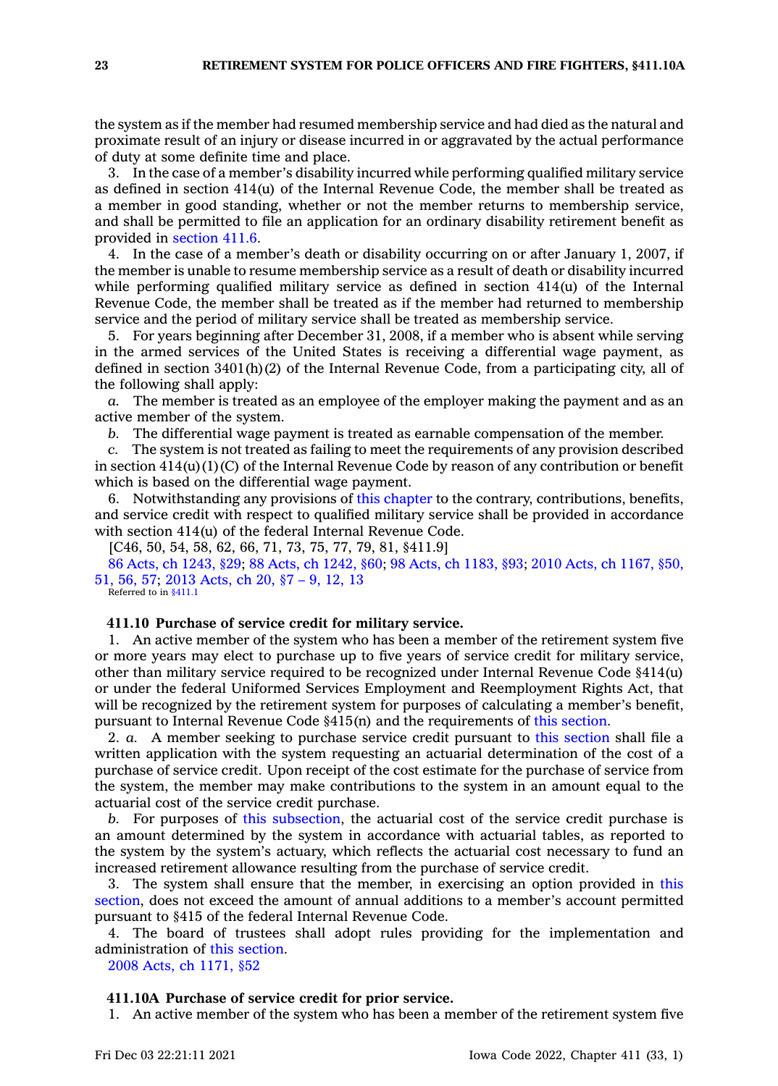the system as if the member had resumed membership service and had died as the natural and proximate result of an injury or disease incurred in or aggravated by the actual performance of duty at some definite time and place.

3. In the case of <sup>a</sup> member's disability incurred while performing qualified military service as defined in section  $414(u)$  of the Internal Revenue Code, the member shall be treated as <sup>a</sup> member in good standing, whether or not the member returns to membership service, and shall be permitted to file an application for an ordinary disability retirement benefit as provided in [section](https://www.legis.iowa.gov/docs/code/411.6.pdf) 411.6.

4. In the case of <sup>a</sup> member's death or disability occurring on or after January 1, 2007, if the member is unable to resume membership service as <sup>a</sup> result of death or disability incurred while performing qualified military service as defined in section  $414(u)$  of the Internal Revenue Code, the member shall be treated as if the member had returned to membership service and the period of military service shall be treated as membership service.

5. For years beginning after December 31, 2008, if <sup>a</sup> member who is absent while serving in the armed services of the United States is receiving <sup>a</sup> differential wage payment, as defined in section 3401(h)(2) of the Internal Revenue Code, from <sup>a</sup> participating city, all of the following shall apply:

*a.* The member is treated as an employee of the employer making the payment and as an active member of the system.

*b.* The differential wage payment is treated as earnable compensation of the member.

*c.* The system is not treated as failing to meet the requirements of any provision described in section  $414(u)(1)(C)$  of the Internal Revenue Code by reason of any contribution or benefit which is based on the differential wage payment.

6. Notwithstanding any provisions of this [chapter](https://www.legis.iowa.gov/docs/code//411.pdf) to the contrary, contributions, benefits, and service credit with respect to qualified military service shall be provided in accordance with section 414(u) of the federal Internal Revenue Code.

[C46, 50, 54, 58, 62, 66, 71, 73, 75, 77, 79, 81, §411.9]

86 Acts, ch [1243,](https://www.legis.iowa.gov/docs/acts/1986/CH1243.pdf) §29; 88 Acts, ch [1242,](https://www.legis.iowa.gov/docs/acts/88/CH1242.pdf) §60; 98 Acts, ch [1183,](https://www.legis.iowa.gov/docs/acts/98/CH1183.pdf) §93; 2010 Acts, ch [1167,](https://www.legis.iowa.gov/docs/acts/2010/CH1167.pdf) §50, [51,](https://www.legis.iowa.gov/docs/acts/2010/CH1167.pdf) 56, 57; 2013 [Acts,](https://www.legis.iowa.gov/docs/acts/2013/CH0020.pdf) ch 20, §7 – 9, 12, 13

Referred to in [§411.1](https://www.legis.iowa.gov/docs/code/411.1.pdf)

### **411.10 Purchase of service credit for military service.**

1. An active member of the system who has been <sup>a</sup> member of the retirement system five or more years may elect to purchase up to five years of service credit for military service, other than military service required to be recognized under Internal Revenue Code §414(u) or under the federal Uniformed Services Employment and Reemployment Rights Act, that will be recognized by the retirement system for purposes of calculating <sup>a</sup> member's benefit, pursuant to Internal Revenue Code §415(n) and the requirements of this [section](https://www.legis.iowa.gov/docs/code/411.10.pdf).

2. *a.* A member seeking to purchase service credit pursuant to this [section](https://www.legis.iowa.gov/docs/code/411.10.pdf) shall file <sup>a</sup> written application with the system requesting an actuarial determination of the cost of <sup>a</sup> purchase of service credit. Upon receipt of the cost estimate for the purchase of service from the system, the member may make contributions to the system in an amount equal to the actuarial cost of the service credit purchase.

*b.* For purposes of this [subsection](https://www.legis.iowa.gov/docs/code/411.10.pdf), the actuarial cost of the service credit purchase is an amount determined by the system in accordance with actuarial tables, as reported to the system by the system's actuary, which reflects the actuarial cost necessary to fund an increased retirement allowance resulting from the purchase of service credit.

3. The system shall ensure that the member, in exercising an option provided in [this](https://www.legis.iowa.gov/docs/code/411.10.pdf) [section](https://www.legis.iowa.gov/docs/code/411.10.pdf), does not exceed the amount of annual additions to <sup>a</sup> member's account permitted pursuant to §415 of the federal Internal Revenue Code.

4. The board of trustees shall adopt rules providing for the implementation and administration of this [section](https://www.legis.iowa.gov/docs/code/411.10.pdf).

2008 Acts, ch [1171,](https://www.legis.iowa.gov/docs/acts/2008/CH1171.pdf) §52

#### **411.10A Purchase of service credit for prior service.**

1. An active member of the system who has been <sup>a</sup> member of the retirement system five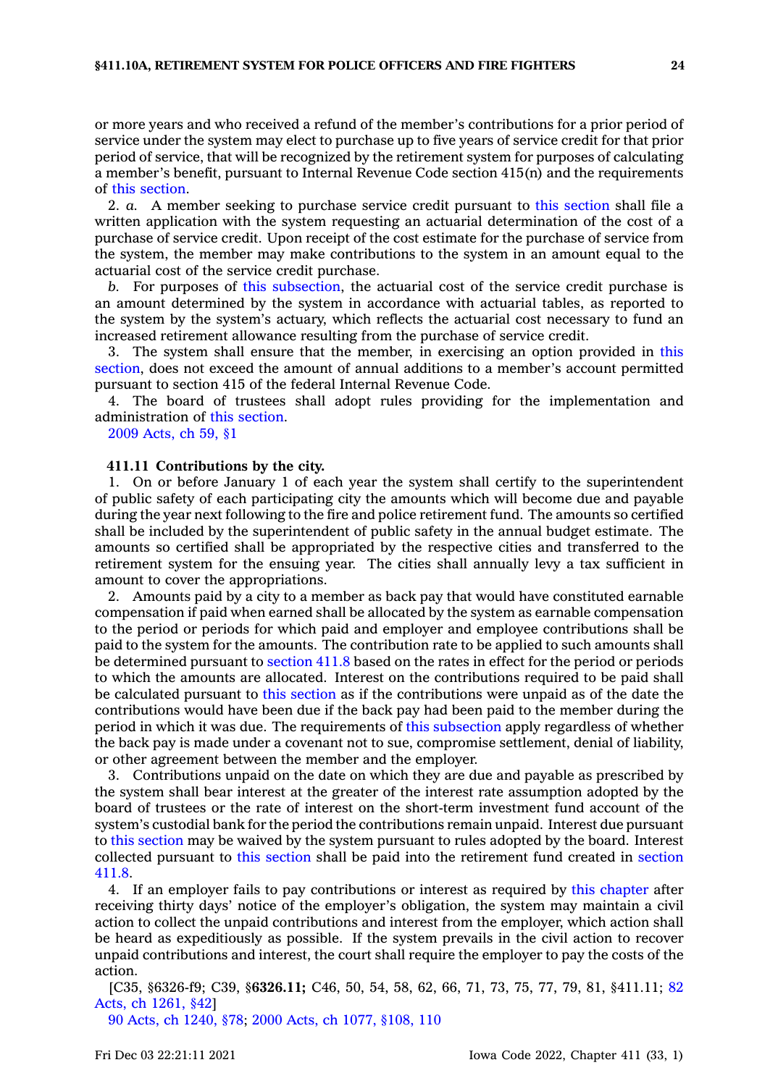or more years and who received <sup>a</sup> refund of the member's contributions for <sup>a</sup> prior period of service under the system may elect to purchase up to five years of service credit for that prior period of service, that will be recognized by the retirement system for purposes of calculating <sup>a</sup> member's benefit, pursuant to Internal Revenue Code section 415(n) and the requirements of this [section](https://www.legis.iowa.gov/docs/code/411.10A.pdf).

2. *a.* A member seeking to purchase service credit pursuant to this [section](https://www.legis.iowa.gov/docs/code/411.10A.pdf) shall file <sup>a</sup> written application with the system requesting an actuarial determination of the cost of <sup>a</sup> purchase of service credit. Upon receipt of the cost estimate for the purchase of service from the system, the member may make contributions to the system in an amount equal to the actuarial cost of the service credit purchase.

*b.* For purposes of this [subsection](https://www.legis.iowa.gov/docs/code/411.10A.pdf), the actuarial cost of the service credit purchase is an amount determined by the system in accordance with actuarial tables, as reported to the system by the system's actuary, which reflects the actuarial cost necessary to fund an increased retirement allowance resulting from the purchase of service credit.

3. The system shall ensure that the member, in exercising an option provided in [this](https://www.legis.iowa.gov/docs/code/411.10A.pdf) [section](https://www.legis.iowa.gov/docs/code/411.10A.pdf), does not exceed the amount of annual additions to <sup>a</sup> member's account permitted pursuant to section 415 of the federal Internal Revenue Code.

4. The board of trustees shall adopt rules providing for the implementation and administration of this [section](https://www.legis.iowa.gov/docs/code/411.10A.pdf).

2009 [Acts,](https://www.legis.iowa.gov/docs/acts/2009/CH0059.pdf) ch 59, §1

#### **411.11 Contributions by the city.**

1. On or before January 1 of each year the system shall certify to the superintendent of public safety of each participating city the amounts which will become due and payable during the year next following to the fire and police retirement fund. The amounts so certified shall be included by the superintendent of public safety in the annual budget estimate. The amounts so certified shall be appropriated by the respective cities and transferred to the retirement system for the ensuing year. The cities shall annually levy <sup>a</sup> tax sufficient in amount to cover the appropriations.

2. Amounts paid by <sup>a</sup> city to <sup>a</sup> member as back pay that would have constituted earnable compensation if paid when earned shall be allocated by the system as earnable compensation to the period or periods for which paid and employer and employee contributions shall be paid to the system for the amounts. The contribution rate to be applied to such amounts shall be determined pursuant to [section](https://www.legis.iowa.gov/docs/code/411.8.pdf) 411.8 based on the rates in effect for the period or periods to which the amounts are allocated. Interest on the contributions required to be paid shall be calculated pursuant to this [section](https://www.legis.iowa.gov/docs/code/411.11.pdf) as if the contributions were unpaid as of the date the contributions would have been due if the back pay had been paid to the member during the period in which it was due. The requirements of this [subsection](https://www.legis.iowa.gov/docs/code/411.11.pdf) apply regardless of whether the back pay is made under <sup>a</sup> covenant not to sue, compromise settlement, denial of liability, or other agreement between the member and the employer.

3. Contributions unpaid on the date on which they are due and payable as prescribed by the system shall bear interest at the greater of the interest rate assumption adopted by the board of trustees or the rate of interest on the short-term investment fund account of the system's custodial bank for the period the contributions remain unpaid. Interest due pursuant to this [section](https://www.legis.iowa.gov/docs/code/411.11.pdf) may be waived by the system pursuant to rules adopted by the board. Interest collected pursuant to this [section](https://www.legis.iowa.gov/docs/code/411.11.pdf) shall be paid into the retirement fund created in [section](https://www.legis.iowa.gov/docs/code/411.8.pdf) [411.8](https://www.legis.iowa.gov/docs/code/411.8.pdf).

4. If an employer fails to pay contributions or interest as required by this [chapter](https://www.legis.iowa.gov/docs/code//411.pdf) after receiving thirty days' notice of the employer's obligation, the system may maintain <sup>a</sup> civil action to collect the unpaid contributions and interest from the employer, which action shall be heard as expeditiously as possible. If the system prevails in the civil action to recover unpaid contributions and interest, the court shall require the employer to pay the costs of the action.

[C35, §6326-f9; C39, §**6326.11;** C46, 50, 54, 58, 62, 66, 71, 73, 75, 77, 79, 81, §411.11; [82](https://www.legis.iowa.gov/docs/acts/1982/CH1261.pdf) Acts, ch [1261,](https://www.legis.iowa.gov/docs/acts/1982/CH1261.pdf) §42]

90 Acts, ch [1240,](https://www.legis.iowa.gov/docs/acts/1990/CH1240.pdf) §78; 2000 Acts, ch 1077, [§108,](https://www.legis.iowa.gov/docs/acts/2000/CH1077.pdf) 110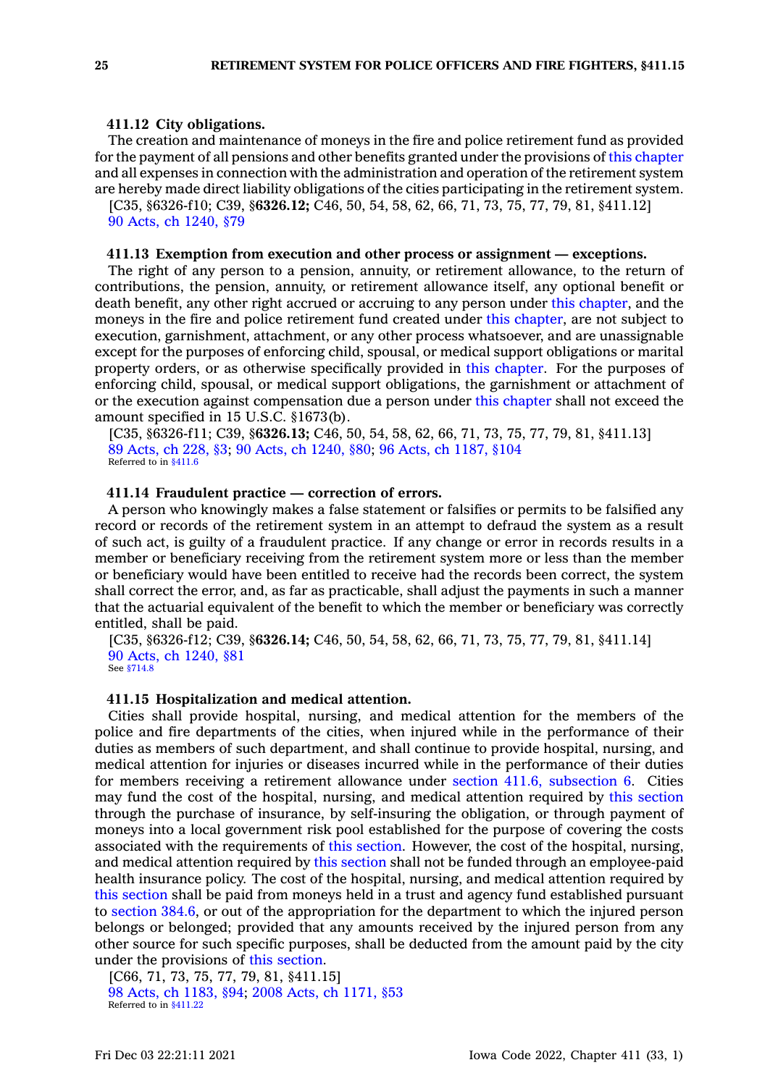#### **411.12 City obligations.**

The creation and maintenance of moneys in the fire and police retirement fund as provided for the payment of all pensions and other benefits granted under the provisions of this [chapter](https://www.legis.iowa.gov/docs/code//411.pdf) and all expenses in connection with the administration and operation of the retirement system are hereby made direct liability obligations of the cities participating in the retirement system.

[C35, §6326-f10; C39, §**6326.12;** C46, 50, 54, 58, 62, 66, 71, 73, 75, 77, 79, 81, §411.12] 90 Acts, ch [1240,](https://www.legis.iowa.gov/docs/acts/1990/CH1240.pdf) §79

### **411.13 Exemption from execution and other process or assignment — exceptions.**

The right of any person to <sup>a</sup> pension, annuity, or retirement allowance, to the return of contributions, the pension, annuity, or retirement allowance itself, any optional benefit or death benefit, any other right accrued or accruing to any person under this [chapter](https://www.legis.iowa.gov/docs/code//411.pdf), and the moneys in the fire and police retirement fund created under this [chapter](https://www.legis.iowa.gov/docs/code//411.pdf), are not subject to execution, garnishment, attachment, or any other process whatsoever, and are unassignable except for the purposes of enforcing child, spousal, or medical support obligations or marital property orders, or as otherwise specifically provided in this [chapter](https://www.legis.iowa.gov/docs/code//411.pdf). For the purposes of enforcing child, spousal, or medical support obligations, the garnishment or attachment of or the execution against compensation due <sup>a</sup> person under this [chapter](https://www.legis.iowa.gov/docs/code//411.pdf) shall not exceed the amount specified in 15 U.S.C. §1673(b).

[C35, §6326-f11; C39, §**6326.13;** C46, 50, 54, 58, 62, 66, 71, 73, 75, 77, 79, 81, §411.13] 89 [Acts,](https://www.legis.iowa.gov/docs/acts/1989/CH0228.pdf) ch 228, §3; 90 Acts, ch [1240,](https://www.legis.iowa.gov/docs/acts/1990/CH1240.pdf) §80; 96 Acts, ch [1187,](https://www.legis.iowa.gov/docs/acts/1996/CH1187.pdf) §104 Referred to in [§411.6](https://www.legis.iowa.gov/docs/code/411.6.pdf)

#### **411.14 Fraudulent practice — correction of errors.**

A person who knowingly makes <sup>a</sup> false statement or falsifies or permits to be falsified any record or records of the retirement system in an attempt to defraud the system as <sup>a</sup> result of such act, is guilty of <sup>a</sup> fraudulent practice. If any change or error in records results in <sup>a</sup> member or beneficiary receiving from the retirement system more or less than the member or beneficiary would have been entitled to receive had the records been correct, the system shall correct the error, and, as far as practicable, shall adjust the payments in such <sup>a</sup> manner that the actuarial equivalent of the benefit to which the member or beneficiary was correctly entitled, shall be paid.

[C35, §6326-f12; C39, §**6326.14;** C46, 50, 54, 58, 62, 66, 71, 73, 75, 77, 79, 81, §411.14] 90 Acts, ch [1240,](https://www.legis.iowa.gov/docs/acts/1990/CH1240.pdf) §81 See [§714.8](https://www.legis.iowa.gov/docs/code/714.8.pdf)

#### **411.15 Hospitalization and medical attention.**

Cities shall provide hospital, nursing, and medical attention for the members of the police and fire departments of the cities, when injured while in the performance of their duties as members of such department, and shall continue to provide hospital, nursing, and medical attention for injuries or diseases incurred while in the performance of their duties for members receiving <sup>a</sup> retirement allowance under section 411.6, [subsection](https://www.legis.iowa.gov/docs/code/411.6.pdf) 6. Cities may fund the cost of the hospital, nursing, and medical attention required by this [section](https://www.legis.iowa.gov/docs/code/411.15.pdf) through the purchase of insurance, by self-insuring the obligation, or through payment of moneys into <sup>a</sup> local government risk pool established for the purpose of covering the costs associated with the requirements of this [section](https://www.legis.iowa.gov/docs/code/411.15.pdf). However, the cost of the hospital, nursing, and medical attention required by this [section](https://www.legis.iowa.gov/docs/code/411.15.pdf) shall not be funded through an employee-paid health insurance policy. The cost of the hospital, nursing, and medical attention required by this [section](https://www.legis.iowa.gov/docs/code/411.15.pdf) shall be paid from moneys held in <sup>a</sup> trust and agency fund established pursuant to [section](https://www.legis.iowa.gov/docs/code/384.6.pdf) 384.6, or out of the appropriation for the department to which the injured person belongs or belonged; provided that any amounts received by the injured person from any other source for such specific purposes, shall be deducted from the amount paid by the city under the provisions of this [section](https://www.legis.iowa.gov/docs/code/411.15.pdf).

[C66, 71, 73, 75, 77, 79, 81, §411.15] 98 Acts, ch [1183,](https://www.legis.iowa.gov/docs/acts/1998/CH1183.pdf) §94; 2008 Acts, ch [1171,](https://www.legis.iowa.gov/docs/acts/2008/CH1171.pdf) §53 Referred to in [§411.22](https://www.legis.iowa.gov/docs/code/411.22.pdf)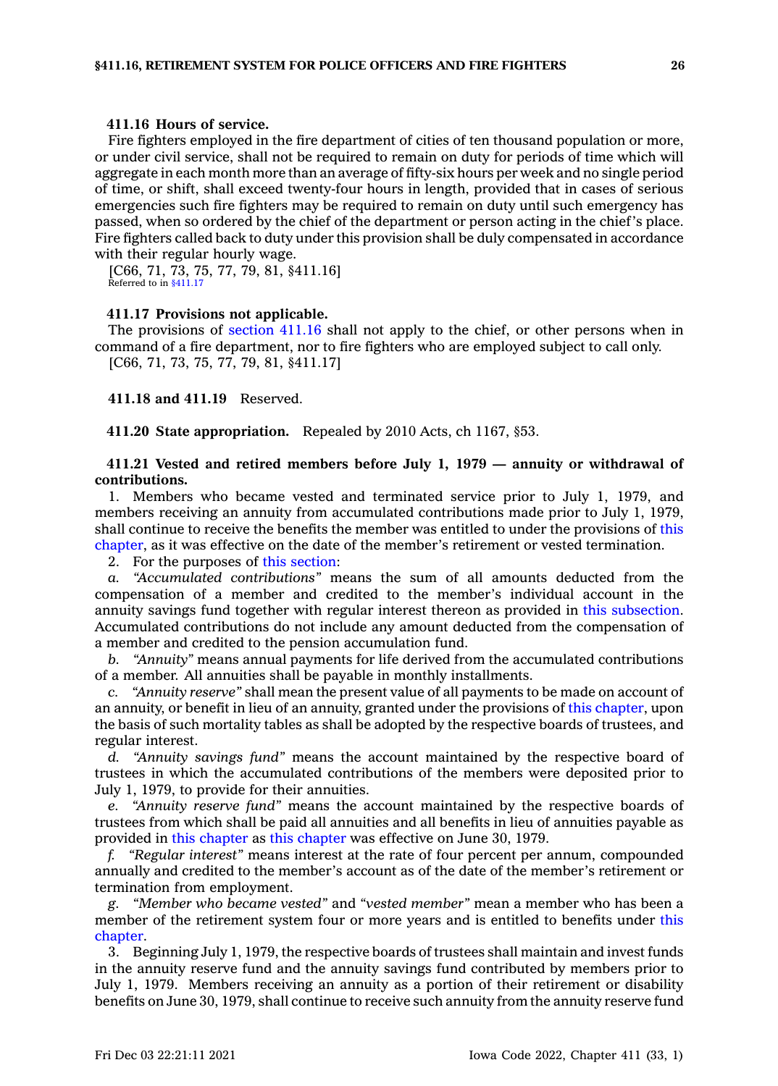### **411.16 Hours of service.**

Fire fighters employed in the fire department of cities of ten thousand population or more, or under civil service, shall not be required to remain on duty for periods of time which will aggregate in each month more than an average of fifty-six hours per week and no single period of time, or shift, shall exceed twenty-four hours in length, provided that in cases of serious emergencies such fire fighters may be required to remain on duty until such emergency has passed, when so ordered by the chief of the department or person acting in the chief's place. Fire fighters called back to duty under this provision shall be duly compensated in accordance with their regular hourly wage.

[C66, 71, 73, 75, 77, 79, 81, §411.16] Referred to in [§411.17](https://www.legis.iowa.gov/docs/code/411.17.pdf)

#### **411.17 Provisions not applicable.**

The provisions of [section](https://www.legis.iowa.gov/docs/code/411.16.pdf) 411.16 shall not apply to the chief, or other persons when in command of <sup>a</sup> fire department, nor to fire fighters who are employed subject to call only. [C66, 71, 73, 75, 77, 79, 81, §411.17]

**411.18 and 411.19** Reserved.

**411.20 State appropriation.** Repealed by 2010 Acts, ch 1167, §53.

### **411.21 Vested and retired members before July 1, 1979 — annuity or withdrawal of contributions.**

1. Members who became vested and terminated service prior to July 1, 1979, and members receiving an annuity from accumulated contributions made prior to July 1, 1979, shall continue to receive the benefits the member was entitled to under the provisions of [this](https://www.legis.iowa.gov/docs/code//411.pdf) [chapter](https://www.legis.iowa.gov/docs/code//411.pdf), as it was effective on the date of the member's retirement or vested termination.

2. For the purposes of this [section](https://www.legis.iowa.gov/docs/code/411.21.pdf):

*a. "Accumulated contributions"* means the sum of all amounts deducted from the compensation of <sup>a</sup> member and credited to the member's individual account in the annuity savings fund together with regular interest thereon as provided in this [subsection](https://www.legis.iowa.gov/docs/code/411.21.pdf). Accumulated contributions do not include any amount deducted from the compensation of <sup>a</sup> member and credited to the pension accumulation fund.

*b. "Annuity"* means annual payments for life derived from the accumulated contributions of <sup>a</sup> member. All annuities shall be payable in monthly installments.

*c. "Annuity reserve"* shall mean the present value of all payments to be made on account of an annuity, or benefit in lieu of an annuity, granted under the provisions of this [chapter](https://www.legis.iowa.gov/docs/code//411.pdf), upon the basis of such mortality tables as shall be adopted by the respective boards of trustees, and regular interest.

*d. "Annuity savings fund"* means the account maintained by the respective board of trustees in which the accumulated contributions of the members were deposited prior to July 1, 1979, to provide for their annuities.

*e. "Annuity reserve fund"* means the account maintained by the respective boards of trustees from which shall be paid all annuities and all benefits in lieu of annuities payable as provided in this [chapter](https://www.legis.iowa.gov/docs/code//411.pdf) as this [chapter](https://www.legis.iowa.gov/docs/code//411.pdf) was effective on June 30, 1979.

*f. "Regular interest"* means interest at the rate of four percent per annum, compounded annually and credited to the member's account as of the date of the member's retirement or termination from employment.

*g. "Member who became vested"* and *"vested member"* mean <sup>a</sup> member who has been <sup>a</sup> member of the retirement system four or more years and is entitled to benefits under [this](https://www.legis.iowa.gov/docs/code//411.pdf) [chapter](https://www.legis.iowa.gov/docs/code//411.pdf).

3. Beginning July 1, 1979, the respective boards of trustees shall maintain and invest funds in the annuity reserve fund and the annuity savings fund contributed by members prior to July 1, 1979. Members receiving an annuity as <sup>a</sup> portion of their retirement or disability benefits on June 30, 1979, shall continue to receive such annuity from the annuity reserve fund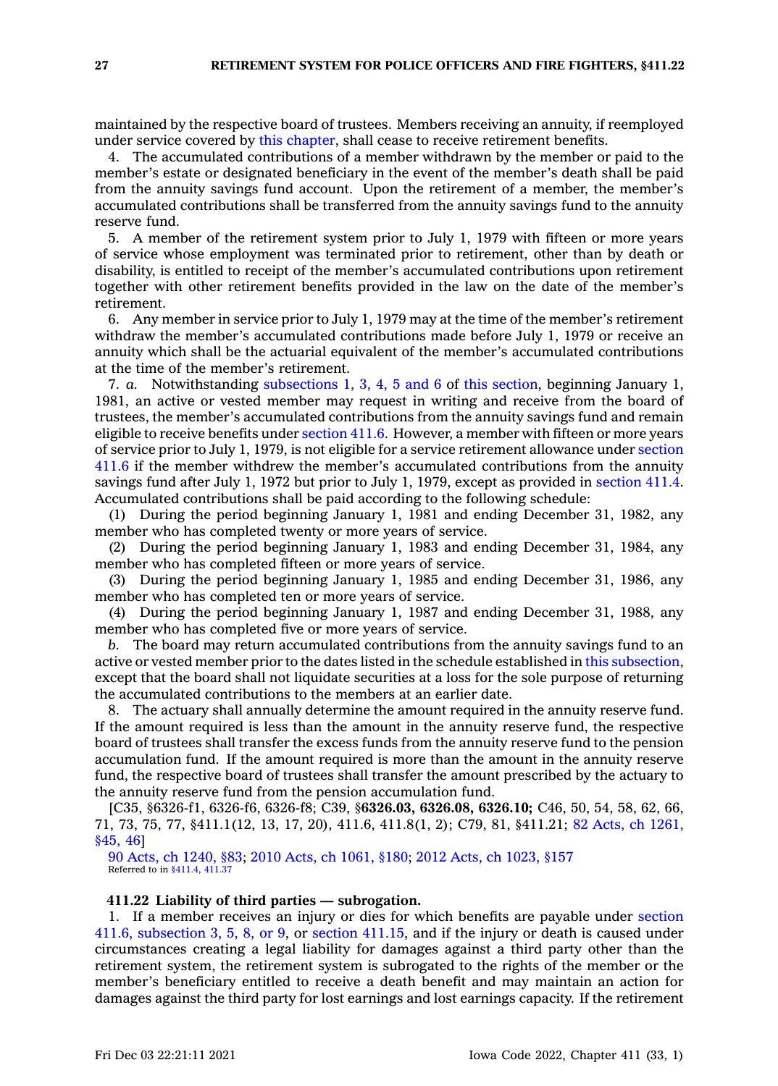maintained by the respective board of trustees. Members receiving an annuity, if reemployed under service covered by this [chapter](https://www.legis.iowa.gov/docs/code//411.pdf), shall cease to receive retirement benefits.

4. The accumulated contributions of <sup>a</sup> member withdrawn by the member or paid to the member's estate or designated beneficiary in the event of the member's death shall be paid from the annuity savings fund account. Upon the retirement of <sup>a</sup> member, the member's accumulated contributions shall be transferred from the annuity savings fund to the annuity reserve fund.

5. A member of the retirement system prior to July 1, 1979 with fifteen or more years of service whose employment was terminated prior to retirement, other than by death or disability, is entitled to receipt of the member's accumulated contributions upon retirement together with other retirement benefits provided in the law on the date of the member's retirement.

6. Any member in service prior to July 1, 1979 may at the time of the member's retirement withdraw the member's accumulated contributions made before July 1, 1979 or receive an annuity which shall be the actuarial equivalent of the member's accumulated contributions at the time of the member's retirement.

7. *a.* Notwithstanding [subsections](https://www.legis.iowa.gov/docs/code/411.21.pdf) 1, 3, 4, 5 and 6 of this [section](https://www.legis.iowa.gov/docs/code/411.21.pdf), beginning January 1, 1981, an active or vested member may request in writing and receive from the board of trustees, the member's accumulated contributions from the annuity savings fund and remain eligible to receive benefits under [section](https://www.legis.iowa.gov/docs/code/411.6.pdf) 411.6. However, <sup>a</sup> member with fifteen or more years of service prior to July 1, 1979, is not eligible for <sup>a</sup> service retirement allowance under [section](https://www.legis.iowa.gov/docs/code/411.6.pdf) [411.6](https://www.legis.iowa.gov/docs/code/411.6.pdf) if the member withdrew the member's accumulated contributions from the annuity savings fund after July 1, 1972 but prior to July 1, 1979, except as provided in [section](https://www.legis.iowa.gov/docs/code/411.4.pdf) 411.4. Accumulated contributions shall be paid according to the following schedule:

(1) During the period beginning January 1, 1981 and ending December 31, 1982, any member who has completed twenty or more years of service.

(2) During the period beginning January 1, 1983 and ending December 31, 1984, any member who has completed fifteen or more years of service.

(3) During the period beginning January 1, 1985 and ending December 31, 1986, any member who has completed ten or more years of service.

(4) During the period beginning January 1, 1987 and ending December 31, 1988, any member who has completed five or more years of service.

*b.* The board may return accumulated contributions from the annuity savings fund to an active or vested member prior to the dates listed in the schedule established in this [subsection](https://www.legis.iowa.gov/docs/code/411.21.pdf), except that the board shall not liquidate securities at <sup>a</sup> loss for the sole purpose of returning the accumulated contributions to the members at an earlier date.

8. The actuary shall annually determine the amount required in the annuity reserve fund. If the amount required is less than the amount in the annuity reserve fund, the respective board of trustees shall transfer the excess funds from the annuity reserve fund to the pension accumulation fund. If the amount required is more than the amount in the annuity reserve fund, the respective board of trustees shall transfer the amount prescribed by the actuary to the annuity reserve fund from the pension accumulation fund.

[C35, §6326-f1, 6326-f6, 6326-f8; C39, §**6326.03, 6326.08, 6326.10;** C46, 50, 54, 58, 62, 66, 71, 73, 75, 77, §411.1(12, 13, 17, 20), 411.6, 411.8(1, 2); C79, 81, §411.21; 82 Acts, ch [1261,](https://www.legis.iowa.gov/docs/acts/1982/CH1261.pdf) [§45,](https://www.legis.iowa.gov/docs/acts/1982/CH1261.pdf) 46]

90 Acts, ch [1240,](https://www.legis.iowa.gov/docs/acts/1990/CH1240.pdf) §83; 2010 Acts, ch [1061,](https://www.legis.iowa.gov/docs/acts/2010/CH1061.pdf) §180; 2012 Acts, ch [1023,](https://www.legis.iowa.gov/docs/acts/2012/CH1023.pdf) §157 Referred to in [§411.4](https://www.legis.iowa.gov/docs/code/411.4.pdf), [411.37](https://www.legis.iowa.gov/docs/code/411.37.pdf)

### **411.22 Liability of third parties — subrogation.**

1. If <sup>a</sup> member receives an injury or dies for which benefits are payable under [section](https://www.legis.iowa.gov/docs/code/411.6.pdf) 411.6, [subsection](https://www.legis.iowa.gov/docs/code/411.6.pdf) 3, 5, 8, or 9, or section [411.15](https://www.legis.iowa.gov/docs/code/411.15.pdf), and if the injury or death is caused under circumstances creating <sup>a</sup> legal liability for damages against <sup>a</sup> third party other than the retirement system, the retirement system is subrogated to the rights of the member or the member's beneficiary entitled to receive <sup>a</sup> death benefit and may maintain an action for damages against the third party for lost earnings and lost earnings capacity. If the retirement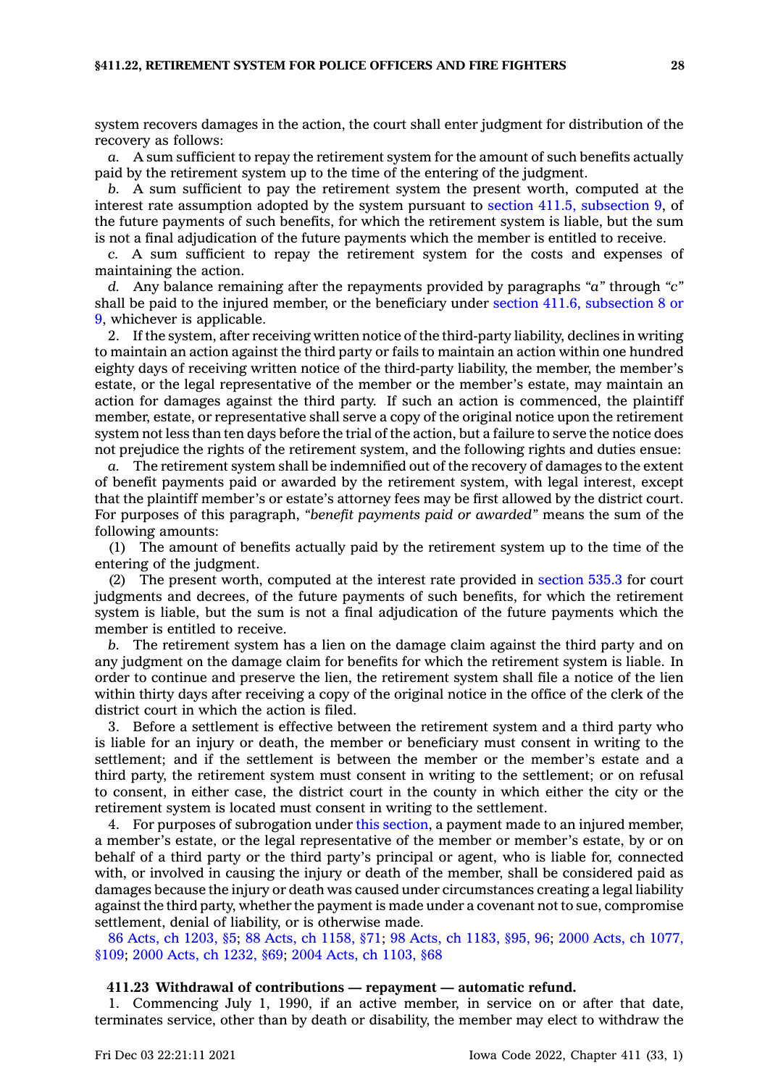system recovers damages in the action, the court shall enter judgment for distribution of the recovery as follows:

*a.* A sum sufficient to repay the retirement system for the amount of such benefits actually paid by the retirement system up to the time of the entering of the judgment.

*b.* A sum sufficient to pay the retirement system the present worth, computed at the interest rate assumption adopted by the system pursuant to section 411.5, [subsection](https://www.legis.iowa.gov/docs/code/411.5.pdf) 9, of the future payments of such benefits, for which the retirement system is liable, but the sum is not <sup>a</sup> final adjudication of the future payments which the member is entitled to receive.

*c.* A sum sufficient to repay the retirement system for the costs and expenses of maintaining the action.

*d.* Any balance remaining after the repayments provided by paragraphs *"a"* through *"c"* shall be paid to the injured member, or the beneficiary under section 411.6, [subsection](https://www.legis.iowa.gov/docs/code/411.6.pdf) 8 or [9](https://www.legis.iowa.gov/docs/code/411.6.pdf), whichever is applicable.

2. If the system, after receiving written notice of the third-party liability, declines in writing to maintain an action against the third party or fails to maintain an action within one hundred eighty days of receiving written notice of the third-party liability, the member, the member's estate, or the legal representative of the member or the member's estate, may maintain an action for damages against the third party. If such an action is commenced, the plaintiff member, estate, or representative shall serve <sup>a</sup> copy of the original notice upon the retirement system not less than ten days before the trial of the action, but <sup>a</sup> failure to serve the notice does not prejudice the rights of the retirement system, and the following rights and duties ensue:

*a.* The retirement system shall be indemnified out of the recovery of damages to the extent of benefit payments paid or awarded by the retirement system, with legal interest, except that the plaintiff member's or estate's attorney fees may be first allowed by the district court. For purposes of this paragraph, *"benefit payments paid or awarded"* means the sum of the following amounts:

(1) The amount of benefits actually paid by the retirement system up to the time of the entering of the judgment.

(2) The present worth, computed at the interest rate provided in [section](https://www.legis.iowa.gov/docs/code/535.3.pdf) 535.3 for court judgments and decrees, of the future payments of such benefits, for which the retirement system is liable, but the sum is not <sup>a</sup> final adjudication of the future payments which the member is entitled to receive.

*b.* The retirement system has <sup>a</sup> lien on the damage claim against the third party and on any judgment on the damage claim for benefits for which the retirement system is liable. In order to continue and preserve the lien, the retirement system shall file <sup>a</sup> notice of the lien within thirty days after receiving <sup>a</sup> copy of the original notice in the office of the clerk of the district court in which the action is filed.

3. Before <sup>a</sup> settlement is effective between the retirement system and <sup>a</sup> third party who is liable for an injury or death, the member or beneficiary must consent in writing to the settlement; and if the settlement is between the member or the member's estate and <sup>a</sup> third party, the retirement system must consent in writing to the settlement; or on refusal to consent, in either case, the district court in the county in which either the city or the retirement system is located must consent in writing to the settlement.

4. For purposes of subrogation under this [section](https://www.legis.iowa.gov/docs/code/411.22.pdf), <sup>a</sup> payment made to an injured member, <sup>a</sup> member's estate, or the legal representative of the member or member's estate, by or on behalf of <sup>a</sup> third party or the third party's principal or agent, who is liable for, connected with, or involved in causing the injury or death of the member, shall be considered paid as damages because the injury or death was caused under circumstances creating <sup>a</sup> legal liability against the third party, whether the payment is made under <sup>a</sup> covenant not to sue, compromise settlement, denial of liability, or is otherwise made.

86 Acts, ch [1203,](https://www.legis.iowa.gov/docs/acts/1986/CH1203.pdf) §5; 88 Acts, ch [1158,](https://www.legis.iowa.gov/docs/acts/1988/CH1158.pdf) §71; 98 Acts, ch [1183,](https://www.legis.iowa.gov/docs/acts/1998/CH1183.pdf) §95, 96; 2000 Acts, ch [1077,](https://www.legis.iowa.gov/docs/acts/2000/CH1077.pdf) [§109](https://www.legis.iowa.gov/docs/acts/2000/CH1077.pdf); 2000 Acts, ch [1232,](https://www.legis.iowa.gov/docs/acts/2000/CH1232.pdf) §69; 2004 Acts, ch [1103,](https://www.legis.iowa.gov/docs/acts/2004/CH1103.pdf) §68

#### **411.23 Withdrawal of contributions — repayment — automatic refund.**

1. Commencing July 1, 1990, if an active member, in service on or after that date, terminates service, other than by death or disability, the member may elect to withdraw the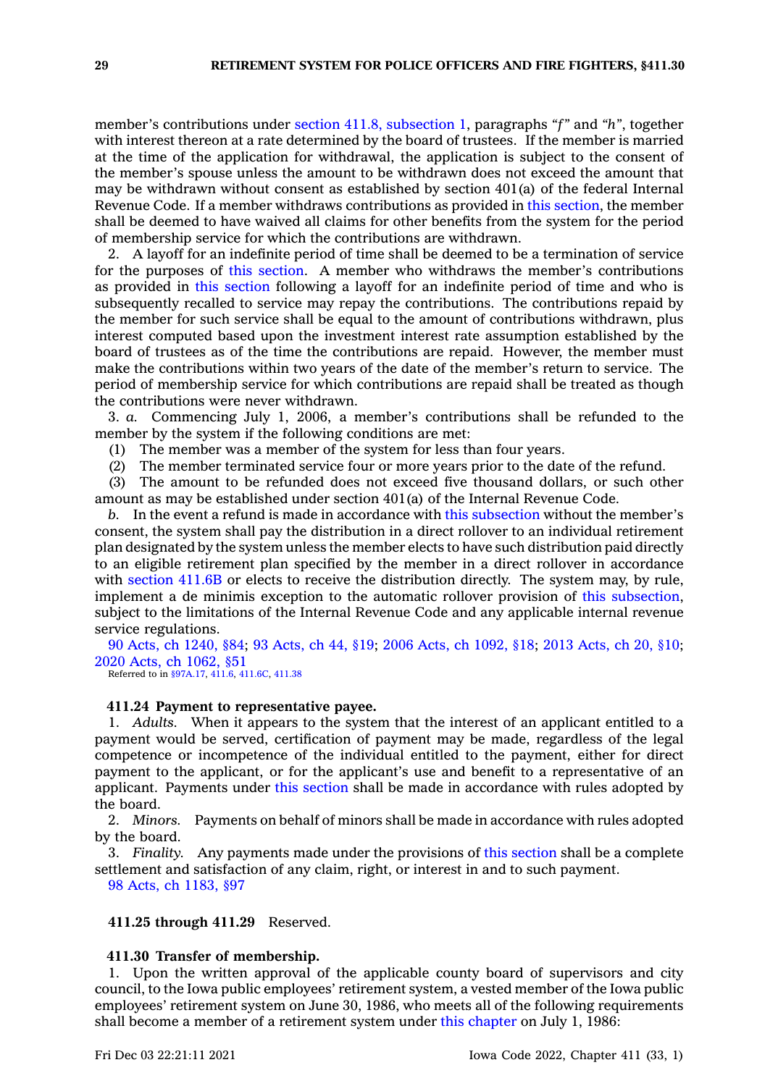member's contributions under section 411.8, [subsection](https://www.legis.iowa.gov/docs/code/411.8.pdf) 1, paragraphs *"f"* and *"h"*, together with interest thereon at <sup>a</sup> rate determined by the board of trustees. If the member is married at the time of the application for withdrawal, the application is subject to the consent of the member's spouse unless the amount to be withdrawn does not exceed the amount that may be withdrawn without consent as established by section 401(a) of the federal Internal Revenue Code. If <sup>a</sup> member withdraws contributions as provided in this [section](https://www.legis.iowa.gov/docs/code/411.23.pdf), the member shall be deemed to have waived all claims for other benefits from the system for the period of membership service for which the contributions are withdrawn.

2. A layoff for an indefinite period of time shall be deemed to be <sup>a</sup> termination of service for the purposes of this [section](https://www.legis.iowa.gov/docs/code/411.23.pdf). A member who withdraws the member's contributions as provided in this [section](https://www.legis.iowa.gov/docs/code/411.23.pdf) following <sup>a</sup> layoff for an indefinite period of time and who is subsequently recalled to service may repay the contributions. The contributions repaid by the member for such service shall be equal to the amount of contributions withdrawn, plus interest computed based upon the investment interest rate assumption established by the board of trustees as of the time the contributions are repaid. However, the member must make the contributions within two years of the date of the member's return to service. The period of membership service for which contributions are repaid shall be treated as though the contributions were never withdrawn.

3. *a.* Commencing July 1, 2006, <sup>a</sup> member's contributions shall be refunded to the member by the system if the following conditions are met:

(1) The member was <sup>a</sup> member of the system for less than four years.

(2) The member terminated service four or more years prior to the date of the refund.

(3) The amount to be refunded does not exceed five thousand dollars, or such other amount as may be established under section 401(a) of the Internal Revenue Code.

*b.* In the event <sup>a</sup> refund is made in accordance with this [subsection](https://www.legis.iowa.gov/docs/code/411.23.pdf) without the member's consent, the system shall pay the distribution in <sup>a</sup> direct rollover to an individual retirement plan designated by the system unless the member elects to have such distribution paid directly to an eligible retirement plan specified by the member in <sup>a</sup> direct rollover in accordance with [section](https://www.legis.iowa.gov/docs/code/411.6B.pdf) 411.6B or elects to receive the distribution directly. The system may, by rule, implement <sup>a</sup> de minimis exception to the automatic rollover provision of this [subsection](https://www.legis.iowa.gov/docs/code/411.23.pdf), subject to the limitations of the Internal Revenue Code and any applicable internal revenue service regulations.

90 Acts, ch [1240,](https://www.legis.iowa.gov/docs/acts/1990/CH1240.pdf) §84; 93 [Acts,](https://www.legis.iowa.gov/docs/acts/93/CH0044.pdf) ch 44, §19; 2006 Acts, ch [1092,](https://www.legis.iowa.gov/docs/acts/2006/CH1092.pdf) §18; 2013 [Acts,](https://www.legis.iowa.gov/docs/acts/2013/CH0020.pdf) ch 20, §10; 2020 Acts, ch [1062,](https://www.legis.iowa.gov/docs/acts/2020/CH1062.pdf) §51

Referred to in [§97A.17](https://www.legis.iowa.gov/docs/code/97A.17.pdf), [411.6](https://www.legis.iowa.gov/docs/code/411.6.pdf), [411.6C](https://www.legis.iowa.gov/docs/code/411.6C.pdf), [411.38](https://www.legis.iowa.gov/docs/code/411.38.pdf)

## **411.24 Payment to representative payee.**

1. *Adults.* When it appears to the system that the interest of an applicant entitled to <sup>a</sup> payment would be served, certification of payment may be made, regardless of the legal competence or incompetence of the individual entitled to the payment, either for direct payment to the applicant, or for the applicant's use and benefit to <sup>a</sup> representative of an applicant. Payments under this [section](https://www.legis.iowa.gov/docs/code/411.24.pdf) shall be made in accordance with rules adopted by the board.

2. *Minors.* Payments on behalf of minors shall be made in accordance with rules adopted by the board.

3. *Finality.* Any payments made under the provisions of this [section](https://www.legis.iowa.gov/docs/code/411.24.pdf) shall be <sup>a</sup> complete settlement and satisfaction of any claim, right, or interest in and to such payment.

98 Acts, ch [1183,](https://www.legis.iowa.gov/docs/acts/1998/CH1183.pdf) §97

#### **411.25 through 411.29** Reserved.

### **411.30 Transfer of membership.**

1. Upon the written approval of the applicable county board of supervisors and city council, to the Iowa public employees' retirement system, <sup>a</sup> vested member of the Iowa public employees' retirement system on June 30, 1986, who meets all of the following requirements shall become <sup>a</sup> member of <sup>a</sup> retirement system under this [chapter](https://www.legis.iowa.gov/docs/code//411.pdf) on July 1, 1986: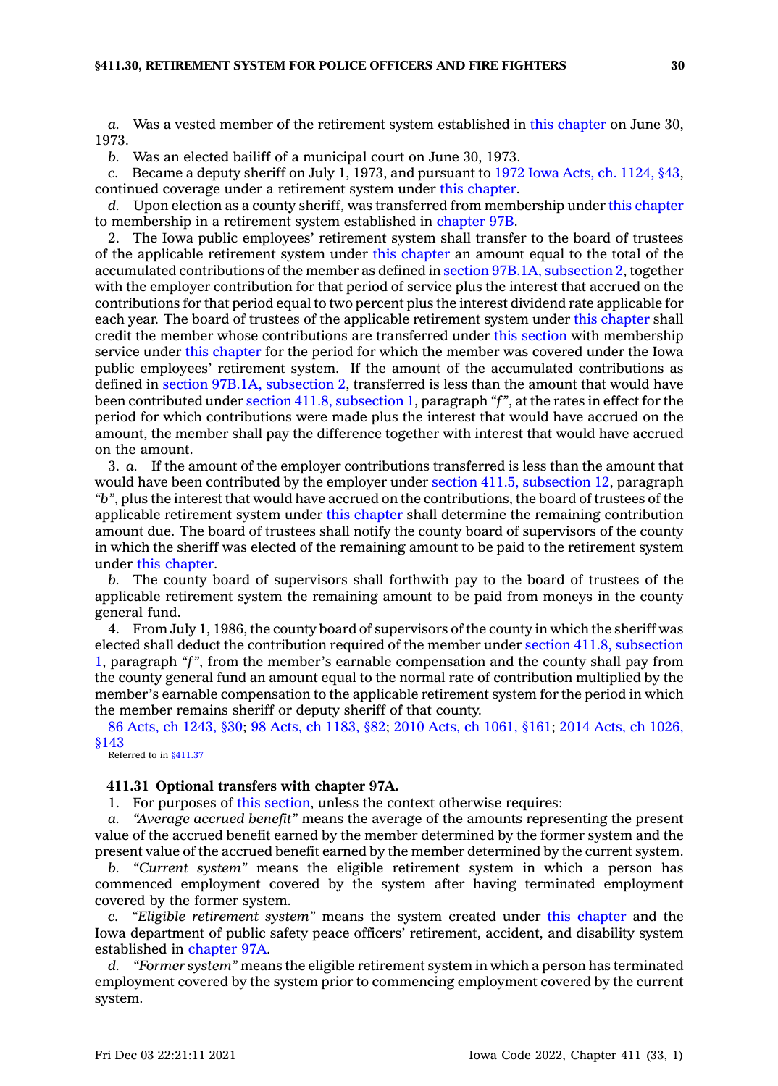*a.* Was <sup>a</sup> vested member of the retirement system established in this [chapter](https://www.legis.iowa.gov/docs/code//411.pdf) on June 30, 1973.

*b.* Was an elected bailiff of <sup>a</sup> municipal court on June 30, 1973.

*c.* Became <sup>a</sup> deputy sheriff on July 1, 1973, and pursuant to 1972 Iowa Acts, ch. [1124,](https://www.legis.iowa.gov/docs/acts/1972/CH1124.pdf) §43, continued coverage under <sup>a</sup> retirement system under this [chapter](https://www.legis.iowa.gov/docs/code//411.pdf).

*d.* Upon election as <sup>a</sup> county sheriff, was transferred from membership under this [chapter](https://www.legis.iowa.gov/docs/code//411.pdf) to membership in <sup>a</sup> retirement system established in [chapter](https://www.legis.iowa.gov/docs/code//97B.pdf) 97B.

2. The Iowa public employees' retirement system shall transfer to the board of trustees of the applicable retirement system under this [chapter](https://www.legis.iowa.gov/docs/code//411.pdf) an amount equal to the total of the accumulated contributions of the member as defined in section 97B.1A, [subsection](https://www.legis.iowa.gov/docs/code/97B.1A.pdf) 2, together with the employer contribution for that period of service plus the interest that accrued on the contributions for that period equal to two percent plus the interest dividend rate applicable for each year. The board of trustees of the applicable retirement system under this [chapter](https://www.legis.iowa.gov/docs/code//411.pdf) shall credit the member whose contributions are transferred under this [section](https://www.legis.iowa.gov/docs/code/411.30.pdf) with membership service under this [chapter](https://www.legis.iowa.gov/docs/code//411.pdf) for the period for which the member was covered under the Iowa public employees' retirement system. If the amount of the accumulated contributions as defined in section 97B.1A, [subsection](https://www.legis.iowa.gov/docs/code/97B.1A.pdf) 2, transferred is less than the amount that would have been contributed under section 411.8, [subsection](https://www.legis.iowa.gov/docs/code/411.8.pdf) 1, paragraph *"f"*, at the rates in effect for the period for which contributions were made plus the interest that would have accrued on the amount, the member shall pay the difference together with interest that would have accrued on the amount.

3. *a.* If the amount of the employer contributions transferred is less than the amount that would have been contributed by the employer under section 411.5, [subsection](https://www.legis.iowa.gov/docs/code/411.5.pdf) 12, paragraph *"b"*, plus the interest that would have accrued on the contributions, the board of trustees of the applicable retirement system under this [chapter](https://www.legis.iowa.gov/docs/code//411.pdf) shall determine the remaining contribution amount due. The board of trustees shall notify the county board of supervisors of the county in which the sheriff was elected of the remaining amount to be paid to the retirement system under this [chapter](https://www.legis.iowa.gov/docs/code//411.pdf).

*b.* The county board of supervisors shall forthwith pay to the board of trustees of the applicable retirement system the remaining amount to be paid from moneys in the county general fund.

4. From July 1, 1986, the county board of supervisors of the county in which the sheriff was elected shall deduct the contribution required of the member under section 411.8, [subsection](https://www.legis.iowa.gov/docs/code/411.8.pdf) [1](https://www.legis.iowa.gov/docs/code/411.8.pdf), paragraph *"f"*, from the member's earnable compensation and the county shall pay from the county general fund an amount equal to the normal rate of contribution multiplied by the member's earnable compensation to the applicable retirement system for the period in which the member remains sheriff or deputy sheriff of that county.

86 Acts, ch [1243,](https://www.legis.iowa.gov/docs/acts/1986/CH1243.pdf) §30; 98 Acts, ch [1183,](https://www.legis.iowa.gov/docs/acts/98/CH1183.pdf) §82; 2010 Acts, ch [1061,](https://www.legis.iowa.gov/docs/acts/2010/CH1061.pdf) §161; 2014 Acts, ch [1026,](https://www.legis.iowa.gov/docs/acts/2014/CH1026.pdf) [§143](https://www.legis.iowa.gov/docs/acts/2014/CH1026.pdf)

Referred to in [§411.37](https://www.legis.iowa.gov/docs/code/411.37.pdf)

#### **411.31 Optional transfers with chapter 97A.**

1. For purposes of this [section](https://www.legis.iowa.gov/docs/code/411.31.pdf), unless the context otherwise requires:

*a. "Average accrued benefit"* means the average of the amounts representing the present value of the accrued benefit earned by the member determined by the former system and the present value of the accrued benefit earned by the member determined by the current system.

*b. "Current system"* means the eligible retirement system in which <sup>a</sup> person has commenced employment covered by the system after having terminated employment covered by the former system.

*c. "Eligible retirement system"* means the system created under this [chapter](https://www.legis.iowa.gov/docs/code//411.pdf) and the Iowa department of public safety peace officers' retirement, accident, and disability system established in [chapter](https://www.legis.iowa.gov/docs/code//97A.pdf) 97A.

*d. "Former system"* means the eligible retirement system in which <sup>a</sup> person has terminated employment covered by the system prior to commencing employment covered by the current system.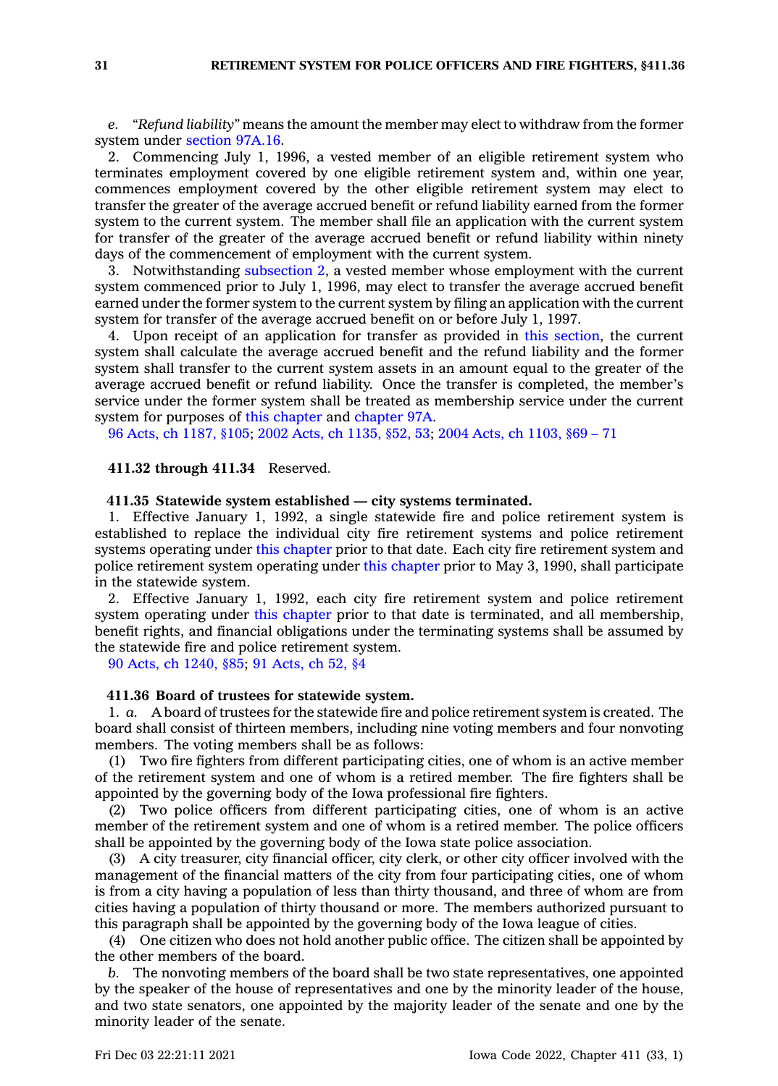*e. "Refund liability"* means the amount the member may elect to withdraw from the former system under [section](https://www.legis.iowa.gov/docs/code/97A.16.pdf) 97A.16.

2. Commencing July 1, 1996, <sup>a</sup> vested member of an eligible retirement system who terminates employment covered by one eligible retirement system and, within one year, commences employment covered by the other eligible retirement system may elect to transfer the greater of the average accrued benefit or refund liability earned from the former system to the current system. The member shall file an application with the current system for transfer of the greater of the average accrued benefit or refund liability within ninety days of the commencement of employment with the current system.

3. Notwithstanding [subsection](https://www.legis.iowa.gov/docs/code/411.31.pdf) 2, <sup>a</sup> vested member whose employment with the current system commenced prior to July 1, 1996, may elect to transfer the average accrued benefit earned under the former system to the current system by filing an application with the current system for transfer of the average accrued benefit on or before July 1, 1997.

4. Upon receipt of an application for transfer as provided in this [section](https://www.legis.iowa.gov/docs/code/411.31.pdf), the current system shall calculate the average accrued benefit and the refund liability and the former system shall transfer to the current system assets in an amount equal to the greater of the average accrued benefit or refund liability. Once the transfer is completed, the member's service under the former system shall be treated as membership service under the current system for purposes of this [chapter](https://www.legis.iowa.gov/docs/code//411.pdf) and [chapter](https://www.legis.iowa.gov/docs/code//97A.pdf) 97A.

96 Acts, ch [1187,](https://www.legis.iowa.gov/docs/acts/1996/CH1187.pdf) §105; 2002 Acts, ch [1135,](https://www.legis.iowa.gov/docs/acts/2002/CH1135.pdf) §52, 53; 2004 Acts, ch [1103,](https://www.legis.iowa.gov/docs/acts/2004/CH1103.pdf) §69 – 71

### **411.32 through 411.34** Reserved.

### **411.35 Statewide system established — city systems terminated.**

1. Effective January 1, 1992, <sup>a</sup> single statewide fire and police retirement system is established to replace the individual city fire retirement systems and police retirement systems operating under this [chapter](https://www.legis.iowa.gov/docs/code//411.pdf) prior to that date. Each city fire retirement system and police retirement system operating under this [chapter](https://www.legis.iowa.gov/docs/code//411.pdf) prior to May 3, 1990, shall participate in the statewide system.

2. Effective January 1, 1992, each city fire retirement system and police retirement system operating under this [chapter](https://www.legis.iowa.gov/docs/code//411.pdf) prior to that date is terminated, and all membership, benefit rights, and financial obligations under the terminating systems shall be assumed by the statewide fire and police retirement system.

90 Acts, ch [1240,](https://www.legis.iowa.gov/docs/acts/1990/CH1240.pdf) §85; 91 [Acts,](https://www.legis.iowa.gov/docs/acts/1991/CH0052.pdf) ch 52, §4

### **411.36 Board of trustees for statewide system.**

1. *a.* A board of trustees for the statewide fire and police retirement system is created. The board shall consist of thirteen members, including nine voting members and four nonvoting members. The voting members shall be as follows:

(1) Two fire fighters from different participating cities, one of whom is an active member of the retirement system and one of whom is <sup>a</sup> retired member. The fire fighters shall be appointed by the governing body of the Iowa professional fire fighters.

(2) Two police officers from different participating cities, one of whom is an active member of the retirement system and one of whom is <sup>a</sup> retired member. The police officers shall be appointed by the governing body of the Iowa state police association.

(3) A city treasurer, city financial officer, city clerk, or other city officer involved with the management of the financial matters of the city from four participating cities, one of whom is from <sup>a</sup> city having <sup>a</sup> population of less than thirty thousand, and three of whom are from cities having <sup>a</sup> population of thirty thousand or more. The members authorized pursuant to this paragraph shall be appointed by the governing body of the Iowa league of cities.

(4) One citizen who does not hold another public office. The citizen shall be appointed by the other members of the board.

*b.* The nonvoting members of the board shall be two state representatives, one appointed by the speaker of the house of representatives and one by the minority leader of the house, and two state senators, one appointed by the majority leader of the senate and one by the minority leader of the senate.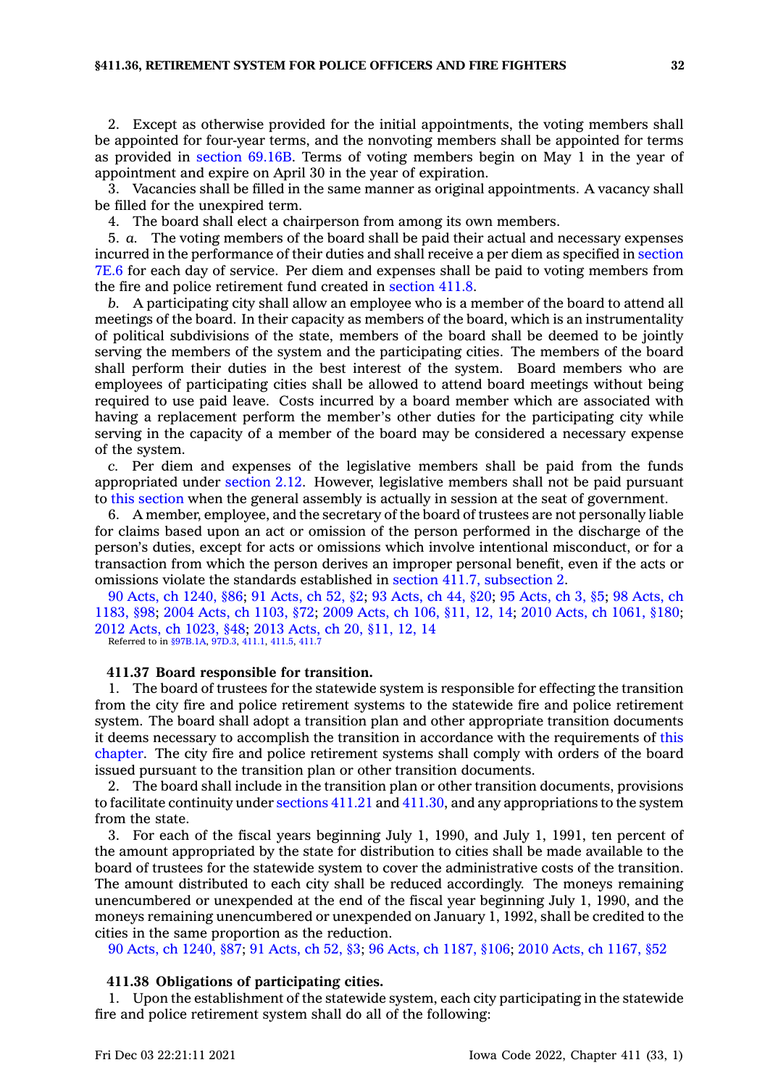2. Except as otherwise provided for the initial appointments, the voting members shall be appointed for four-year terms, and the nonvoting members shall be appointed for terms as provided in [section](https://www.legis.iowa.gov/docs/code/69.16B.pdf) 69.16B. Terms of voting members begin on May 1 in the year of appointment and expire on April 30 in the year of expiration.

3. Vacancies shall be filled in the same manner as original appointments. A vacancy shall be filled for the unexpired term.

4. The board shall elect <sup>a</sup> chairperson from among its own members.

5. *a.* The voting members of the board shall be paid their actual and necessary expenses incurred in the performance of their duties and shall receive <sup>a</sup> per diem as specified in [section](https://www.legis.iowa.gov/docs/code/7E.6.pdf) [7E.6](https://www.legis.iowa.gov/docs/code/7E.6.pdf) for each day of service. Per diem and expenses shall be paid to voting members from the fire and police retirement fund created in [section](https://www.legis.iowa.gov/docs/code/411.8.pdf) 411.8.

*b.* A participating city shall allow an employee who is <sup>a</sup> member of the board to attend all meetings of the board. In their capacity as members of the board, which is an instrumentality of political subdivisions of the state, members of the board shall be deemed to be jointly serving the members of the system and the participating cities. The members of the board shall perform their duties in the best interest of the system. Board members who are employees of participating cities shall be allowed to attend board meetings without being required to use paid leave. Costs incurred by <sup>a</sup> board member which are associated with having <sup>a</sup> replacement perform the member's other duties for the participating city while serving in the capacity of <sup>a</sup> member of the board may be considered <sup>a</sup> necessary expense of the system.

*c.* Per diem and expenses of the legislative members shall be paid from the funds appropriated under [section](https://www.legis.iowa.gov/docs/code/2.12.pdf) 2.12. However, legislative members shall not be paid pursuant to this [section](https://www.legis.iowa.gov/docs/code/411.36.pdf) when the general assembly is actually in session at the seat of government.

6. A member, employee, and the secretary of the board of trustees are not personally liable for claims based upon an act or omission of the person performed in the discharge of the person's duties, except for acts or omissions which involve intentional misconduct, or for <sup>a</sup> transaction from which the person derives an improper personal benefit, even if the acts or omissions violate the standards established in section 411.7, [subsection](https://www.legis.iowa.gov/docs/code/411.7.pdf) 2.

90 Acts, ch [1240,](https://www.legis.iowa.gov/docs/acts/1990/CH1240.pdf) §86; 91 [Acts,](https://www.legis.iowa.gov/docs/acts/91/CH0052.pdf) ch 52, §2; 93 [Acts,](https://www.legis.iowa.gov/docs/acts/93/CH0044.pdf) ch 44, §20; 95 [Acts,](https://www.legis.iowa.gov/docs/acts/95/CH0003.pdf) ch 3, §5; 98 [Acts,](https://www.legis.iowa.gov/docs/acts/98/CH1183.pdf) ch [1183,](https://www.legis.iowa.gov/docs/acts/98/CH1183.pdf) §98; 2004 Acts, ch [1103,](https://www.legis.iowa.gov/docs/acts/2004/CH1103.pdf) §72; 2009 [Acts,](https://www.legis.iowa.gov/docs/acts/2009/CH0106.pdf) ch 106, §11, 12, 14; 2010 Acts, ch [1061,](https://www.legis.iowa.gov/docs/acts/2010/CH1061.pdf) §180; 2012 Acts, ch [1023,](https://www.legis.iowa.gov/docs/acts/2012/CH1023.pdf) §48; 2013 [Acts,](https://www.legis.iowa.gov/docs/acts/2013/CH0020.pdf) ch 20, §11, 12, 14 Referred to in [§97B.1A](https://www.legis.iowa.gov/docs/code/97B.1A.pdf), [97D.3](https://www.legis.iowa.gov/docs/code/97D.3.pdf), [411.1](https://www.legis.iowa.gov/docs/code/411.1.pdf), [411.5](https://www.legis.iowa.gov/docs/code/411.5.pdf), [411.7](https://www.legis.iowa.gov/docs/code/411.7.pdf)

### **411.37 Board responsible for transition.**

1. The board of trustees for the statewide system is responsible for effecting the transition from the city fire and police retirement systems to the statewide fire and police retirement system. The board shall adopt <sup>a</sup> transition plan and other appropriate transition documents it deems necessary to accomplish the transition in accordance with the requirements of [this](https://www.legis.iowa.gov/docs/code//411.pdf) [chapter](https://www.legis.iowa.gov/docs/code//411.pdf). The city fire and police retirement systems shall comply with orders of the board issued pursuant to the transition plan or other transition documents.

2. The board shall include in the transition plan or other transition documents, provisions to facilitate continuity under [sections](https://www.legis.iowa.gov/docs/code/411.21.pdf) 411.21 and [411.30](https://www.legis.iowa.gov/docs/code/411.30.pdf), and any appropriations to the system from the state.

3. For each of the fiscal years beginning July 1, 1990, and July 1, 1991, ten percent of the amount appropriated by the state for distribution to cities shall be made available to the board of trustees for the statewide system to cover the administrative costs of the transition. The amount distributed to each city shall be reduced accordingly. The moneys remaining unencumbered or unexpended at the end of the fiscal year beginning July 1, 1990, and the moneys remaining unencumbered or unexpended on January 1, 1992, shall be credited to the cities in the same proportion as the reduction.

90 Acts, ch [1240,](https://www.legis.iowa.gov/docs/acts/1990/CH1240.pdf) §87; 91 [Acts,](https://www.legis.iowa.gov/docs/acts/91/CH0052.pdf) ch 52, §3; 96 Acts, ch [1187,](https://www.legis.iowa.gov/docs/acts/96/CH1187.pdf) §106; 2010 Acts, ch [1167,](https://www.legis.iowa.gov/docs/acts/2010/CH1167.pdf) §52

### **411.38 Obligations of participating cities.**

1. Upon the establishment of the statewide system, each city participating in the statewide fire and police retirement system shall do all of the following: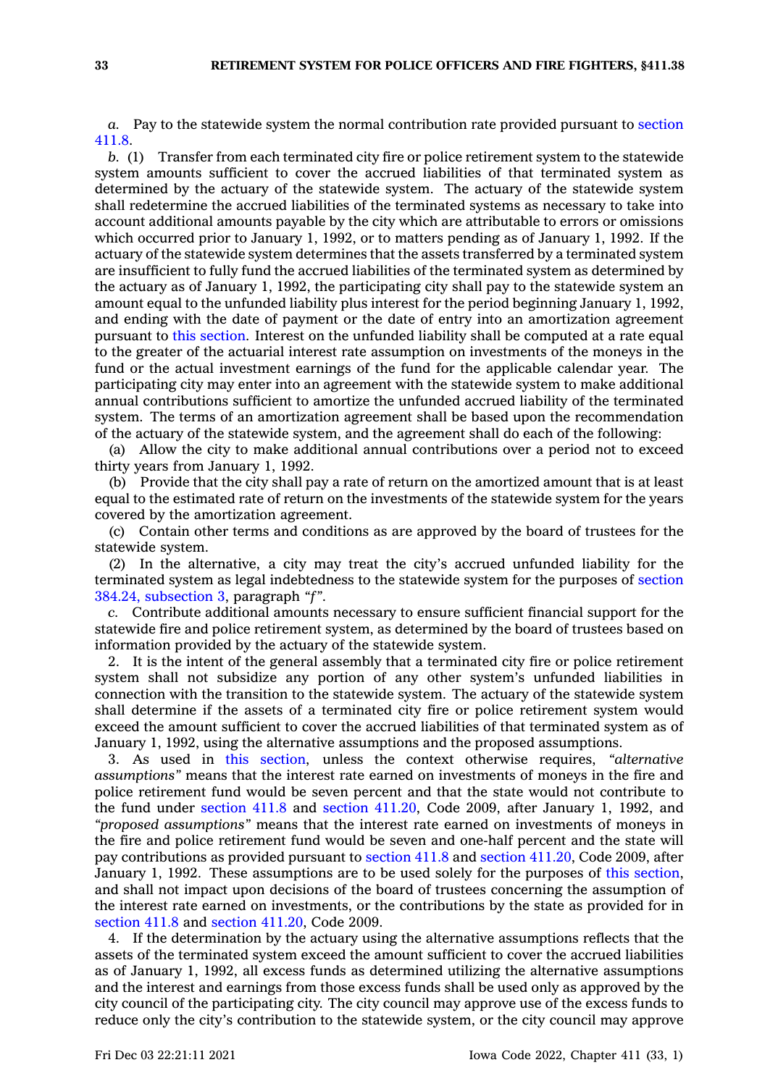*a.* Pay to the statewide system the normal contribution rate provided pursuant to [section](https://www.legis.iowa.gov/docs/code/411.8.pdf) [411.8](https://www.legis.iowa.gov/docs/code/411.8.pdf).

*b.* (1) Transfer from each terminated city fire or police retirement system to the statewide system amounts sufficient to cover the accrued liabilities of that terminated system as determined by the actuary of the statewide system. The actuary of the statewide system shall redetermine the accrued liabilities of the terminated systems as necessary to take into account additional amounts payable by the city which are attributable to errors or omissions which occurred prior to January 1, 1992, or to matters pending as of January 1, 1992. If the actuary of the statewide system determines that the assets transferred by <sup>a</sup> terminated system are insufficient to fully fund the accrued liabilities of the terminated system as determined by the actuary as of January 1, 1992, the participating city shall pay to the statewide system an amount equal to the unfunded liability plus interest for the period beginning January 1, 1992, and ending with the date of payment or the date of entry into an amortization agreement pursuant to this [section](https://www.legis.iowa.gov/docs/code/411.38.pdf). Interest on the unfunded liability shall be computed at <sup>a</sup> rate equal to the greater of the actuarial interest rate assumption on investments of the moneys in the fund or the actual investment earnings of the fund for the applicable calendar year. The participating city may enter into an agreement with the statewide system to make additional annual contributions sufficient to amortize the unfunded accrued liability of the terminated system. The terms of an amortization agreement shall be based upon the recommendation of the actuary of the statewide system, and the agreement shall do each of the following:

(a) Allow the city to make additional annual contributions over <sup>a</sup> period not to exceed thirty years from January 1, 1992.

(b) Provide that the city shall pay <sup>a</sup> rate of return on the amortized amount that is at least equal to the estimated rate of return on the investments of the statewide system for the years covered by the amortization agreement.

(c) Contain other terms and conditions as are approved by the board of trustees for the statewide system.

(2) In the alternative, <sup>a</sup> city may treat the city's accrued unfunded liability for the terminated system as legal indebtedness to the statewide system for the purposes of [section](https://www.legis.iowa.gov/docs/code/384.24.pdf) 384.24, [subsection](https://www.legis.iowa.gov/docs/code/384.24.pdf) 3, paragraph *"f"*.

*c.* Contribute additional amounts necessary to ensure sufficient financial support for the statewide fire and police retirement system, as determined by the board of trustees based on information provided by the actuary of the statewide system.

2. It is the intent of the general assembly that <sup>a</sup> terminated city fire or police retirement system shall not subsidize any portion of any other system's unfunded liabilities in connection with the transition to the statewide system. The actuary of the statewide system shall determine if the assets of <sup>a</sup> terminated city fire or police retirement system would exceed the amount sufficient to cover the accrued liabilities of that terminated system as of January 1, 1992, using the alternative assumptions and the proposed assumptions.

3. As used in this [section](https://www.legis.iowa.gov/docs/code/411.38.pdf), unless the context otherwise requires, *"alternative assumptions"* means that the interest rate earned on investments of moneys in the fire and police retirement fund would be seven percent and that the state would not contribute to the fund under [section](https://www.legis.iowa.gov/docs/code/2009/411.8.pdf) 411.8 and section [411.20](https://www.legis.iowa.gov/docs/code/2009/411.20.pdf), Code 2009, after January 1, 1992, and *"proposed assumptions"* means that the interest rate earned on investments of moneys in the fire and police retirement fund would be seven and one-half percent and the state will pay contributions as provided pursuant to [section](https://www.legis.iowa.gov/docs/code/2009/411.8.pdf) 411.8 and section [411.20](https://www.legis.iowa.gov/docs/code/2009/411.20.pdf), Code 2009, after January 1, 1992. These assumptions are to be used solely for the purposes of this [section](https://www.legis.iowa.gov/docs/code/411.38.pdf), and shall not impact upon decisions of the board of trustees concerning the assumption of the interest rate earned on investments, or the contributions by the state as provided for in [section](https://www.legis.iowa.gov/docs/code/2009/411.8.pdf) 411.8 and section [411.20](https://www.legis.iowa.gov/docs/code/2009/411.20.pdf), Code 2009.

4. If the determination by the actuary using the alternative assumptions reflects that the assets of the terminated system exceed the amount sufficient to cover the accrued liabilities as of January 1, 1992, all excess funds as determined utilizing the alternative assumptions and the interest and earnings from those excess funds shall be used only as approved by the city council of the participating city. The city council may approve use of the excess funds to reduce only the city's contribution to the statewide system, or the city council may approve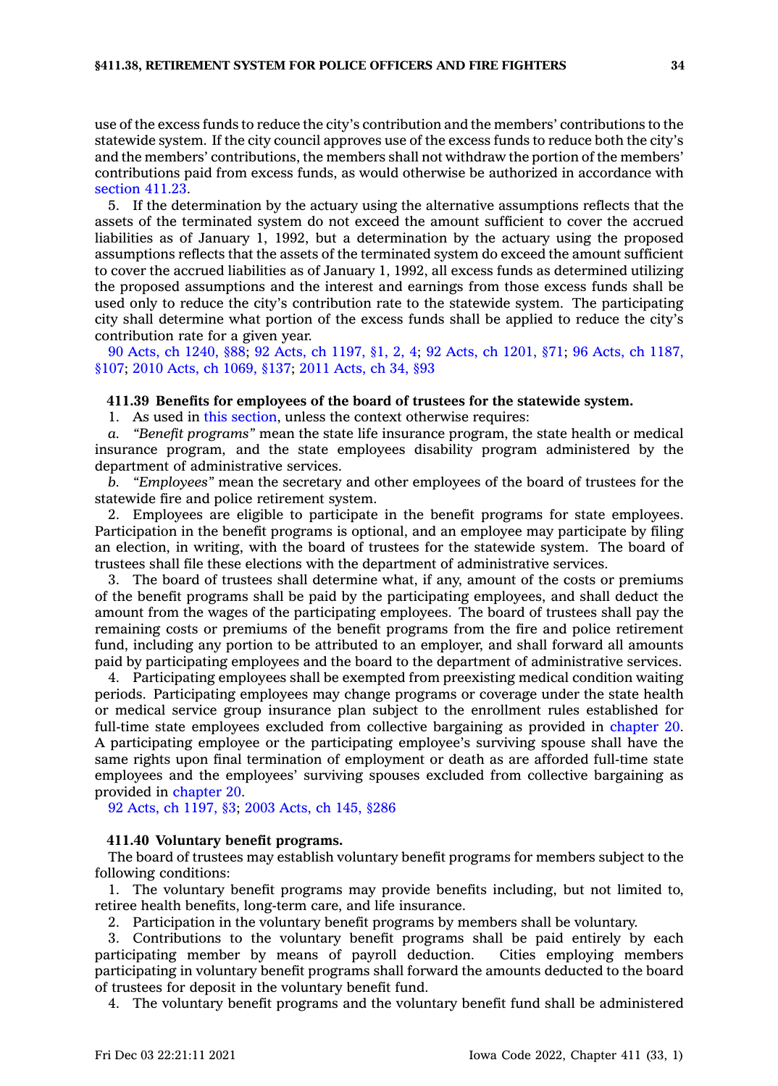use of the excess funds to reduce the city's contribution and the members' contributions to the statewide system. If the city council approves use of the excess funds to reduce both the city's and the members' contributions, the members shall not withdraw the portion of the members' contributions paid from excess funds, as would otherwise be authorized in accordance with [section](https://www.legis.iowa.gov/docs/code/411.23.pdf) 411.23.

5. If the determination by the actuary using the alternative assumptions reflects that the assets of the terminated system do not exceed the amount sufficient to cover the accrued liabilities as of January 1, 1992, but <sup>a</sup> determination by the actuary using the proposed assumptions reflects that the assets of the terminated system do exceed the amount sufficient to cover the accrued liabilities as of January 1, 1992, all excess funds as determined utilizing the proposed assumptions and the interest and earnings from those excess funds shall be used only to reduce the city's contribution rate to the statewide system. The participating city shall determine what portion of the excess funds shall be applied to reduce the city's contribution rate for <sup>a</sup> given year.

90 Acts, ch [1240,](https://www.legis.iowa.gov/docs/acts/1990/CH1240.pdf) §88; 92 Acts, ch [1197,](https://www.legis.iowa.gov/docs/acts/92/CH1197.pdf) §1, 2, 4; 92 Acts, ch [1201,](https://www.legis.iowa.gov/docs/acts/92/CH1201.pdf) §71; 96 Acts, ch [1187,](https://www.legis.iowa.gov/docs/acts/96/CH1187.pdf) [§107](https://www.legis.iowa.gov/docs/acts/96/CH1187.pdf); 2010 Acts, ch [1069,](https://www.legis.iowa.gov/docs/acts/2010/CH1069.pdf) §137; 2011 [Acts,](https://www.legis.iowa.gov/docs/acts/2011/CH0034.pdf) ch 34, §93

#### **411.39 Benefits for employees of the board of trustees for the statewide system.**

1. As used in this [section](https://www.legis.iowa.gov/docs/code/411.39.pdf), unless the context otherwise requires:

*a. "Benefit programs"* mean the state life insurance program, the state health or medical insurance program, and the state employees disability program administered by the department of administrative services.

*b. "Employees"* mean the secretary and other employees of the board of trustees for the statewide fire and police retirement system.

2. Employees are eligible to participate in the benefit programs for state employees. Participation in the benefit programs is optional, and an employee may participate by filing an election, in writing, with the board of trustees for the statewide system. The board of trustees shall file these elections with the department of administrative services.

3. The board of trustees shall determine what, if any, amount of the costs or premiums of the benefit programs shall be paid by the participating employees, and shall deduct the amount from the wages of the participating employees. The board of trustees shall pay the remaining costs or premiums of the benefit programs from the fire and police retirement fund, including any portion to be attributed to an employer, and shall forward all amounts paid by participating employees and the board to the department of administrative services.

4. Participating employees shall be exempted from preexisting medical condition waiting periods. Participating employees may change programs or coverage under the state health or medical service group insurance plan subject to the enrollment rules established for full-time state employees excluded from collective bargaining as provided in [chapter](https://www.legis.iowa.gov/docs/code//20.pdf) 20. A participating employee or the participating employee's surviving spouse shall have the same rights upon final termination of employment or death as are afforded full-time state employees and the employees' surviving spouses excluded from collective bargaining as provided in [chapter](https://www.legis.iowa.gov/docs/code//20.pdf) 20.

92 Acts, ch [1197,](https://www.legis.iowa.gov/docs/acts/1992/CH1197.pdf) §3; 2003 [Acts,](https://www.legis.iowa.gov/docs/acts/2003/CH0145.pdf) ch 145, §286

#### **411.40 Voluntary benefit programs.**

The board of trustees may establish voluntary benefit programs for members subject to the following conditions:

1. The voluntary benefit programs may provide benefits including, but not limited to, retiree health benefits, long-term care, and life insurance.

2. Participation in the voluntary benefit programs by members shall be voluntary.

3. Contributions to the voluntary benefit programs shall be paid entirely by each participating member by means of payroll deduction. Cities employing members participating in voluntary benefit programs shall forward the amounts deducted to the board of trustees for deposit in the voluntary benefit fund.

4. The voluntary benefit programs and the voluntary benefit fund shall be administered